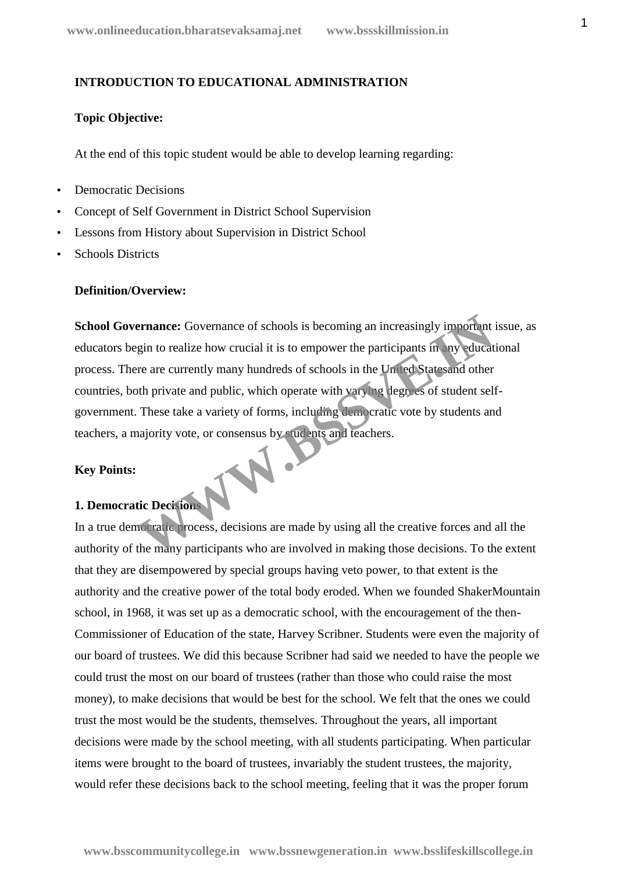#### **INTRODUCTION TO EDUCATIONAL ADMINISTRATION**

#### **Topic Objective:**

At the end of this topic student would be able to develop learning regarding:

- Democratic Decisions
- Concept of Self Government in District School Supervision
- Lessons from History about Supervision in District School
- Schools Districts

#### **Definition/Overview:**

**School Governance:** Governance of schools is becoming an increasingly important issue, as educators begin to realize how crucial it is to empower the participants in any educational process. There are currently many hundreds of schools in the United Statesand other countries, both private and public, which operate with varying degrees of student self government. These take a variety of forms, including democratic vote by students and teachers, a majority vote, or consensus by students and teachers. **Example:** Governance of schools is becoming an increasingly important<br>gin to realize how crucial it is to empower the participants in any educat<br>re are currently many hundreds of schools in the United States and other<br>the

#### **Key Points:**

## **1. Democratic Decisions**

In a true democratic process, decisions are made by using all the creative forces and all the authority of the many participants who are involved in making those decisions. To the extent that they are disempowered by special groups having veto power, to that extent is the authority and the creative power of the total body eroded. When we founded ShakerMountain school, in 1968, it was set up as a democratic school, with the encouragement of the then- Commissioner of Education of the state, Harvey Scribner. Students were even the majority of our board of trustees. We did this because Scribner had said we needed to have the people we could trust the most on our board of trustees (rather than those who could raise the most money), to make decisions that would be best for the school. We felt that the ones we could trust the most would be the students, themselves. Throughout the years, all important decisions were made by the school meeting, with all students participating. When particular items were brought to the board of trustees, invariably the student trustees, the majority, would refer these decisions back to the school meeting, feeling that it was the proper forum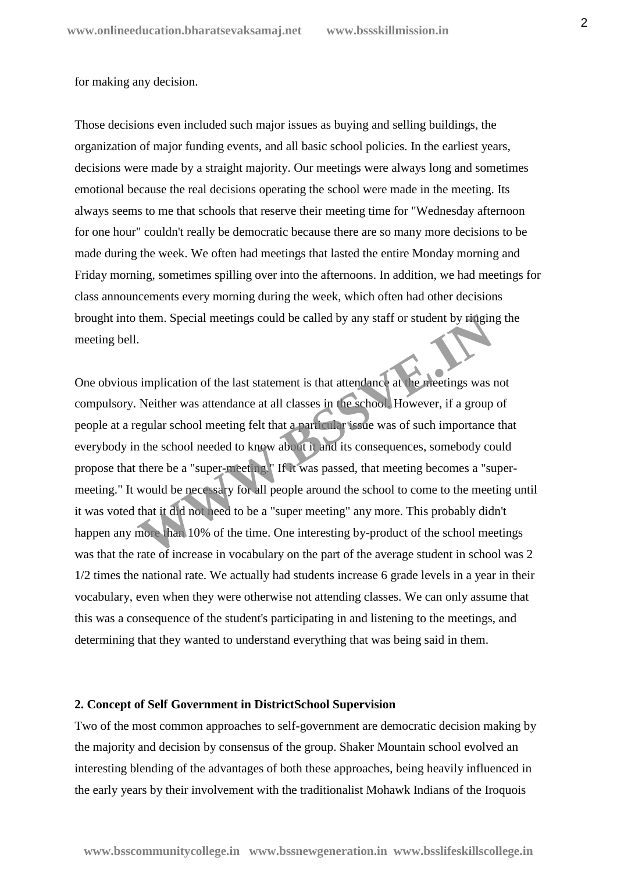#### for making any decision.

Those decisions even included such major issues as buying and selling buildings, the organization of major funding events, and all basic school policies. In the earliest years, decisions were made by a straight majority. Our meetings were always long and sometimes emotional because the real decisions operating the school were made in the meeting. Its always seems to me that schools that reserve their meeting time for "Wednesday afternoon for one hour" couldn't really be democratic because there are so many more decisions to be made during the week. We often had meetings that lasted the entire Monday morning and Friday morning, sometimes spilling over into the afternoons. In addition, we had meetings for class announcements every morning during the week, which often had other decisions brought into them. Special meetings could be called by any staff or student by ringing the meeting bell.

One obvious implication of the last statement is that attendance at the meetings was not compulsory. Neither was attendance at all classes in the school. However, if a group of people at a regular school meeting felt that a particular issue was of such importance that everybody in the school needed to know about it and its consequences, somebody could propose that there be a "super-meeting." If it was passed, that meeting becomes a "super meeting." It would be necessary for all people around the school to come to the meeting until it was voted that it did not need to be a "super meeting" any more. This probably didn't happen any more than 10% of the time. One interesting by-product of the school meetings was that the rate of increase in vocabulary on the part of the average student in school was 2 1/2 times the national rate. We actually had students increase 6 grade levels in a year in their vocabulary, even when they were otherwise not attending classes. We can only assume that this was a consequence of the student's participating in and listening to the meetings, and determining that they wanted to understand everything that was being said in them. them. Special meetings could be called by any staff or student by **riggin**.<br>
Solution of the last statement is that attendance at the meetings was in Neither was attendance at all classes in the school. However, if a group

#### **2. Concept of Self Government in DistrictSchool Supervision**

Two of the most common approaches to self-government are democratic decision making by the majority and decision by consensus of the group. Shaker Mountain school evolved an interesting blending of the advantages of both these approaches, being heavily influenced in the early years by their involvement with the traditionalist Mohawk Indians of the Iroquois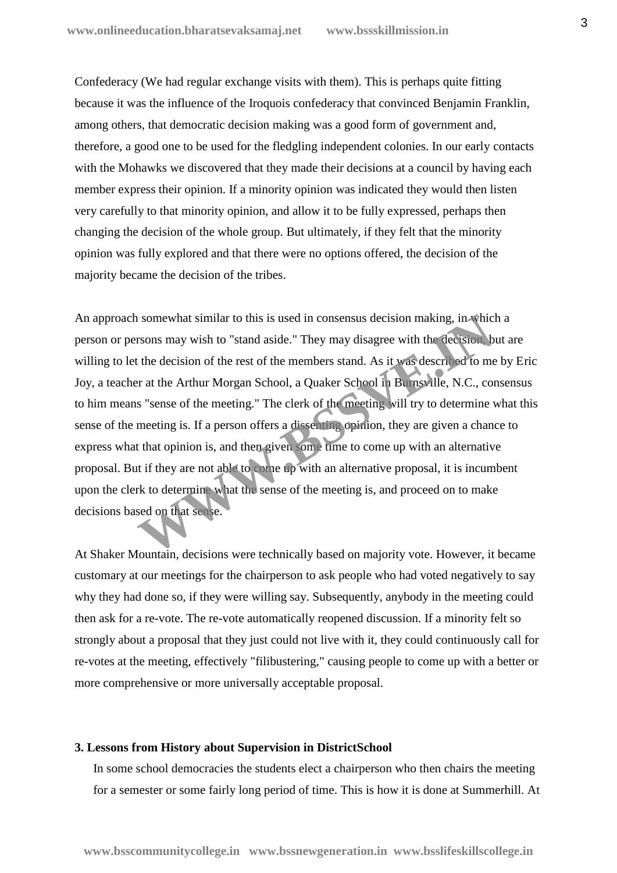Confederacy (We had regular exchange visits with them). This is perhaps quite fitting because it was the influence of the Iroquois confederacy that convinced Benjamin Franklin, among others, that democratic decision making was a good form of government and, therefore, a good one to be used for the fledgling independent colonies. In our early contacts with the Mohawks we discovered that they made their decisions at a council by having each member express their opinion. If a minority opinion was indicated they would then listen very carefully to that minority opinion, and allow it to be fully expressed, perhaps then changing the decision of the whole group. But ultimately, if they felt that the minority opinion was fully explored and that there were no options offered, the decision of the majority became the decision of the tribes.

An approach somewhat similar to this is used in consensus decision making, in which a person or persons may wish to "stand aside." They may disagree with the decision, but are willing to let the decision of the rest of the members stand. As it was described to me by Eric Joy, a teacher at the Arthur Morgan School, a Quaker School in Burnsville, N.C., consensus to him means "sense of the meeting." The clerk of the meeting will try to determine what this sense of the meeting is. If a person offers a dissenting opinion, they are given a chance to express what that opinion is, and then given some time to come up with an alternative proposal. But if they are not able to come up with an alternative proposal, it is incumbent upon the clerk to determine what the sense of the meeting is, and proceed on to make decisions based on that sense. If somewhat similar to this is used in consensus decision making, in which<br>rsons may wish to "stand aside." They may disagree with the decision b<br>the decision of the rest of the members stand. As it was described to me<br>or

At Shaker Mountain, decisions were technically based on majority vote. However, it became customary at our meetings for the chairperson to ask people who had voted negatively to say why they had done so, if they were willing say. Subsequently, anybody in the meeting could then ask for a re-vote. The re-vote automatically reopened discussion. If a minority felt so strongly about a proposal that they just could not live with it, they could continuously call for re-votes at the meeting, effectively "filibustering," causing people to come up with a better or more comprehensive or more universally acceptable proposal.

#### **3. Lessons from History about Supervision in DistrictSchool**

In some school democracies the students elect a chairperson who then chairs the meeting for a semester or some fairly long period of time. This is how it is done at Summerhill. At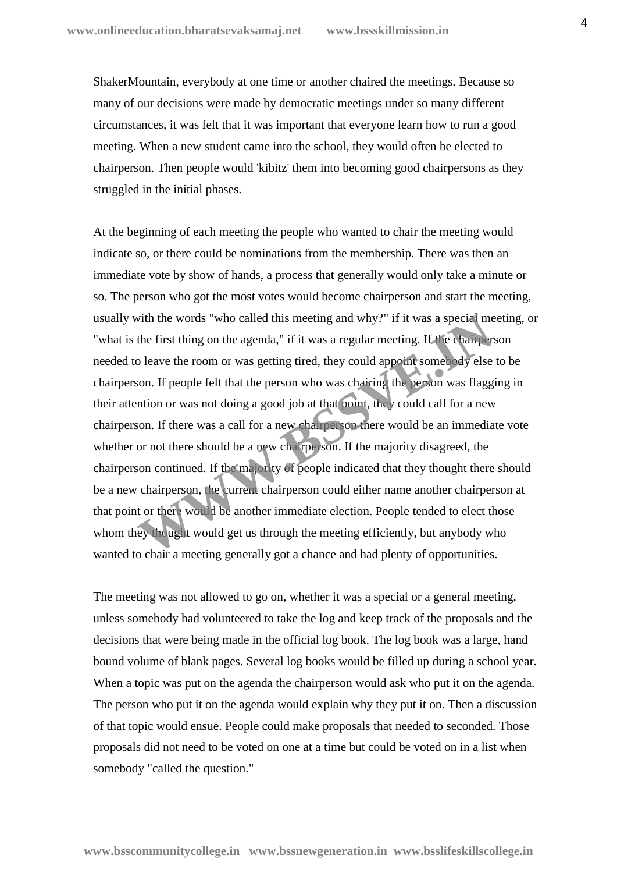ShakerMountain, everybody at one time or another chaired the meetings. Because so many of our decisions were made by democratic meetings under so many different circumstances, it was felt that it was important that everyone learn how to run a good meeting. When a new student came into the school, they would often be elected to chairperson. Then people would 'kibitz' them into becoming good chairpersons as they struggled in the initial phases.

At the beginning of each meeting the people who wanted to chair the meeting would indicate so, or there could be nominations from the membership. There was then an immediate vote by show of hands, a process that generally would only take a minute or so. The person who got the most votes would become chairperson and start the meeting, usually with the words "who called this meeting and why?" if it was a special meeting, or "what is the first thing on the agenda," if it was a regular meeting. If the chairperson needed to leave the room or was getting tired, they could appoint somebody else to be chairperson. If people felt that the person who was chairing the person was flagging in their attention or was not doing a good job at that point, they could call for a new chairperson. If there was a call for a new chairperson there would be an immediate vote whether or not there should be a new chairperson. If the majority disagreed, the chairperson continued. If the majority of people indicated that they thought there should be a new chairperson, the current chairperson could either name another chairperson at that point or there would be another immediate election. People tended to elect those whom they thought would get us through the meeting efficiently, but anybody who wanted to chair a meeting generally got a chance and had plenty of opportunities. with the words "who called this meeting and why?" if it was a special methe first thing on the agenda," if it was a regular meeting. If the champers of leave the room or was getting tired, they could appeint somebody else

The meeting was not allowed to go on, whether it was a special or a general meeting, unless somebody had volunteered to take the log and keep track of the proposals and the decisions that were being made in the official log book. The log book was a large, hand bound volume of blank pages. Several log books would be filled up during a school year. When a topic was put on the agenda the chairperson would ask who put it on the agenda. The person who put it on the agenda would explain why they put it on. Then a discussion of that topic would ensue. People could make proposals that needed to seconded. Those proposals did not need to be voted on one at a time but could be voted on in a list when somebody "called the question."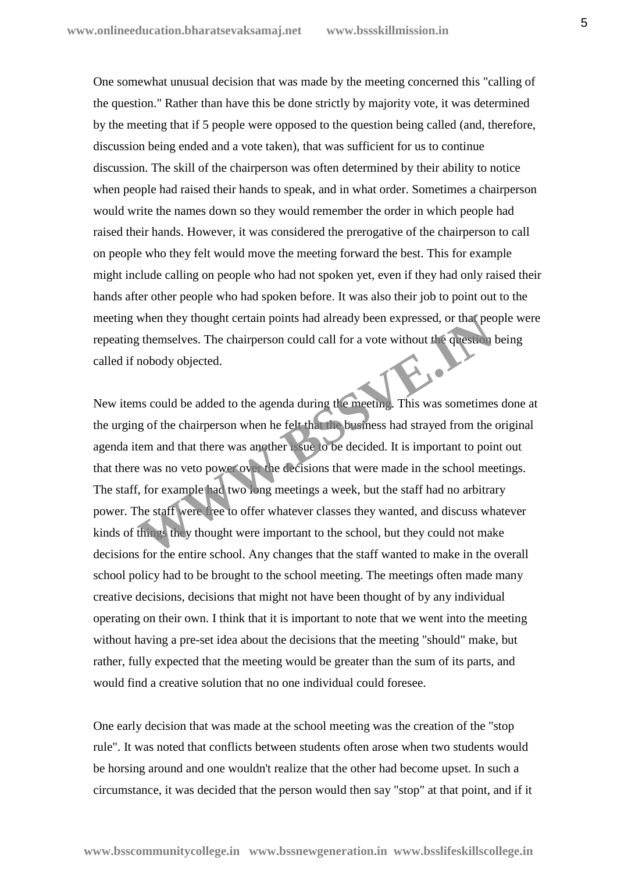One somewhat unusual decision that was made by the meeting concerned this "calling of the question." Rather than have this be done strictly by majority vote, it was determined by the meeting that if 5 people were opposed to the question being called (and, therefore, discussion being ended and a vote taken), that was sufficient for us to continue discussion. The skill of the chairperson was often determined by their ability to notice when people had raised their hands to speak, and in what order. Sometimes a chairperson would write the names down so they would remember the order in which people had raised their hands. However, it was considered the prerogative of the chairperson to call on people who they felt would move the meeting forward the best. This for example might include calling on people who had not spoken yet, even if they had only raised their hands after other people who had spoken before. It was also their job to point out to the meeting when they thought certain points had already been expressed, or that people were repeating themselves. The chairperson could call for a vote without the question being called if nobody objected.

New items could be added to the agenda during the meeting. This was sometimes done at the urging of the chairperson when he felt that the business had strayed from the original agenda item and that there was another issue to be decided. It is important to point out that there was no veto power over the decisions that were made in the school meetings. The staff, for example had two long meetings a week, but the staff had no arbitrary power. The staff were free to offer whatever classes they wanted, and discuss whatever kinds of things they thought were important to the school, but they could not make decisions for the entire school. Any changes that the staff wanted to make in the overall school policy had to be brought to the school meeting. The meetings often made many creative decisions, decisions that might not have been thought of by any individual operating on their own. I think that it is important to note that we went into the meeting without having a pre-set idea about the decisions that the meeting "should" make, but rather, fully expected that the meeting would be greater than the sum of its parts, and would find a creative solution that no one individual could foresee. when they thought certain points had already been expressed, or the people is themselves. The chairperson could call for a vote without the question mobody objected.<br>
In so could be added to the agenda during the meeting.

One early decision that was made at the school meeting was the creation of the "stop rule". It was noted that conflicts between students often arose when two students would be horsing around and one wouldn't realize that the other had become upset. In such a circumstance, it was decided that the person would then say "stop" at that point, and if it

**www.bsscommunitycollege.in www.bssnewgeneration.in www.bsslifeskillscollege.in**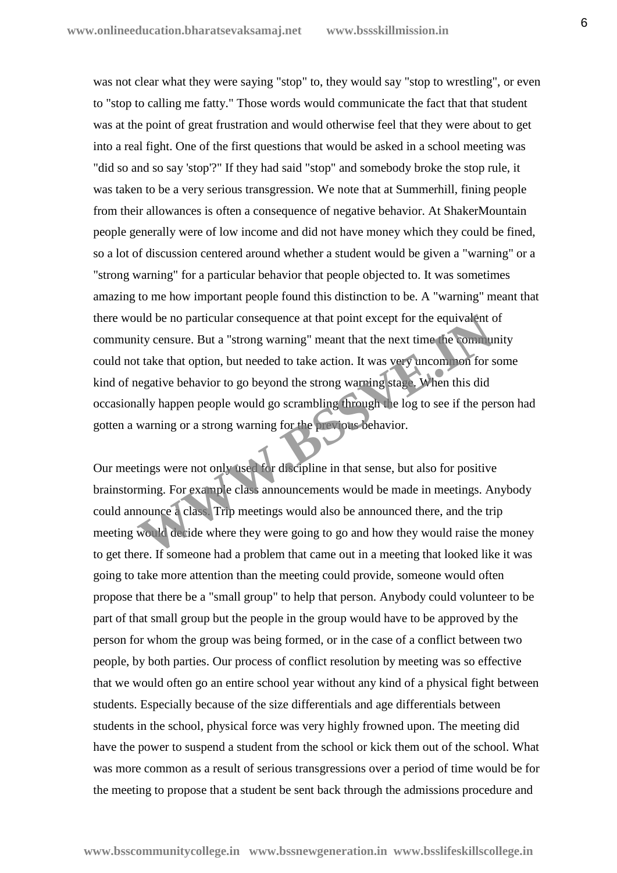was not clear what they were saying "stop" to, they would say "stop to wrestling", or even to "stop to calling me fatty." Those words would communicate the fact that that student was at the point of great frustration and would otherwise feel that they were about to get into a real fight. One of the first questions that would be asked in a school meeting was "did so and so say 'stop'?" If they had said "stop" and somebody broke the stop rule, it was taken to be a very serious transgression. We note that at Summerhill, fining people from their allowances is often a consequence of negative behavior. At ShakerMountain people generally were of low income and did not have money which they could be fined, so a lot of discussion centered around whether a student would be given a "warning" or a "strong warning" for a particular behavior that people objected to. It was sometimes amazing to me how important people found this distinction to be. A "warning" meant that there would be no particular consequence at that point except for the equivalent of community censure. But a "strong warning" meant that the next time the community could not take that option, but needed to take action. It was very uncommon for some kind of negative behavior to go beyond the strong warning stage. When this did occasionally happen people would go scrambling through the log to see if the person had gotten a warning or a strong warning for the previous behavior. and be no particular consequence at that point except for the equivalent city censure. But a "strong warning" meant that the next time the community take that option, but needed to take action. It was very uncommon for seg

Our meetings were not only used for discipline in that sense, but also for positive brainstorming. For example class announcements would be made in meetings. Anybody could announce a class. Trip meetings would also be announced there, and the trip meeting would decide where they were going to go and how they would raise the money to get there. If someone had a problem that came out in a meeting that looked like it was going to take more attention than the meeting could provide, someone would often propose that there be a "small group" to help that person. Anybody could volunteer to be part of that small group but the people in the group would have to be approved by the person for whom the group was being formed, or in the case of a conflict between two people, by both parties. Our process of conflict resolution by meeting was so effective that we would often go an entire school year without any kind of a physical fight between students. Especially because of the size differentials and age differentials between students in the school, physical force was very highly frowned upon. The meeting did have the power to suspend a student from the school or kick them out of the school. What was more common as a result of serious transgressions over a period of time would be for the meeting to propose that a student be sent back through the admissions procedure and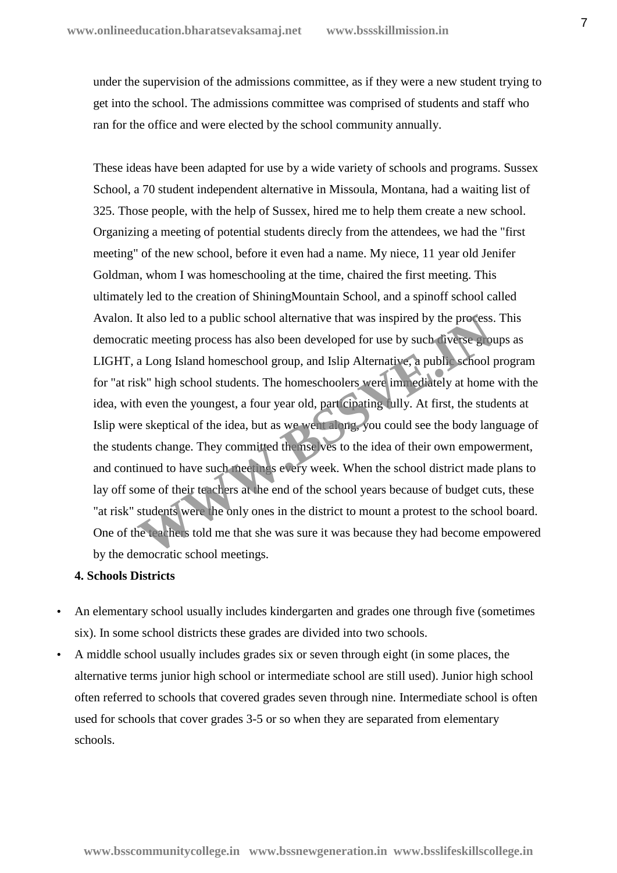under the supervision of the admissions committee, as if they were a new student trying to get into the school. The admissions committee was comprised of students and staff who ran for the office and were elected by the school community annually.

These ideas have been adapted for use by a wide variety of schools and programs. Sussex School, a 70 student independent alternative in Missoula, Montana, had a waiting list of 325. Those people, with the help of Sussex, hired me to help them create a new school. Organizing a meeting of potential students direcly from the attendees, we had the "first meeting" of the new school, before it even had a name. My niece, 11 year old Jenifer Goldman, whom I was homeschooling at the time, chaired the first meeting. This ultimately led to the creation of ShiningMountain School, and a spinoff school called Avalon. It also led to a public school alternative that was inspired by the process. This democratic meeting process has also been developed for use by such diverse groups as LIGHT, a Long Island homeschool group, and Islip Alternative, a public school program for "at risk" high school students. The homeschoolers were immediately at home with the idea, with even the youngest, a four year old, participating fully. At first, the students at Islip were skeptical of the idea, but as we went along, you could see the body language of the students change. They committed the mselves to the idea of their own empowerment, and continued to have such meetings every week. When the school district made plans to lay off some of their teachers at the end of the school years because of budget cuts, these "at risk" students were the only ones in the district to mount a protest to the school board. One of the teachers told me that she was sure it was because they had become empowered by the democratic school meetings. It also led to a public school alternative that was inspired by the process.<br>tic meeting process has also been developed for use by such civerse grou<br>a Long Island homeschool group, and Islip Alternative, a public school p

## **4. Schools Districts**

- An elementary school usually includes kindergarten and grades one through five (sometimes six). In some school districts these grades are divided into two schools.
- A middle school usually includes grades six or seven through eight (in some places, the alternative terms junior high school or intermediate school are still used). Junior high school often referred to schools that covered grades seven through nine. Intermediate school is often used for schools that cover grades 3-5 or so when they are separated from elementary schools.

7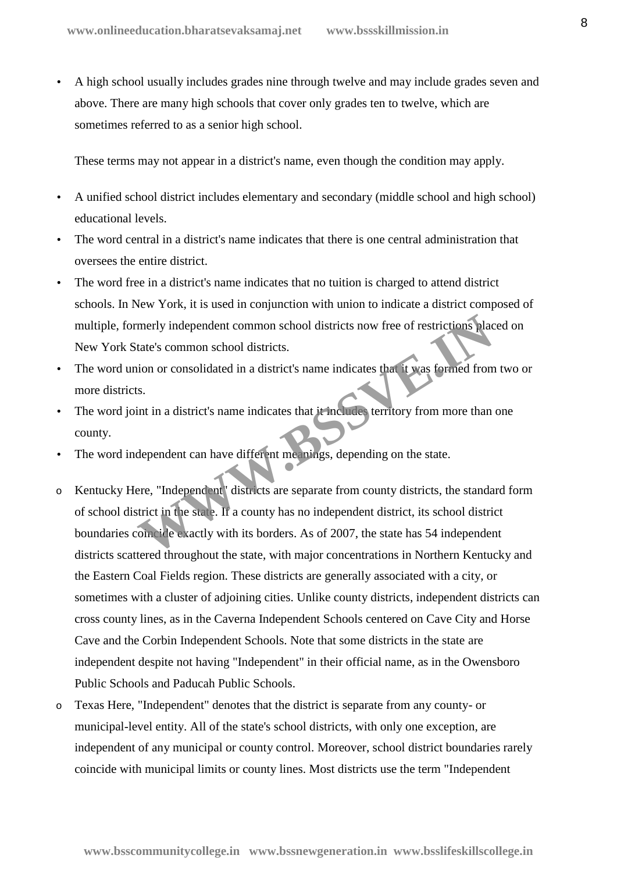A high school usually includes grades nine through twelve and may include grades seven and above. There are many high schools that cover only grades ten to twelve, which are sometimes referred to as a senior high school.

These terms may not appear in a district's name, even though the condition may apply.

- A unified school district includes elementary and secondary (middle school and high school) educational levels.
- The word central in a district's name indicates that there is one central administration that oversees the entire district.
- The word free in a district's name indicates that no tuition is charged to attend district schools. In New York, it is used in conjunction with union to indicate a district composed of multiple, formerly independent common school districts now free of restrictions placed on New York State's common school districts.
- The word union or consolidated in a district's name indicates that it was formed from two or more districts.
- The word joint in a district's name indicates that it includes territory from more than one county.
- The word independent can have different meanings, depending on the state.
- o Kentucky Here, "Independent" districts are separate from county districts, the standard form of school district in the state. If a county has no independent district, its school district boundaries coincide exactly with its borders. As of 2007, the state has 54 independent districts scattered throughout the state, with major concentrations in Northern Kentucky and the Eastern Coal Fields region. These districts are generally associated with a city, or sometimes with a cluster of adjoining cities. Unlike county districts, independent districts can cross county lines, as in the Caverna Independent Schools centered on Cave City and Horse Cave and the Corbin Independent Schools. Note that some districts in the state are independent despite not having "Independent" in their official name, as in the Owensboro Public Schools and Paducah Public Schools. merly independent common school districts now free of restrictions place<br>tate's common school districts.<br>ion or consolidated in a district's name indicates that it was formed from<br>the state.<br>in time in a district's name in
- o Texas Here, "Independent" denotes that the district is separate from any county- or municipal-level entity. All of the state's school districts, with only one exception, are independent of any municipal or county control. Moreover, school district boundaries rarely coincide with municipal limits or county lines. Most districts use the term "Independent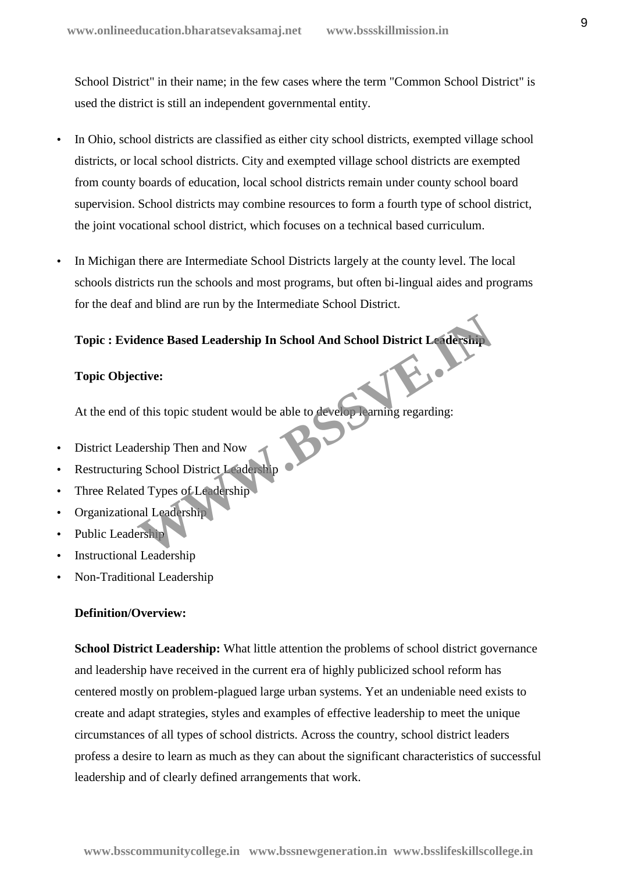School District" in their name; in the few cases where the term "Common School District" is used the district is still an independent governmental entity.

- In Ohio, school districts are classified as either city school districts, exempted village school districts, or local school districts. City and exempted village school districts are exempted from county boards of education, local school districts remain under county school board supervision. School districts may combine resources to form a fourth type of school district, the joint vocational school district, which focuses on a technical based curriculum.
- In Michigan there are Intermediate School Districts largely at the county level. The local schools districts run the schools and most programs, but often bi-lingual aides and programs for the deaf and blind are run by the Intermediate School District.

# **Topic : Evidence Based Leadership In School And School District Leadership** Examples and Leadership In School And School District Leadership<br>
Examples:<br>
In this topic student would be able to develop Larning regarding:<br>
<br>
Resolved Types of Leadership<br>
Leadership<br>
Leadership<br>
Leadership<br>
Leadership

#### **Topic Objective:**

At the end of this topic student would be able to develop learning regarding:

- District Leadership Then and Now
- Restructuring School District Leadership
- Three Related Types of Leadership
- Organizational Leadership
- Public Leadership
- Instructional Leadership
- Non-Traditional Leadership

#### **Definition/Overview:**

**School District Leadership:** What little attention the problems of school district governance and leadership have received in the current era of highly publicized school reform has centered mostly on problem-plagued large urban systems. Yet an undeniable need exists to create and adapt strategies, styles and examples of effective leadership to meet the unique circumstances of all types of school districts. Across the country, school district leaders profess a desire to learn as much as they can about the significant characteristics of successful leadership and of clearly defined arrangements that work.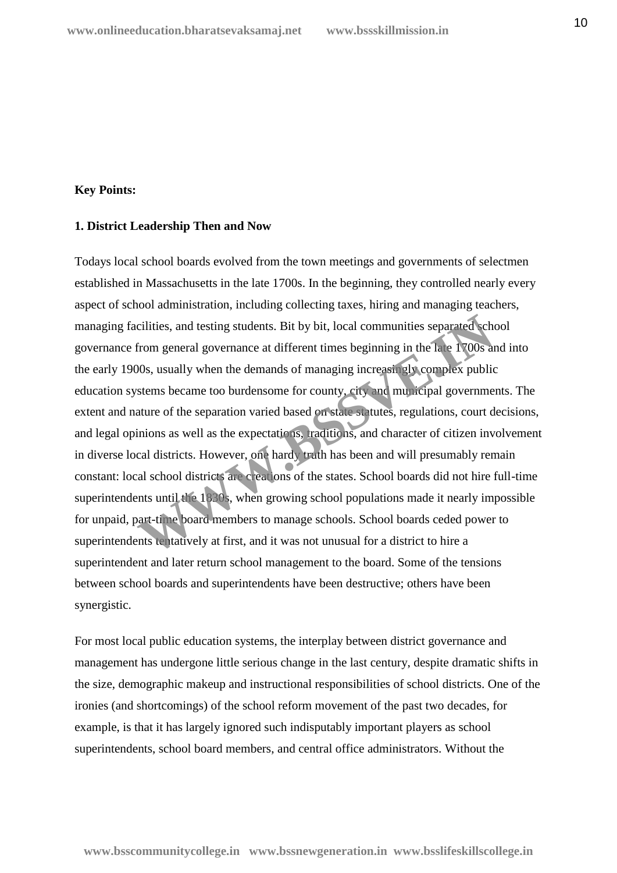## **Key Points:**

#### **1. District Leadership Then and Now**

Todays local school boards evolved from the town meetings and governments of selectmen established in Massachusetts in the late 1700s. In the beginning, they controlled nearly every aspect of school administration, including collecting taxes, hiring and managing teachers, managing facilities, and testing students. Bit by bit, local communities separated school governance from general governance at different times beginning in the late 1700s and into the early 1900s, usually when the demands of managing increasingly complex public education systems became too burdensome for county, city and municipal governments. The extent and nature of the separation varied based on state statutes, regulations, court decisions, and legal opinions as well as the expectations, traditions, and character of citizen involvement in diverse local districts. However, one hardy truth has been and will presumably remain constant: local school districts are creations of the states. School boards did not hire full-time superintendents until the 1830s, when growing school populations made it nearly impossible for unpaid, part-time board members to manage schools. School boards ceded power to superintendents tentatively at first, and it was not unusual for a district to hire a superintendent and later return school management to the board. Some of the tensions between school boards and superintendents have been destructive; others have been synergistic. cilities, and testing students. Bit by bit, local communities separated schemen general governance at different times beginning in the late 1700s and 2008, usually when the demands of managing increasing the complex publis

For most local public education systems, the interplay between district governance and management has undergone little serious change in the last century, despite dramatic shifts in the size, demographic makeup and instructional responsibilities of school districts. One of the ironies (and shortcomings) of the school reform movement of the past two decades, for example, is that it has largely ignored such indisputably important players as school superintendents, school board members, and central office administrators. Without the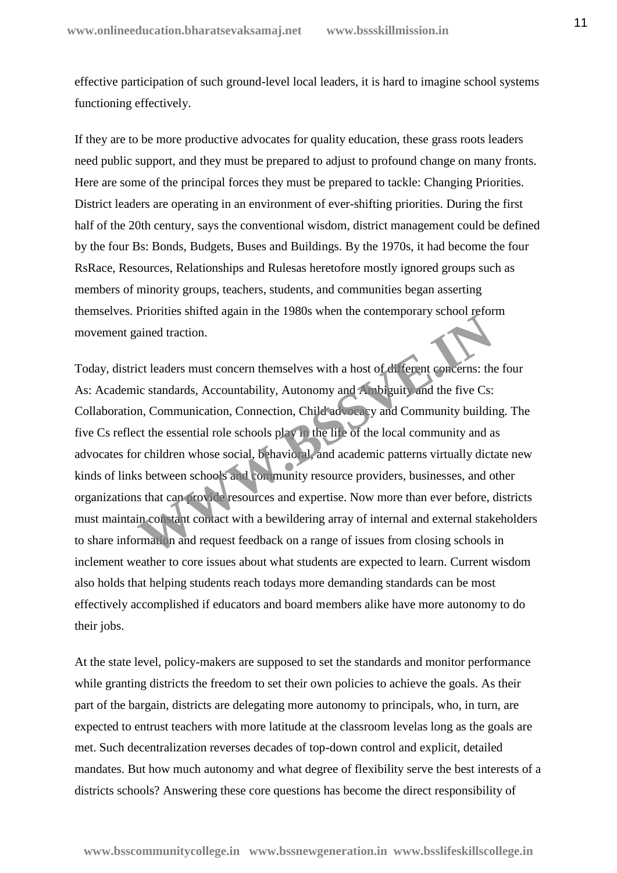effective participation of such ground-level local leaders, it is hard to imagine school systems functioning effectively.

If they are to be more productive advocates for quality education, these grass roots leaders need public support, and they must be prepared to adjust to profound change on many fronts. Here are some of the principal forces they must be prepared to tackle: Changing Priorities. District leaders are operating in an environment of ever-shifting priorities. During the first half of the 20th century, says the conventional wisdom, district management could be defined by the four Bs: Bonds, Budgets, Buses and Buildings. By the 1970s, it had become the four RsRace, Resources, Relationships and Rulesas heretofore mostly ignored groups such as members of minority groups, teachers, students, and communities began asserting themselves. Priorities shifted again in the 1980s when the contemporary school reform movement gained traction.

Today, district leaders must concern themselves with a host of different concerns: the four As: Academic standards, Accountability, Autonomy and Ambiguity and the five Cs: Collaboration, Communication, Connection, Child advocacy and Community building. The five Cs reflect the essential role schools play in the life of the local community and as advocates for children whose social, behavioral, and academic patterns virtually dictate new kinds of links between schools and community resource providers, businesses, and other organizations that can provide resources and expertise. Now more than ever before, districts must maintain constant contact with a bewildering array of internal and external stakeholders to share information and request feedback on a range of issues from closing schools in inclement weather to core issues about what students are expected to learn. Current wisdom also holds that helping students reach todays more demanding standards can be most effectively accomplished if educators and board members alike have more autonomy to do their jobs. ained traction.<br>
icident traction.<br>
icident traction.<br>
icident traction.<br>
icident traction.<br>
icident concern themselves with a host of different concerns: the<br>
icident standards, Accountability, Autonomy and Ambiguity and

At the state level, policy-makers are supposed to set the standards and monitor performance while granting districts the freedom to set their own policies to achieve the goals. As their part of the bargain, districts are delegating more autonomy to principals, who, in turn, are expected to entrust teachers with more latitude at the classroom levelas long as the goals are met. Such decentralization reverses decades of top-down control and explicit, detailed mandates. But how much autonomy and what degree of flexibility serve the best interests of a districts schools? Answering these core questions has become the direct responsibility of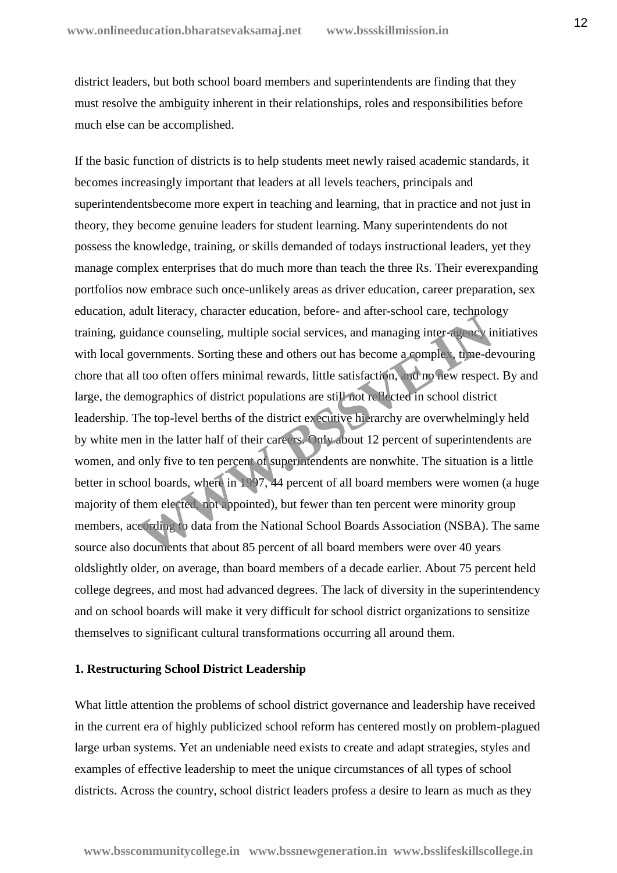district leaders, but both school board members and superintendents are finding that they must resolve the ambiguity inherent in their relationships, roles and responsibilities before much else can be accomplished.

If the basic function of districts is to help students meet newly raised academic standards, it becomes increasingly important that leaders at all levels teachers, principals and superintendentsbecome more expert in teaching and learning, that in practice and not just in theory, they become genuine leaders for student learning. Many superintendents do not possess the knowledge, training, or skills demanded of todays instructional leaders, yet they manage complex enterprises that do much more than teach the three Rs. Their everexpanding portfolios now embrace such once-unlikely areas as driver education, career preparation, sex education, adult literacy, character education, before- and after-school care, technology training, guidance counseling, multiple social services, and managing inter-agency initiatives with local governments. Sorting these and others out has become a complex, time-devouring chore that all too often offers minimal rewards, little satisfaction, and no new respect. By and large, the demographics of district populations are still not reflected in school district leadership. The top-level berths of the district executive hierarchy are overwhelmingly held by white men in the latter half of their careers. Only about 12 percent of superintendents are women, and only five to ten percent of superintendents are nonwhite. The situation is a little better in school boards, where in 1997, 44 percent of all board members were women (a huge majority of them elected, not appointed), but fewer than ten percent were minority group members, according to data from the National School Boards Association (NSBA). The same source also documents that about 85 percent of all board members were over 40 years oldslightly older, on average, than board members of a decade earlier. About 75 percent held college degrees, and most had advanced degrees. The lack of diversity in the superintendency and on school boards will make it very difficult for school district organizations to sensitize themselves to significant cultural transformations occurring all around them. dance counseling, multiple social services, and managing inter-agency in<br>wernments. Sorting these and others out has become a complect time-de-<br>l too often offers minimal rewards, little satisfaction, which hew respect<br>mog

#### **1. Restructuring School District Leadership**

What little attention the problems of school district governance and leadership have received in the current era of highly publicized school reform has centered mostly on problem-plagued large urban systems. Yet an undeniable need exists to create and adapt strategies, styles and examples of effective leadership to meet the unique circumstances of all types of school districts. Across the country, school district leaders profess a desire to learn as much as they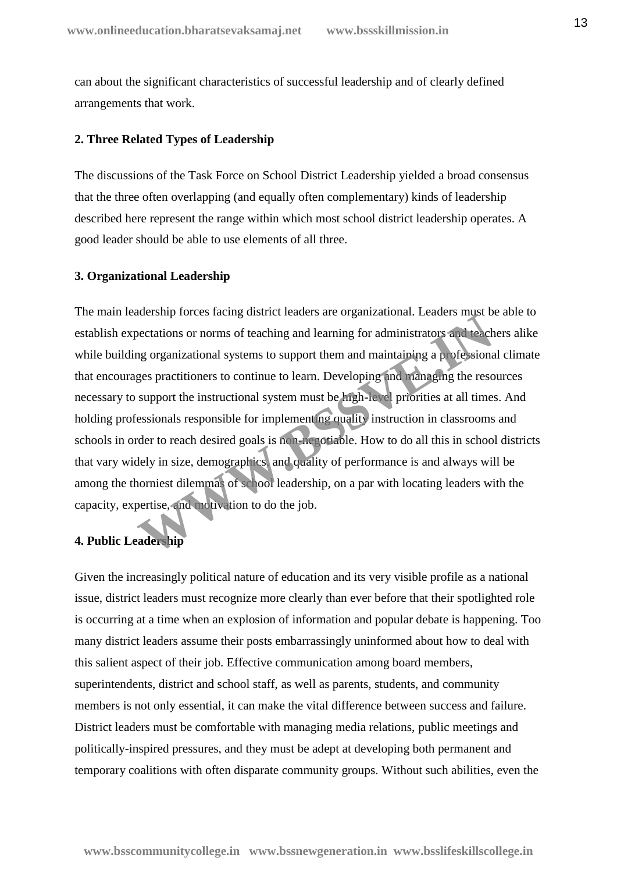can about the significant characteristics of successful leadership and of clearly defined arrangements that work.

#### **2. Three Related Types of Leadership**

The discussions of the Task Force on School District Leadership yielded a broad consensus that the three often overlapping (and equally often complementary) kinds of leadership described here represent the range within which most school district leadership operates. A good leader should be able to use elements of all three.

#### **3. Organizational Leadership**

The main leadership forces facing district leaders are organizational. Leaders must be able to establish expectations or norms of teaching and learning for administrators and teachers alike while building organizational systems to support them and maintaining a professional climate that encourages practitioners to continue to learn. Developing and managing the resources necessary to support the instructional system must be high-level priorities at all times. And holding professionals responsible for implementing quality instruction in classrooms and schools in order to reach desired goals is non-negotiable. How to do all this in school districts that vary widely in size, demographics, and quality of performance is and always will be among the thorniest dilemmas of school leadership, on a par with locating leaders with the capacity, expertise, and motivation to do the job. **Example 19 The State Institute Catering and Learning for administrators and teaching organizational systems to support them and maintaining a p ofessional spaces practitioners to continue to learn. Developing and managing** 

#### **4. Public Leadership**

Given the increasingly political nature of education and its very visible profile as a national issue, district leaders must recognize more clearly than ever before that their spotlighted role is occurring at a time when an explosion of information and popular debate is happening. Too many district leaders assume their posts embarrassingly uninformed about how to deal with this salient aspect of their job. Effective communication among board members, superintendents, district and school staff, as well as parents, students, and community members is not only essential, it can make the vital difference between success and failure. District leaders must be comfortable with managing media relations, public meetings and politically-inspired pressures, and they must be adept at developing both permanent and temporary coalitions with often disparate community groups. Without such abilities, even the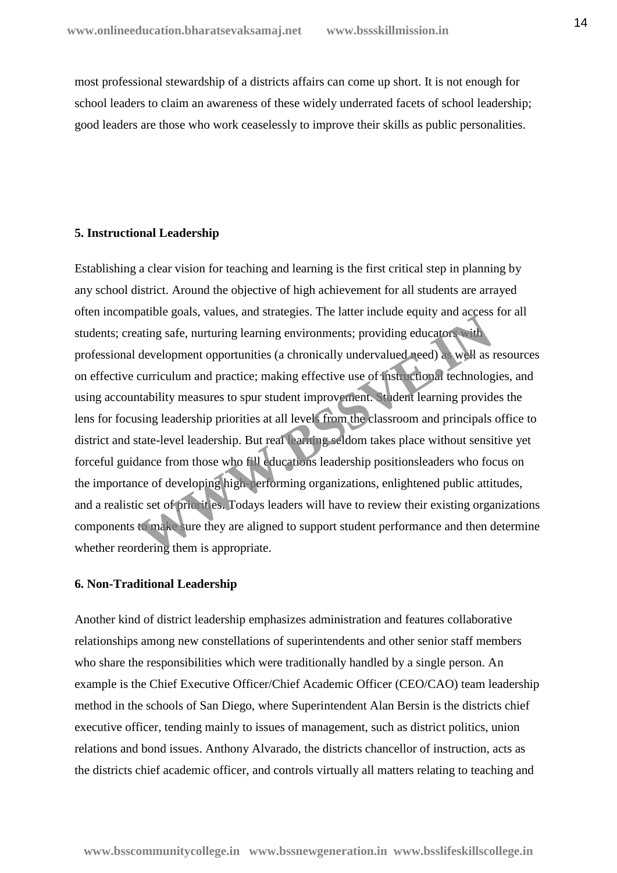most professional stewardship of a districts affairs can come up short. It is not enough for school leaders to claim an awareness of these widely underrated facets of school leadership; good leaders are those who work ceaselessly to improve their skills as public personalities.

#### **5. Instructional Leadership**

Establishing a clear vision for teaching and learning is the first critical step in planning by any school district. Around the objective of high achievement for all students are arrayed often incompatible goals, values, and strategies. The latter include equity and access for all students; creating safe, nurturing learning environments; providing educators with professional development opportunities (a chronically undervalued need) as well as resources on effective curriculum and practice; making effective use of instructional technologies, and using accountability measures to spur student improvement. Student learning provides the lens for focusing leadership priorities at all levels from the classroom and principals office to district and state-level leadership. But real learning seldom takes place without sensitive yet forceful guidance from those who fill educations leadership positionsleaders who focus on the importance of developing high-performing organizations, enlightened public attitudes, and a realistic set of priorities. Todays leaders will have to review their existing organizations components to make sure they are aligned to support student performance and then determine whether reordering them is appropriate. parallel goals, values, and stategies. The latter include equity and decessed<br>ating safe, nurturing learning environments; providing educators with<br>development opportunities (a chronically undervalued need) as well as<br>a cu

#### **6. Non-Traditional Leadership**

Another kind of district leadership emphasizes administration and features collaborative relationships among new constellations of superintendents and other senior staff members who share the responsibilities which were traditionally handled by a single person. An example is the Chief Executive Officer/Chief Academic Officer (CEO/CAO) team leadership method in the schools of San Diego, where Superintendent Alan Bersin is the districts chief executive officer, tending mainly to issues of management, such as district politics, union relations and bond issues. Anthony Alvarado, the districts chancellor of instruction, acts as the districts chief academic officer, and controls virtually all matters relating to teaching and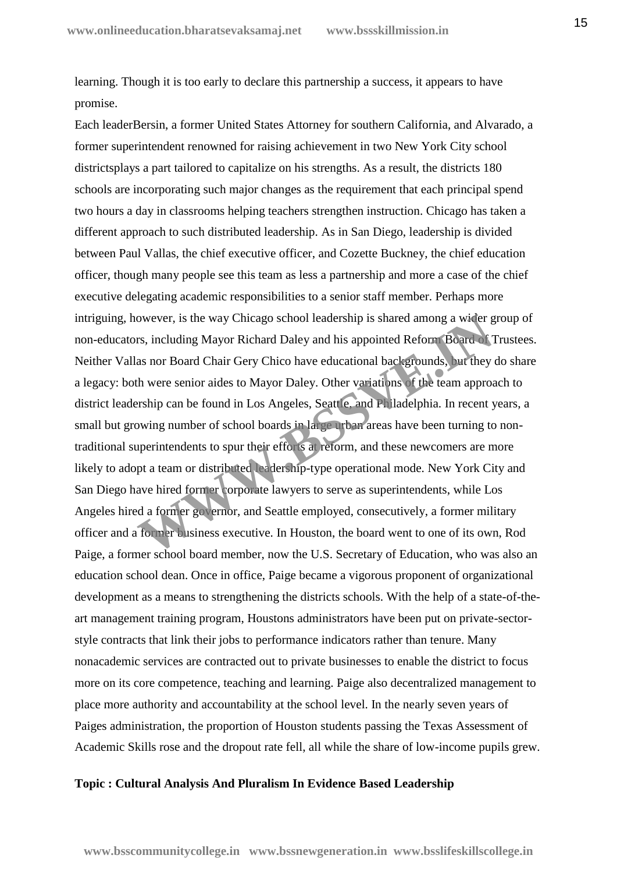learning. Though it is too early to declare this partnership a success, it appears to have promise.

Each leaderBersin, a former United States Attorney for southern California, and Alvarado, a former superintendent renowned for raising achievement in two New York City school districtsplays a part tailored to capitalize on his strengths. As a result, the districts 180 schools are incorporating such major changes as the requirement that each principal spend two hours a day in classrooms helping teachers strengthen instruction. Chicago has taken a different approach to such distributed leadership. As in San Diego, leadership is divided between Paul Vallas, the chief executive officer, and Cozette Buckney, the chief education officer, though many people see this team as less a partnership and more a case of the chief executive delegating academic responsibilities to a senior staff member. Perhaps more intriguing, however, is the way Chicago school leadership is shared among a wider group of non-educators, including Mayor Richard Daley and his appointed Reform Board of Trustees. Neither Vallas nor Board Chair Gery Chico have educational backgrounds, but they do share a legacy: both were senior aides to Mayor Daley. Other variations of the team approach to district leadership can be found in Los Angeles, Seattle, and Philadelphia. In recent years, a small but growing number of school boards in large urban areas have been turning to nontraditional superintendents to spur their efforts at reform, and these newcomers are more likely to adopt a team or distributed leadership-type operational mode. New York City and San Diego have hired former corporate lawyers to serve as superintendents, while Los Angeles hired a former governor, and Seattle employed, consecutively, a former military officer and a former business executive. In Houston, the board went to one of its own, Rod Paige, a former school board member, now the U.S. Secretary of Education, who was also an education school dean. Once in office, Paige became a vigorous proponent of organizational development as a means to strengthening the districts schools. With the help of a state-of-the art management training program, Houstons administrators have been put on private-sector style contracts that link their jobs to performance indicators rather than tenure. Many nonacademic services are contracted out to private businesses to enable the district to focus more on its core competence, teaching and learning. Paige also decentralized management to place more authority and accountability at the school level. In the nearly seven years of Paiges administration, the proportion of Houston students passing the Texas Assessment of Academic Skills rose and the dropout rate fell, all while the share of low-income pupils grew. owever, is the way Chicago school leadership is shared among a wider g<br>rs, including Mayor Richard Daley and his appointed Reform Board of 7<br>as nor Board Chair Gery Chico have educational backgrounds, but they<br>th were seni

#### **Topic : Cultural Analysis And Pluralism In Evidence Based Leadership**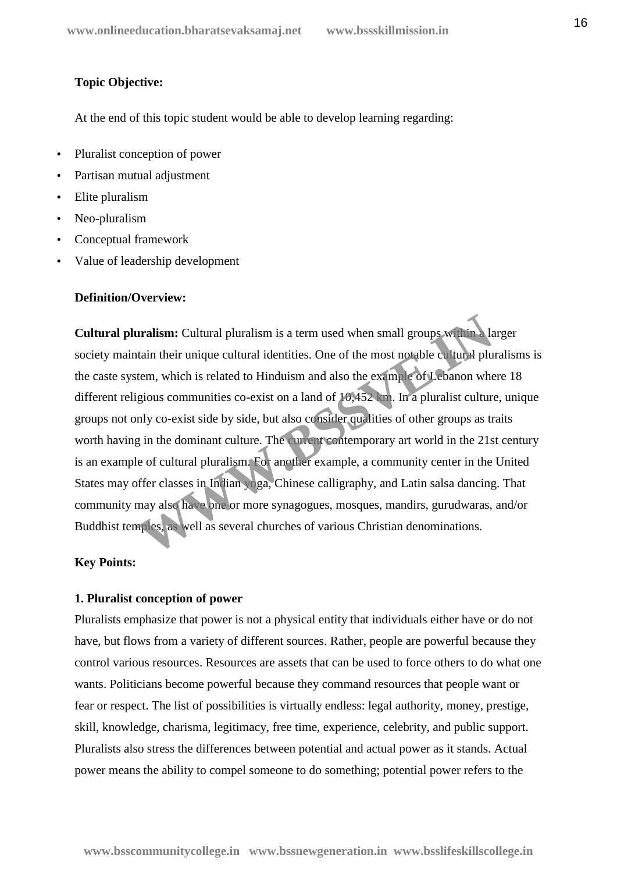## **Topic Objective:**

At the end of this topic student would be able to develop learning regarding:

- Pluralist conception of power
- Partisan mutual adjustment
- Elite pluralism
- Neo-pluralism
- Conceptual framework
- Value of leadership development

#### **Definition/Overview:**

**Cultural pluralism:** Cultural pluralism is a term used when small groups within a larger society maintain their unique cultural identities. One of the most notable cultural pluralisms is the caste system, which is related to Hinduism and also the example of Lebanon where 18 different religious communities co-exist on a land of 10,452 km. In a pluralist culture, unique groups not only co-exist side by side, but also consider qualities of other groups as traits worth having in the dominant culture. The current contemporary art world in the 21st century is an example of cultural pluralism. For another example, a community center in the United States may offer classes in Indian yoga, Chinese calligraphy, and Latin salsa dancing. That community may also have one or more synagogues, mosques, mandirs, gurudwaras, and/or Buddhist temples, as well as several churches of various Christian denominations. **Example 8.1** Cultural pluralism is a term used when small groups with a latain their unique cultural identities. One of the most notable cultural plu<br>tem, which is related to Hinduism and also the example of Lebanon whe<br>g

#### **Key Points:**

#### **1. Pluralist conception of power**

Pluralists emphasize that power is not a physical entity that individuals either have or do not have, but flows from a variety of different sources. Rather, people are powerful because they control various resources. Resources are assets that can be used to force others to do what one wants. Politicians become powerful because they command resources that people want or fear or respect. The list of possibilities is virtually endless: legal authority, money, prestige, skill, knowledge, charisma, legitimacy, free time, experience, celebrity, and public support. Pluralists also stress the differences between potential and actual power as it stands. Actual power means the ability to compel someone to do something; potential power refers to the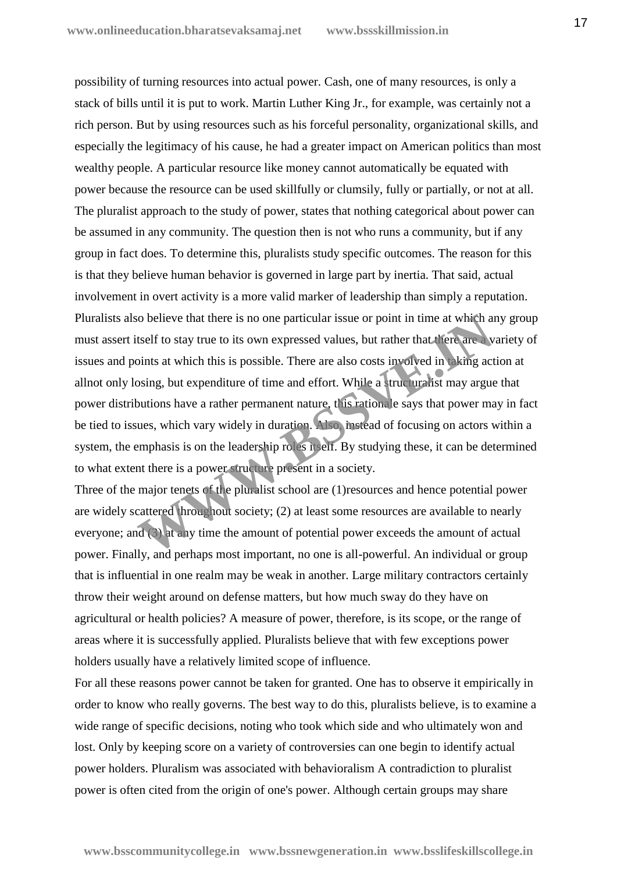possibility of turning resources into actual power. Cash, one of many resources, is only a stack of bills until it is put to work. Martin Luther King Jr., for example, was certainly not a rich person. But by using resources such as his forceful personality, organizational skills, and especially the legitimacy of his cause, he had a greater impact on American politics than most wealthy people. A particular resource like money cannot automatically be equated with power because the resource can be used skillfully or clumsily, fully or partially, or not at all. The pluralist approach to the study of power, states that nothing categorical about power can be assumed in any community. The question then is not who runs a community, but if any group in fact does. To determine this, pluralists study specific outcomes. The reason for this is that they believe human behavior is governed in large part by inertia. That said, actual involvement in overt activity is a more valid marker of leadership than simply a reputation. Pluralists also believe that there is no one particular issue or point in time at which any group must assert itself to stay true to its own expressed values, but rather that there are a variety of issues and points at which this is possible. There are also costs involved in taking action at allnot only losing, but expenditure of time and effort. While a structuralist may argue that power distributions have a rather permanent nature, this rationale says that power may in fact be tied to issues, which vary widely in duration. Also, instead of focusing on actors within a system, the emphasis is on the leadership roles itself. By studying these, it can be determined to what extent there is a power structure present in a society. **Example 18 Solution** issue or point in time at which as<br>tself to stay true to its own expressed values, but rather that there are a v<br>sints at which this is possible. There are also costs involved in a<br>king act<br>osing, but

Three of the major tenets of the pluralist school are (1)resources and hence potential power are widely scattered throughout society; (2) at least some resources are available to nearly everyone; and (3) at any time the amount of potential power exceeds the amount of actual power. Finally, and perhaps most important, no one is all-powerful. An individual or group that is influential in one realm may be weak in another. Large military contractors certainly throw their weight around on defense matters, but how much sway do they have on agricultural or health policies? A measure of power, therefore, is its scope, or the range of areas where it is successfully applied. Pluralists believe that with few exceptions power holders usually have a relatively limited scope of influence.

For all these reasons power cannot be taken for granted. One has to observe it empirically in order to know who really governs. The best way to do this, pluralists believe, is to examine a wide range of specific decisions, noting who took which side and who ultimately won and lost. Only by keeping score on a variety of controversies can one begin to identify actual power holders. Pluralism was associated with behavioralism A contradiction to pluralist power is often cited from the origin of one's power. Although certain groups may share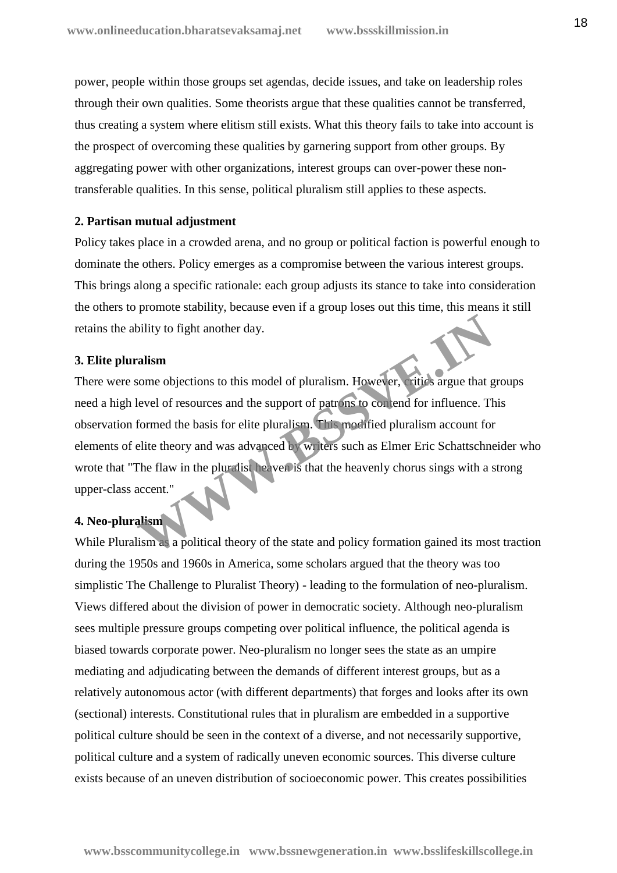power, people within those groups set agendas, decide issues, and take on leadership roles through their own qualities. Some theorists argue that these qualities cannot be transferred, thus creating a system where elitism still exists. What this theory fails to take into account is the prospect of overcoming these qualities by garnering support from other groups. By aggregating power with other organizations, interest groups can over-power these nontransferable qualities. In this sense, political pluralism still applies to these aspects.

## **2. Partisan mutual adjustment**

Policy takes place in a crowded arena, and no group or political faction is powerful enough to dominate the others. Policy emerges as a compromise between the various interest groups. This brings along a specific rationale: each group adjusts its stance to take into consideration the others to promote stability, because even if a group loses out this time, this means it still retains the ability to fight another day.

#### **3. Elite pluralism**

There were some objections to this model of pluralism. However, critics argue that groups need a high level of resources and the support of patrons to contend for influence. This observation formed the basis for elite pluralism. This modified pluralism account for elements of elite theory and was advanced by writers such as Elmer Eric Schattschneider who wrote that "The flaw in the pluralist heaven is that the heavenly chorus sings with a strong upper-class accent." **Example 18 Solution**<br> **We detect that the state of resources and the support of patrons to contend for influence. The<br>
formed the basis for elite pluralism. This modified pluralism account for<br>
elite theory and was advanc** 

## **4. Neo-pluralism**

While Pluralism as a political theory of the state and policy formation gained its most traction during the 1950s and 1960s in America, some scholars argued that the theory was too simplistic The Challenge to Pluralist Theory) - leading to the formulation of neo-pluralism. Views differed about the division of power in democratic society. Although neo-pluralism sees multiple pressure groups competing over political influence, the political agenda is biased towards corporate power. Neo-pluralism no longer sees the state as an umpire mediating and adjudicating between the demands of different interest groups, but as a relatively autonomous actor (with different departments) that forges and looks after its own (sectional) interests. Constitutional rules that in pluralism are embedded in a supportive political culture should be seen in the context of a diverse, and not necessarily supportive, political culture and a system of radically uneven economic sources. This diverse culture exists because of an uneven distribution of socioeconomic power. This creates possibilities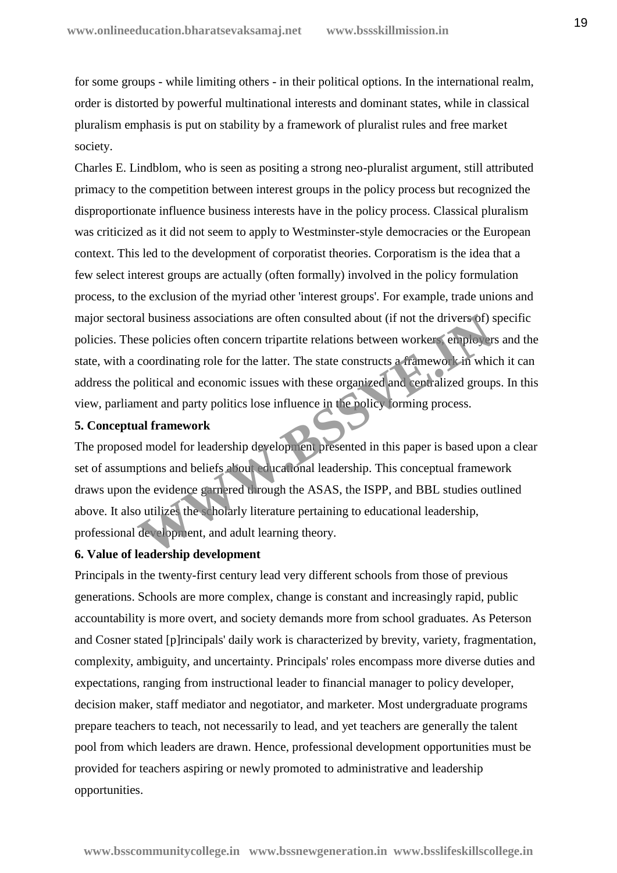for some groups - while limiting others - in their political options. In the international realm, order is distorted by powerful multinational interests and dominant states, while in classical pluralism emphasis is put on stability by a framework of pluralist rules and free market society.

Charles E. Lindblom, who is seen as positing a strong neo-pluralist argument, still attributed primacy to the competition between interest groups in the policy process but recognized the disproportionate influence business interests have in the policy process. Classical pluralism was criticized as it did not seem to apply to Westminster-style democracies or the European context. This led to the development of corporatist theories. Corporatism is the idea that a few select interest groups are actually (often formally) involved in the policy formulation process, to the exclusion of the myriad other 'interest groups'. For example, trade unions and major sectoral business associations are often consulted about (if not the drivers of) specific policies. These policies often concern tripartite relations between workers, employers and the state, with a coordinating role for the latter. The state constructs a framework in which it can address the political and economic issues with these organized and centralized groups. In this view, parliament and party politics lose influence in the policy forming process. al business associations are often consulted about (if not the drivers of) see policies often concern tripartite relations between workers employer coordinating role for the latter. The state constructs a tramework in whic

## **5. Conceptual framework**

The proposed model for leadership development presented in this paper is based upon a clear set of assumptions and beliefs about educational leadership. This conceptual framework draws upon the evidence garnered through the ASAS, the ISPP, and BBL studies outlined above. It also utilizes the scholarly literature pertaining to educational leadership, professional development, and adult learning theory.

## **6. Value of leadership development**

Principals in the twenty-first century lead very different schools from those of previous generations. Schools are more complex, change is constant and increasingly rapid, public accountability is more overt, and society demands more from school graduates. As Peterson and Cosner stated [p]rincipals' daily work is characterized by brevity, variety, fragmentation, complexity, ambiguity, and uncertainty. Principals' roles encompass more diverse duties and expectations, ranging from instructional leader to financial manager to policy developer, decision maker, staff mediator and negotiator, and marketer. Most undergraduate programs prepare teachers to teach, not necessarily to lead, and yet teachers are generally the talent pool from which leaders are drawn. Hence, professional development opportunities must be provided for teachers aspiring or newly promoted to administrative and leadership opportunities.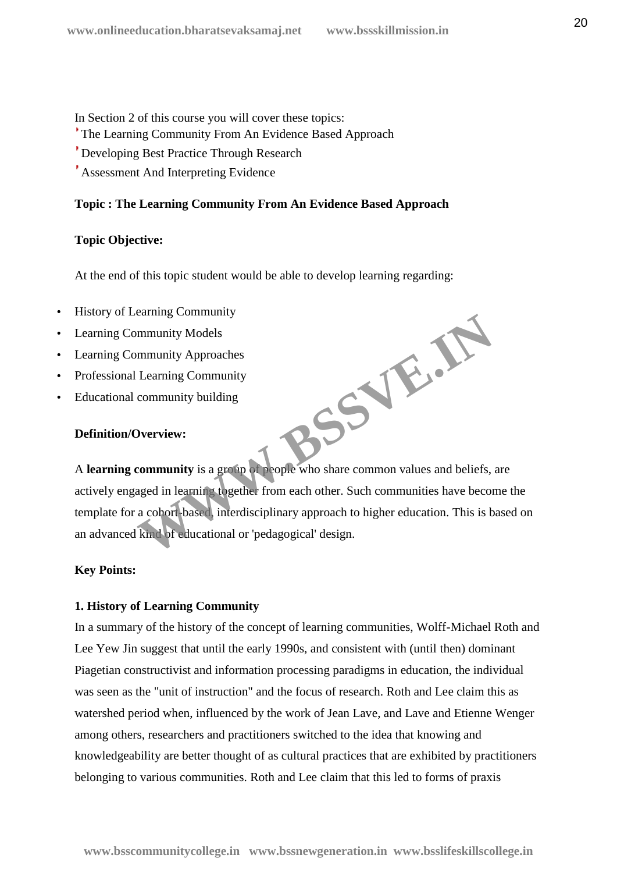In Section 2 of this course you will cover these topics:

The Learning Community From An Evidence Based Approach

Developing Best Practice Through Research

Assessment And Interpreting Evidence

## **Topic : The Learning Community From An Evidence Based Approach**

## **Topic Objective:**

At the end of this topic student would be able to develop learning regarding:

- History of Learning Community
- Learning Community Models
- Learning Community Approaches
- Professional Learning Community
- Educational community building

## **Definition/Overview:**

A **learning community** is a group of people who share common values and beliefs, are actively engaged in learning together from each other. Such communities have become the template for a cohort-based, interdisciplinary approach to higher education. This is based on an advanced kind of educational or 'pedagogical' design. **WWW.BSSVE.IN**

## **Key Points:**

## **1. History of Learning Community**

In a summary of the history of the concept of learning communities, Wolff-Michael Roth and Lee Yew Jin suggest that until the early 1990s, and consistent with (until then) dominant Piagetian constructivist and information processing paradigms in education, the individual was seen as the "unit of instruction" and the focus of research. Roth and Lee claim this as watershed period when, influenced by the work of Jean Lave, and Lave and Etienne Wenger among others, researchers and practitioners switched to the idea that knowing and knowledgeability are better thought of as cultural practices that are exhibited by practitioners belonging to various communities. Roth and Lee claim that this led to forms of praxis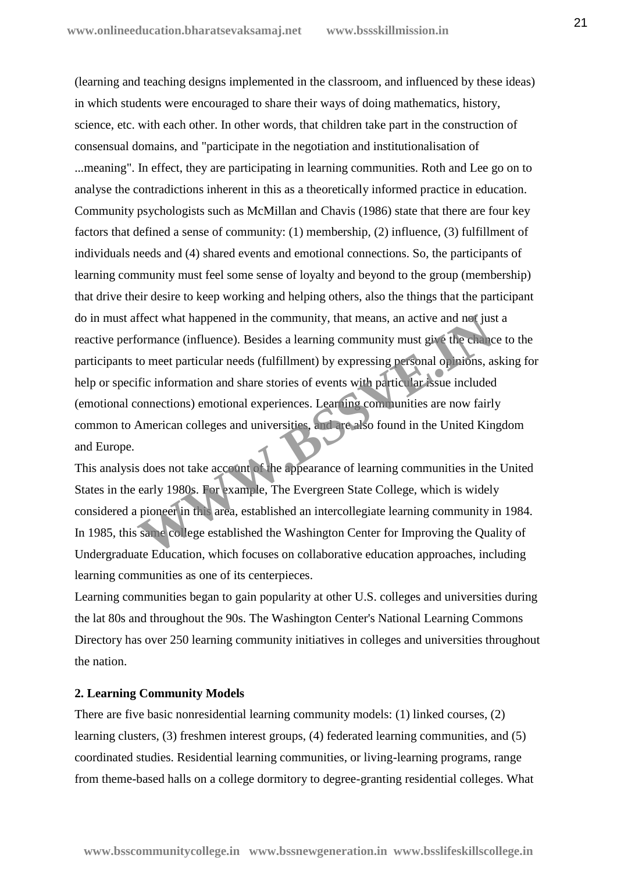(learning and teaching designs implemented in the classroom, and influenced by these ideas) in which students were encouraged to share their ways of doing mathematics, history, science, etc. with each other. In other words, that children take part in the construction of consensual domains, and "participate in the negotiation and institutionalisation of ...meaning". In effect, they are participating in learning communities. Roth and Lee go on to analyse the contradictions inherent in this as a theoretically informed practice in education. Community psychologists such as McMillan and Chavis (1986) state that there are four key factors that defined a sense of community: (1) membership, (2) influence, (3) fulfillment of individuals needs and (4) shared events and emotional connections. So, the participants of learning community must feel some sense of loyalty and beyond to the group (membership) that drive their desire to keep working and helping others, also the things that the participant do in must affect what happened in the community, that means, an active and not just a reactive performance (influence). Besides a learning community must give the chance to the participants to meet particular needs (fulfillment) by expressing personal opinions, asking for help or specific information and share stories of events with particular issue included (emotional connections) emotional experiences. Learning communities are now fairly common to American colleges and universities, and are also found in the United Kingdom and Europe. ffect what happened in the community, that means, an active and not just<br>formance (influence). Besides a learning community must give the chance<br>to meet particular needs (fulfillment) by expressing personal opinions, a<br>fit

This analysis does not take account of the appearance of learning communities in the United States in the early 1980s. For example, The Evergreen State College, which is widely considered a pioneer in this area, established an intercollegiate learning community in 1984. In 1985, this same college established the Washington Center for Improving the Quality of Undergraduate Education, which focuses on collaborative education approaches, including learning communities as one of its centerpieces.

Learning communities began to gain popularity at other U.S. colleges and universities during the lat 80s and throughout the 90s. The Washington Center's National Learning Commons Directory has over 250 learning community initiatives in colleges and universities throughout the nation.

#### **2. Learning Community Models**

There are five basic nonresidential learning community models: (1) linked courses, (2) learning clusters, (3) freshmen interest groups, (4) federated learning communities, and (5) coordinated studies. Residential learning communities, or living-learning programs, range from theme-based halls on a college dormitory to degree-granting residential colleges. What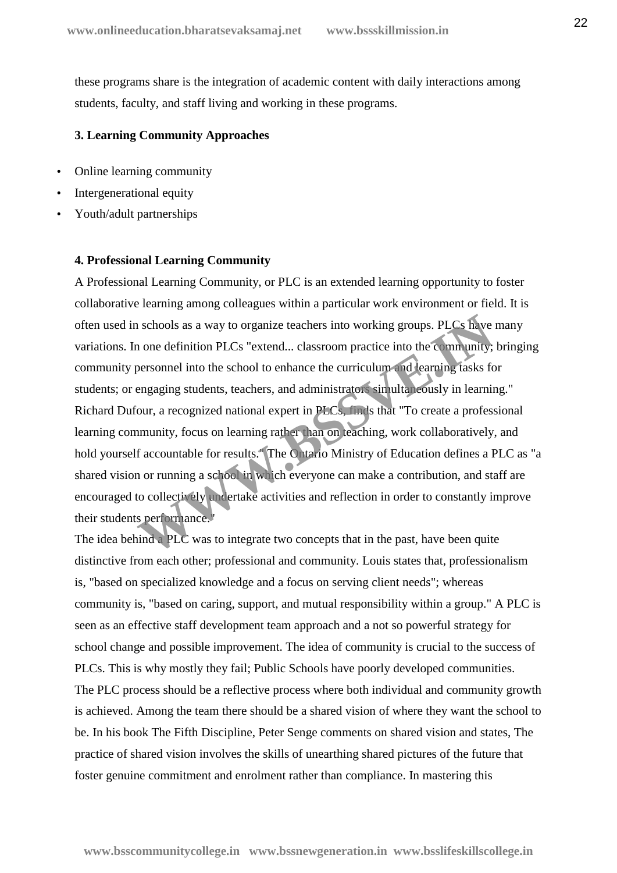these programs share is the integration of academic content with daily interactions among students, faculty, and staff living and working in these programs.

## **3. Learning Community Approaches**

- Online learning community
- Intergenerational equity
- Youth/adult partnerships

#### **4. Professional Learning Community**

A Professional Learning Community, or PLC is an extended learning opportunity to foster collaborative learning among colleagues within a particular work environment or field. It is often used in schools as a way to organize teachers into working groups. PLCs have many variations. In one definition PLCs "extend... classroom practice into the community; bringing community personnel into the school to enhance the curriculum and learning tasks for students; or engaging students, teachers, and administrators simultaneously in learning." Richard Dufour, a recognized national expert in PLCs, finds that "To create a professional learning community, focus on learning rather than on teaching, work collaboratively, and hold yourself accountable for results." The Ontario Ministry of Education defines a PLC as "a shared vision or running a school in which everyone can make a contribution, and staff are encouraged to collectively undertake activities and reflection in order to constantly improve their students performance." In schools as a way to organize teachers into working groups. PLCs have<br>a one definition PLCs "extend... classroom practice into the community;<br>personnel into the school to enhance the curriculum and learning tasks for<br>eng

The idea behind a PLC was to integrate two concepts that in the past, have been quite distinctive from each other; professional and community. Louis states that, professionalism is, "based on specialized knowledge and a focus on serving client needs"; whereas community is, "based on caring, support, and mutual responsibility within a group." A PLC is seen as an effective staff development team approach and a not so powerful strategy for school change and possible improvement. The idea of community is crucial to the success of PLCs. This is why mostly they fail; Public Schools have poorly developed communities. The PLC process should be a reflective process where both individual and community growth is achieved. Among the team there should be a shared vision of where they want the school to be. In his book The Fifth Discipline, Peter Senge comments on shared vision and states, The practice of shared vision involves the skills of unearthing shared pictures of the future that foster genuine commitment and enrolment rather than compliance. In mastering this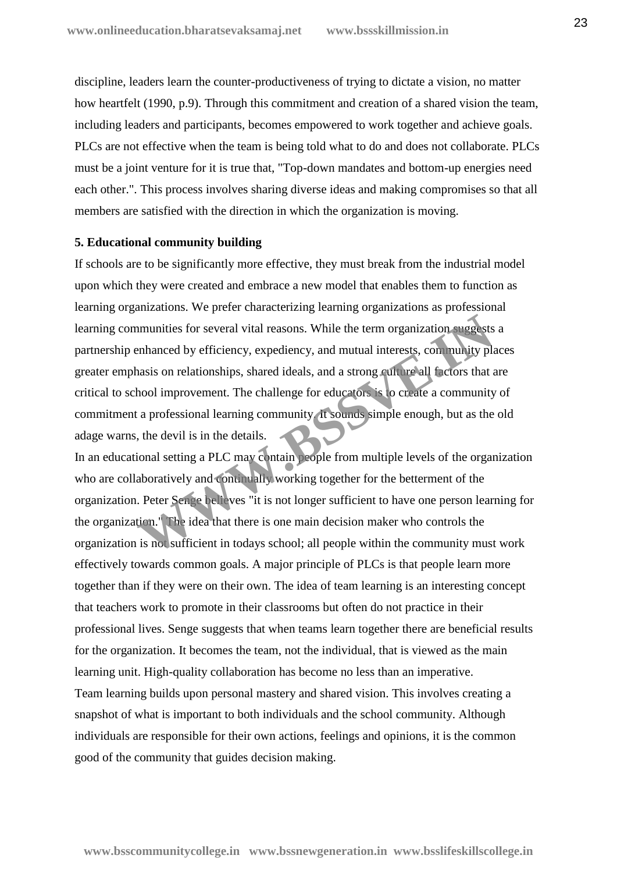discipline, leaders learn the counter-productiveness of trying to dictate a vision, no matter how heartfelt (1990, p.9). Through this commitment and creation of a shared vision the team, including leaders and participants, becomes empowered to work together and achieve goals. PLCs are not effective when the team is being told what to do and does not collaborate. PLCs must be a joint venture for it is true that, "Top-down mandates and bottom-up energies need each other.". This process involves sharing diverse ideas and making compromises so that all members are satisfied with the direction in which the organization is moving.

#### **5. Educational community building**

If schools are to be significantly more effective, they must break from the industrial model upon which they were created and embrace a new model that enables them to function as learning organizations. We prefer characterizing learning organizations as professional learning communities for several vital reasons. While the term organization suggests a partnership enhanced by efficiency, expediency, and mutual interests, community places greater emphasis on relationships, shared ideals, and a strong culture all factors that are critical to school improvement. The challenge for educators is to create a community of commitment a professional learning community. It sounds simple enough, but as the old adage warns, the devil is in the details. munities for several vital reasons. While the term organization suggests<br>enhanced by efficiency, expediency, and mutual interests, community pla<br>asis on relationships, shared ideals, and a strong culture all fictors that a

In an educational setting a PLC may contain people from multiple levels of the organization who are collaboratively and continually working together for the betterment of the organization. Peter Senge believes "it is not longer sufficient to have one person learning for the organization." The idea that there is one main decision maker who controls the organization is not sufficient in todays school; all people within the community must work effectively towards common goals. A major principle of PLCs is that people learn more together than if they were on their own. The idea of team learning is an interesting concept that teachers work to promote in their classrooms but often do not practice in their professional lives. Senge suggests that when teams learn together there are beneficial results for the organization. It becomes the team, not the individual, that is viewed as the main learning unit. High-quality collaboration has become no less than an imperative. Team learning builds upon personal mastery and shared vision. This involves creating a snapshot of what is important to both individuals and the school community. Although individuals are responsible for their own actions, feelings and opinions, it is the common good of the community that guides decision making.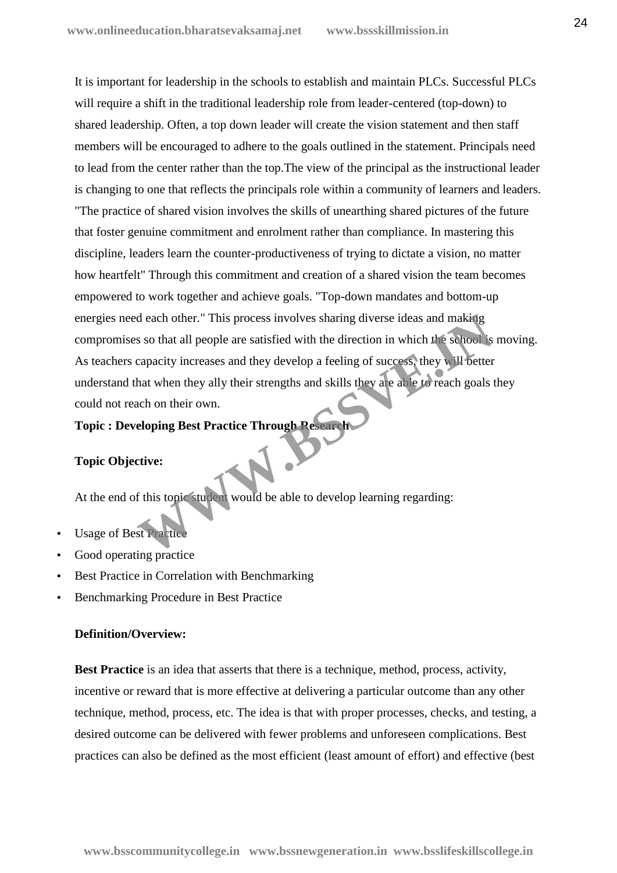It is important for leadership in the schools to establish and maintain PLCs. Successful PLCs will require a shift in the traditional leadership role from leader-centered (top-down) to shared leadership. Often, a top down leader will create the vision statement and then staff members will be encouraged to adhere to the goals outlined in the statement. Principals need to lead from the center rather than the top.The view of the principal as the instructional leader is changing to one that reflects the principals role within a community of learners and leaders. "The practice of shared vision involves the skills of unearthing shared pictures of the future that foster genuine commitment and enrolment rather than compliance. In mastering this discipline, leaders learn the counter-productiveness of trying to dictate a vision, no matter how heartfelt" Through this commitment and creation of a shared vision the team becomes empowered to work together and achieve goals. "Top-down mandates and bottom-up energies need each other." This process involves sharing diverse ideas and making compromises so that all people are satisfied with the direction in which the school is moving. As teachers capacity increases and they develop a feeling of success, they will better understand that when they ally their strengths and skills they are able to reach goals they could not reach on their own. d each other." This process involves sharing diverse ideas and making<br>s so that all people are satisfied with the direction in which the school is<br>capacity increases and they develop a feeling of success, they will better<br>

## **Topic : Developing Best Practice Through Research**

## **Topic Objective:**

At the end of this topic student would be able to develop learning regarding:

- Usage of Best Practice
- Good operating practice
- Best Practice in Correlation with Benchmarking
- Benchmarking Procedure in Best Practice

#### **Definition/Overview:**

**Best Practice** is an idea that asserts that there is a technique, method, process, activity, incentive or reward that is more effective at delivering a particular outcome than any other technique, method, process, etc. The idea is that with proper processes, checks, and testing, a desired outcome can be delivered with fewer problems and unforeseen complications. Best practices can also be defined as the most efficient (least amount of effort) and effective (best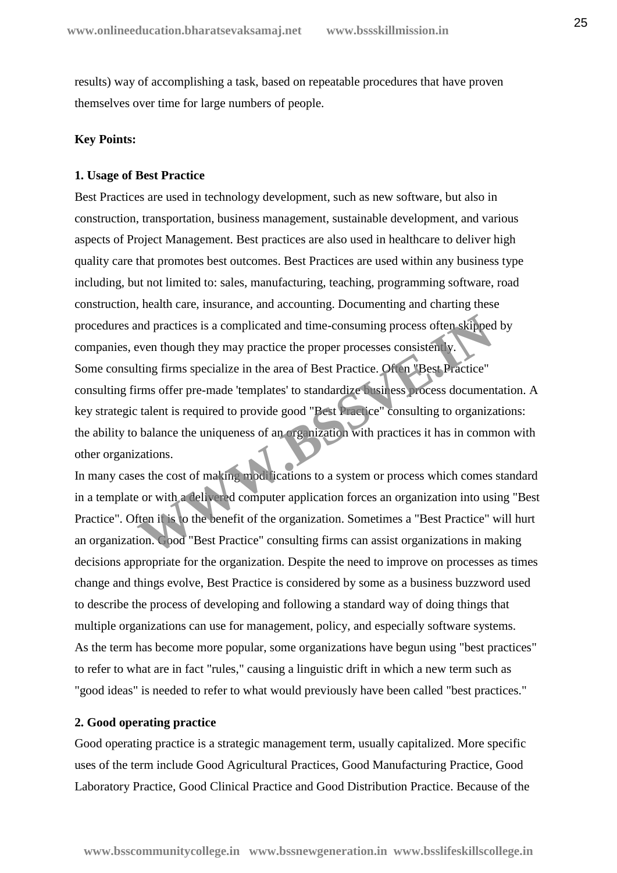results) way of accomplishing a task, based on repeatable procedures that have proven themselves over time for large numbers of people.

#### **Key Points:**

#### **1. Usage of Best Practice**

Best Practices are used in technology development, such as new software, but also in construction, transportation, business management, sustainable development, and various aspects of Project Management. Best practices are also used in healthcare to deliver high quality care that promotes best outcomes. Best Practices are used within any business type including, but not limited to: sales, manufacturing, teaching, programming software, road construction, health care, insurance, and accounting. Documenting and charting these procedures and practices is a complicated and time-consuming process often skipped by companies, even though they may practice the proper processes consistently. Some consulting firms specialize in the area of Best Practice. Often "Best Practice" consulting firms offer pre-made 'templates' to standardize business process documentation. A key strategic talent is required to provide good "Best Practice" consulting to organizations: the ability to balance the uniqueness of an organization with practices it has in common with other organizations. and practices is a complicated and time-consuming process often skipped<br>
Even though they may practice the proper processes consistently.<br>
Hing firms specialize in the area of Best Practice. Often "Best Practice"<br>
rms offe

In many cases the cost of making modifications to a system or process which comes standard in a template or with a delivered computer application forces an organization into using "Best Practice". Often it is to the benefit of the organization. Sometimes a "Best Practice" will hurt an organization. Good "Best Practice" consulting firms can assist organizations in making decisions appropriate for the organization. Despite the need to improve on processes as times change and things evolve, Best Practice is considered by some as a business buzzword used to describe the process of developing and following a standard way of doing things that multiple organizations can use for management, policy, and especially software systems. As the term has become more popular, some organizations have begun using "best practices" to refer to what are in fact "rules," causing a linguistic drift in which a new term such as "good ideas" is needed to refer to what would previously have been called "best practices."

#### **2. Good operating practice**

Good operating practice is a strategic management term, usually capitalized. More specific uses of the term include Good Agricultural Practices, Good Manufacturing Practice, Good Laboratory Practice, Good Clinical Practice and Good Distribution Practice. Because of the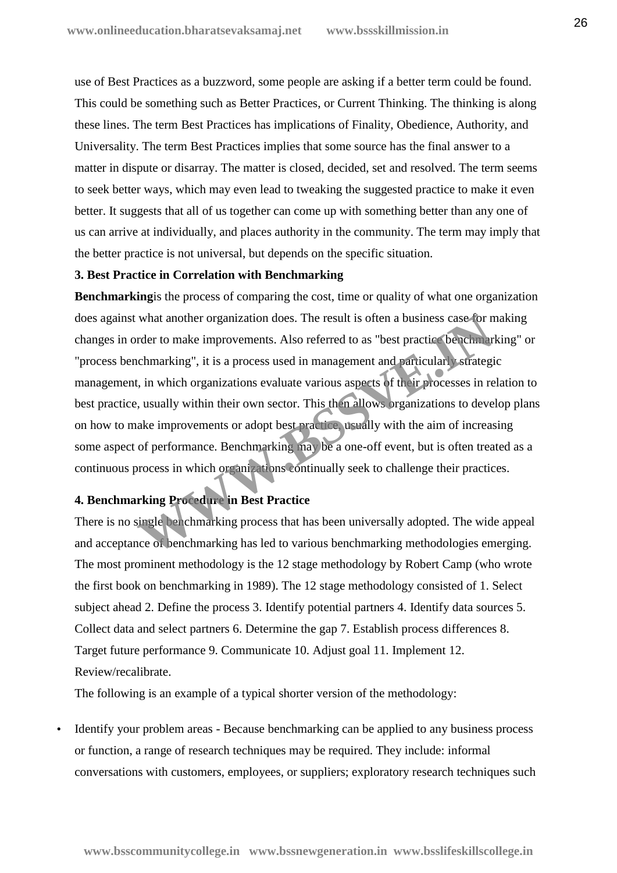use of Best Practices as a buzzword, some people are asking if a better term could be found. This could be something such as Better Practices, or Current Thinking. The thinking is along these lines. The term Best Practices has implications of Finality, Obedience, Authority, and Universality. The term Best Practices implies that some source has the final answer to a matter in dispute or disarray. The matter is closed, decided, set and resolved. The term seems to seek better ways, which may even lead to tweaking the suggested practice to make it even better. It suggests that all of us together can come up with something better than any one of us can arrive at individually, and places authority in the community. The term may imply that the better practice is not universal, but depends on the specific situation.

#### **3. Best Practice in Correlation with Benchmarking**

**Benchmarking**is the process of comparing the cost, time or quality of what one organization does against what another organization does. The result is often a business case for making changes in order to make improvements. Also referred to as "best practice benchmarking" or "process benchmarking", it is a process used in management and particularly strategic management, in which organizations evaluate various aspects of their processes in relation to best practice, usually within their own sector. This then allows organizations to develop plans on how to make improvements or adopt best practice, usually with the aim of increasing some aspect of performance. Benchmarking may be a one-off event, but is often treated as a continuous process in which organizations continually seek to challenge their practices. what another organization does. The result is often a business case for n<br>rder to make improvements. Also referred to as "best practice benchmarking", it is a process used in management and *pa*rticular) strategi<br>t, in whi

## **4. Benchmarking Procedure in Best Practice**

There is no single benchmarking process that has been universally adopted. The wide appeal and acceptance of benchmarking has led to various benchmarking methodologies emerging. The most prominent methodology is the 12 stage methodology by Robert Camp (who wrote the first book on benchmarking in 1989). The 12 stage methodology consisted of 1. Select subject ahead 2. Define the process 3. Identify potential partners 4. Identify data sources 5. Collect data and select partners 6. Determine the gap 7. Establish process differences 8. Target future performance 9. Communicate 10. Adjust goal 11. Implement 12. Review/recalibrate.

The following is an example of a typical shorter version of the methodology:

 Identify your problem areas - Because benchmarking can be applied to any business process or function, a range of research techniques may be required. They include: informal conversations with customers, employees, or suppliers; exploratory research techniques such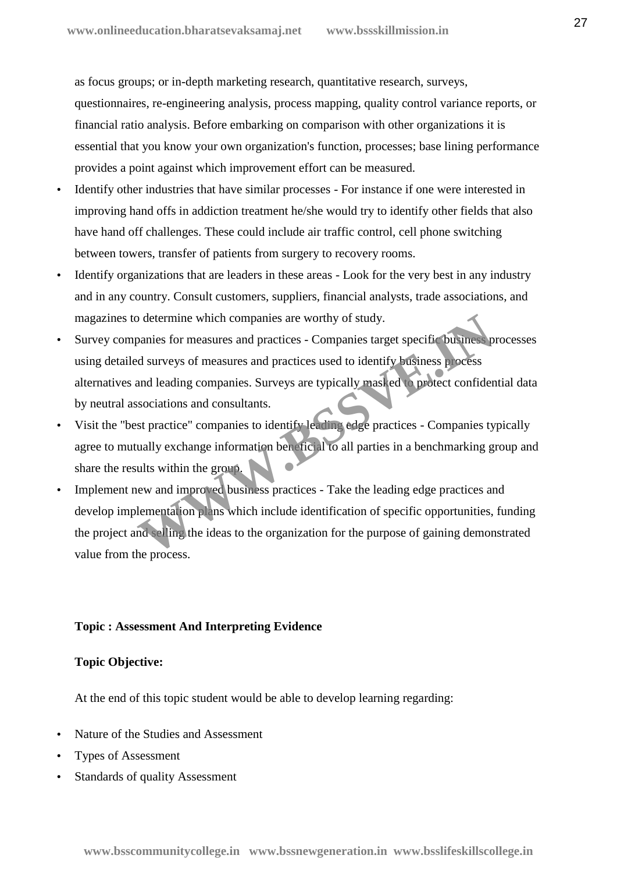as focus groups; or in-depth marketing research, quantitative research, surveys, questionnaires, re-engineering analysis, process mapping, quality control variance reports, or financial ratio analysis. Before embarking on comparison with other organizations it is essential that you know your own organization's function, processes; base lining performance provides a point against which improvement effort can be measured.

- Identify other industries that have similar processes For instance if one were interested in improving hand offs in addiction treatment he/she would try to identify other fields that also have hand off challenges. These could include air traffic control, cell phone switching between towers, transfer of patients from surgery to recovery rooms.
- Identify organizations that are leaders in these areas Look for the very best in any industry and in any country. Consult customers, suppliers, financial analysts, trade associations, and magazines to determine which companies are worthy of study.
- Survey companies for measures and practices Companies target specific business processes using detailed surveys of measures and practices used to identify business process alternatives and leading companies. Surveys are typically masked to protect confidential data by neutral associations and consultants. Contained which companies are worthy of study.<br>
Deanies for measures and practices - Companies target specific business processes<br>
and leading companies. Surveys are typically masked to protect confider<br>
sociations and con
- Visit the "best practice" companies to identify leading edge practices Companies typically agree to mutually exchange information beneficial to all parties in a benchmarking group and share the results within the group.
- Implement new and improved business practices Take the leading edge practices and develop implementation plans which include identification of specific opportunities, funding the project and selling the ideas to the organization for the purpose of gaining demonstrated value from the process.

## **Topic : Assessment And Interpreting Evidence**

## **Topic Objective:**

At the end of this topic student would be able to develop learning regarding:

- Nature of the Studies and Assessment
- Types of Assessment
- Standards of quality Assessment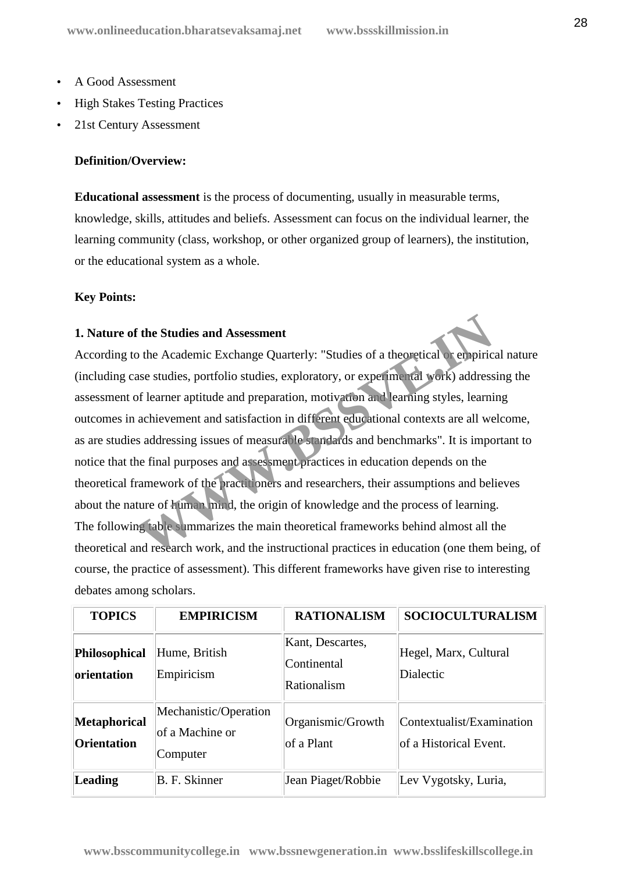- A Good Assessment
- High Stakes Testing Practices
- 21st Century Assessment

## **Definition/Overview:**

**Educational assessment** is the process of documenting, usually in measurable terms, knowledge, skills, attitudes and beliefs. Assessment can focus on the individual learner, the learning community (class, workshop, or other organized group of learners), the institution, or the educational system as a whole.

## **Key Points:**

## **1. Nature of the Studies and Assessment**

According to the Academic Exchange Quarterly: "Studies of a theoretical or empirical nature (including case studies, portfolio studies, exploratory, or experimental work) addressing the assessment of learner aptitude and preparation, motivation and learning styles, learning outcomes in achievement and satisfaction in different educational contexts are all welcome, as are studies addressing issues of measurable standards and benchmarks". It is important to notice that the final purposes and assessment practices in education depends on the theoretical framework of the practitioners and researchers, their assumptions and believes about the nature of human mind, the origin of knowledge and the process of learning. The following table summarizes the main theoretical frameworks behind almost all the theoretical and research work, and the instructional practices in education (one them being, of course, the practice of assessment). This different frameworks have given rise to interesting debates among scholars. The Studies and Assessment<br>
2) the Academic Exchange Quarterly: "Studies of a theoretical or empiric<br>
1) the Academic Exchange Quarterly: "Studies of a theoretical or empiric<br>
1) sets studies, portfolio studies, explorator

| <b>TOPICS</b>                             | <b>EMPIRICISM</b>                                    | <b>RATIONALISM</b>                             | <b>SOCIOCULTURALISM</b>                             |
|-------------------------------------------|------------------------------------------------------|------------------------------------------------|-----------------------------------------------------|
| Philosophical<br>orientation              | Hume, British<br>Empiricism                          | Kant, Descartes,<br>Continental<br>Rationalism | Hegel, Marx, Cultural<br><b>Dialectic</b>           |
| <b>Metaphorical</b><br><b>Orientation</b> | Mechanistic/Operation<br>of a Machine or<br>Computer | Organismic/Growth<br>of a Plant                | Contextualist/Examination<br>of a Historical Event. |
| <b>Leading</b>                            | B. F. Skinner                                        | Jean Piaget/Robbie                             | Lev Vygotsky, Luria,                                |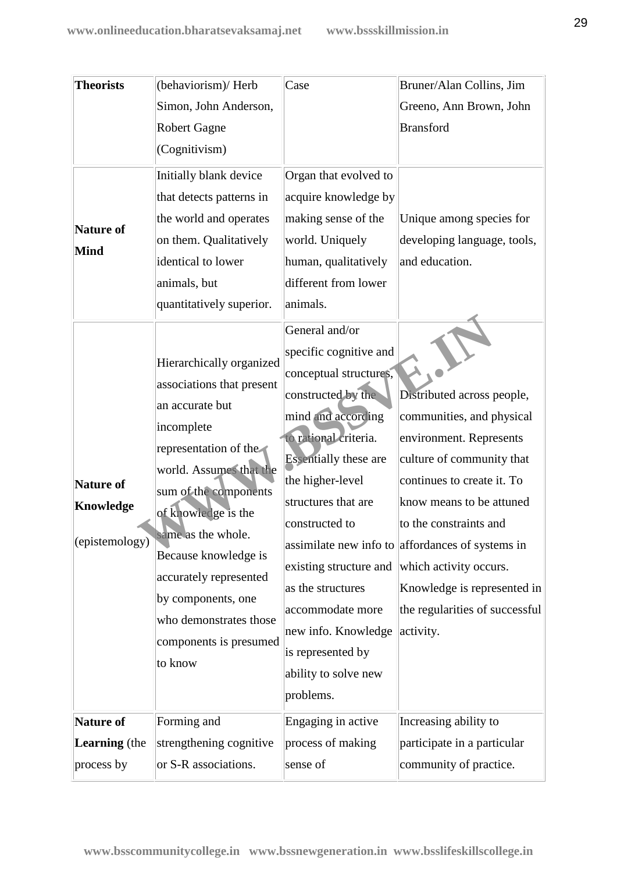| <b>Theorists</b><br>Nature of<br>Mind    | (behaviorism)/ Herb<br>Simon, John Anderson,<br><b>Robert Gagne</b><br>(Cognitivism)<br>Initially blank device<br>that detects patterns in<br>the world and operates<br>on them. Qualitatively<br>identical to lower<br>animals, but<br>quantitatively superior.                                                                                        | Case<br>Organ that evolved to<br>acquire knowledge by<br>making sense of the<br>world. Uniquely<br>human, qualitatively<br>different from lower<br>animals.                                                                                                                                                                                                                              | Bruner/Alan Collins, Jim<br>Greeno, Ann Brown, John<br><b>Bransford</b><br>Unique among species for<br>developing language, tools,<br>and education.                                                                                                                                                                                                            |
|------------------------------------------|---------------------------------------------------------------------------------------------------------------------------------------------------------------------------------------------------------------------------------------------------------------------------------------------------------------------------------------------------------|------------------------------------------------------------------------------------------------------------------------------------------------------------------------------------------------------------------------------------------------------------------------------------------------------------------------------------------------------------------------------------------|-----------------------------------------------------------------------------------------------------------------------------------------------------------------------------------------------------------------------------------------------------------------------------------------------------------------------------------------------------------------|
| Nature of<br>Knowledge<br>(epistemology) | Hierarchically organized<br>associations that present<br>an accurate but<br>incomplete<br>representation of the<br>world. Assumes that the<br>sum of the components<br>of knowledge is the<br>same as the whole.<br>Because knowledge is<br>accurately represented<br>by components, one<br>who demonstrates those<br>components is presumed<br>to know | General and/or<br>specific cognitive and<br>conceptual structures,<br>constructed by the<br>mind and according<br>to rational criteria.<br><b>Essentially these are</b><br>the higher-level<br>structures that are<br>constructed to<br>existing structure and<br>as the structures<br>accommodate more<br>new info. Knowledge<br>is represented by<br>ability to solve new<br>problems. | Distributed across people,<br>communities, and physical<br>environment. Represents<br>culture of community that<br>continues to create it. To<br>know means to be attuned<br>to the constraints and<br>assimilate new info to affordances of systems in<br>which activity occurs.<br>Knowledge is represented in<br>the regularities of successful<br>activity. |
| Nature of                                | Forming and                                                                                                                                                                                                                                                                                                                                             | Engaging in active                                                                                                                                                                                                                                                                                                                                                                       | Increasing ability to                                                                                                                                                                                                                                                                                                                                           |
| Learning (the                            | strengthening cognitive                                                                                                                                                                                                                                                                                                                                 | process of making                                                                                                                                                                                                                                                                                                                                                                        | participate in a particular                                                                                                                                                                                                                                                                                                                                     |
| process by                               | or S-R associations.                                                                                                                                                                                                                                                                                                                                    | sense of                                                                                                                                                                                                                                                                                                                                                                                 | community of practice.                                                                                                                                                                                                                                                                                                                                          |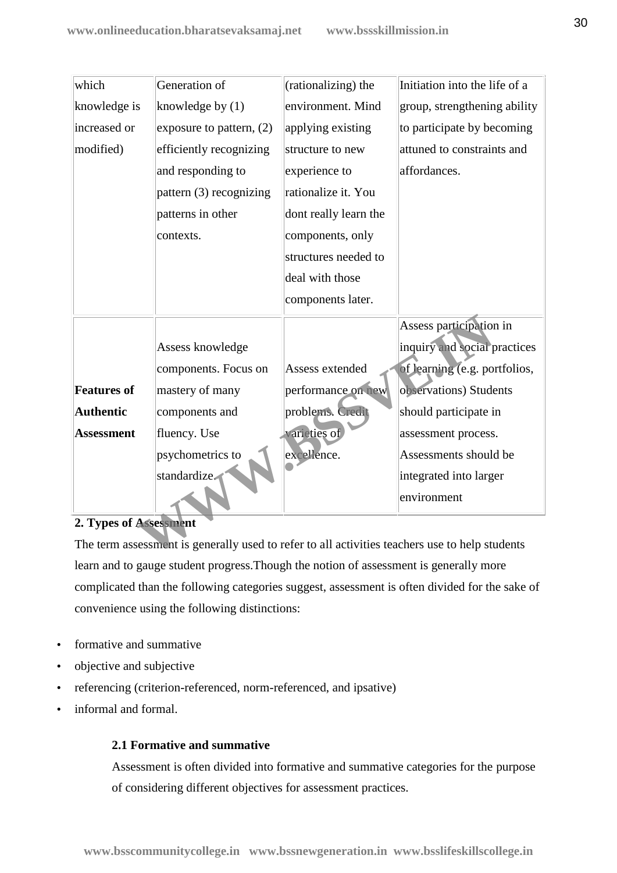| knowledge by $(1)$<br>environment. Mind<br>group, strengthening ability<br>applying existing<br>to participate by becoming<br>exposure to pattern, $(2)$<br>efficiently recognizing<br>attuned to constraints and<br>structure to new<br>and responding to<br>affordances.<br>experience to<br>rationalize it. You<br>pattern (3) recognizing<br>patterns in other<br>dont really learn the<br>components, only<br>contexts.<br>structures needed to<br>deal with those<br>components later.<br>Assess participation in<br>inquiry and social practices<br>Assess knowledge<br>of learning (e.g. portfolios,<br>components. Focus on<br>Assess extended<br>performance on new<br>observations) Students<br>mastery of many<br>problems. Credit<br>components and<br>should participate in<br>varieties of<br>fluency. Use<br>assessment process.<br>excellence.<br>psychometrics to<br>Assessments should be<br>standardize.<br>integrated into larger<br>environment<br>2. Types of Assessment |                    |               |                     |                               |
|-------------------------------------------------------------------------------------------------------------------------------------------------------------------------------------------------------------------------------------------------------------------------------------------------------------------------------------------------------------------------------------------------------------------------------------------------------------------------------------------------------------------------------------------------------------------------------------------------------------------------------------------------------------------------------------------------------------------------------------------------------------------------------------------------------------------------------------------------------------------------------------------------------------------------------------------------------------------------------------------------|--------------------|---------------|---------------------|-------------------------------|
|                                                                                                                                                                                                                                                                                                                                                                                                                                                                                                                                                                                                                                                                                                                                                                                                                                                                                                                                                                                                 | which              | Generation of | (rationalizing) the | Initiation into the life of a |
|                                                                                                                                                                                                                                                                                                                                                                                                                                                                                                                                                                                                                                                                                                                                                                                                                                                                                                                                                                                                 | knowledge is       |               |                     |                               |
|                                                                                                                                                                                                                                                                                                                                                                                                                                                                                                                                                                                                                                                                                                                                                                                                                                                                                                                                                                                                 | increased or       |               |                     |                               |
|                                                                                                                                                                                                                                                                                                                                                                                                                                                                                                                                                                                                                                                                                                                                                                                                                                                                                                                                                                                                 | modified)          |               |                     |                               |
|                                                                                                                                                                                                                                                                                                                                                                                                                                                                                                                                                                                                                                                                                                                                                                                                                                                                                                                                                                                                 |                    |               |                     |                               |
|                                                                                                                                                                                                                                                                                                                                                                                                                                                                                                                                                                                                                                                                                                                                                                                                                                                                                                                                                                                                 |                    |               |                     |                               |
|                                                                                                                                                                                                                                                                                                                                                                                                                                                                                                                                                                                                                                                                                                                                                                                                                                                                                                                                                                                                 |                    |               |                     |                               |
|                                                                                                                                                                                                                                                                                                                                                                                                                                                                                                                                                                                                                                                                                                                                                                                                                                                                                                                                                                                                 |                    |               |                     |                               |
|                                                                                                                                                                                                                                                                                                                                                                                                                                                                                                                                                                                                                                                                                                                                                                                                                                                                                                                                                                                                 |                    |               |                     |                               |
|                                                                                                                                                                                                                                                                                                                                                                                                                                                                                                                                                                                                                                                                                                                                                                                                                                                                                                                                                                                                 |                    |               |                     |                               |
|                                                                                                                                                                                                                                                                                                                                                                                                                                                                                                                                                                                                                                                                                                                                                                                                                                                                                                                                                                                                 |                    |               |                     |                               |
|                                                                                                                                                                                                                                                                                                                                                                                                                                                                                                                                                                                                                                                                                                                                                                                                                                                                                                                                                                                                 |                    |               |                     |                               |
|                                                                                                                                                                                                                                                                                                                                                                                                                                                                                                                                                                                                                                                                                                                                                                                                                                                                                                                                                                                                 |                    |               |                     |                               |
|                                                                                                                                                                                                                                                                                                                                                                                                                                                                                                                                                                                                                                                                                                                                                                                                                                                                                                                                                                                                 |                    |               |                     |                               |
|                                                                                                                                                                                                                                                                                                                                                                                                                                                                                                                                                                                                                                                                                                                                                                                                                                                                                                                                                                                                 | <b>Features of</b> |               |                     |                               |
|                                                                                                                                                                                                                                                                                                                                                                                                                                                                                                                                                                                                                                                                                                                                                                                                                                                                                                                                                                                                 | <b>Authentic</b>   |               |                     |                               |
|                                                                                                                                                                                                                                                                                                                                                                                                                                                                                                                                                                                                                                                                                                                                                                                                                                                                                                                                                                                                 | <b>Assessment</b>  |               |                     |                               |
|                                                                                                                                                                                                                                                                                                                                                                                                                                                                                                                                                                                                                                                                                                                                                                                                                                                                                                                                                                                                 |                    |               |                     |                               |
|                                                                                                                                                                                                                                                                                                                                                                                                                                                                                                                                                                                                                                                                                                                                                                                                                                                                                                                                                                                                 |                    |               |                     |                               |
|                                                                                                                                                                                                                                                                                                                                                                                                                                                                                                                                                                                                                                                                                                                                                                                                                                                                                                                                                                                                 |                    |               |                     |                               |
|                                                                                                                                                                                                                                                                                                                                                                                                                                                                                                                                                                                                                                                                                                                                                                                                                                                                                                                                                                                                 |                    |               |                     |                               |
| The term assessment is generally used to refer to all activities teachers use to help students                                                                                                                                                                                                                                                                                                                                                                                                                                                                                                                                                                                                                                                                                                                                                                                                                                                                                                  |                    |               |                     |                               |

## **2. Types of Assessment**

The term assessment is generally used to refer to all activities teachers use to help students learn and to gauge student progress.Though the notion of assessment is generally more complicated than the following categories suggest, assessment is often divided for the sake of convenience using the following distinctions:

- formative and summative
- objective and subjective
- referencing (criterion-referenced, norm-referenced, and ipsative)
- informal and formal.

## **2.1 Formative and summative**

Assessment is often divided into formative and summative categories for the purpose of considering different objectives for assessment practices.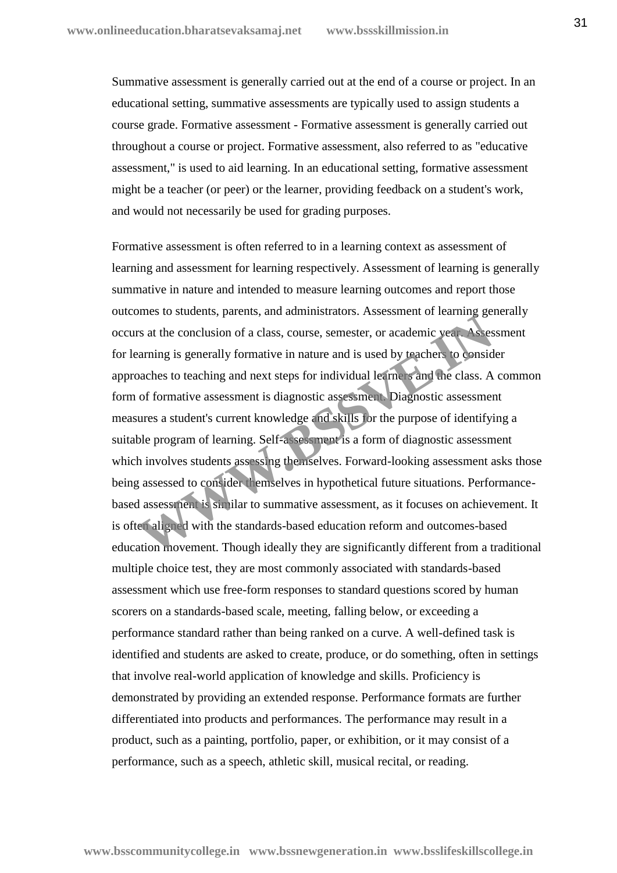Summative assessment is generally carried out at the end of a course or project. In an educational setting, summative assessments are typically used to assign students a course grade. Formative assessment - Formative assessment is generally carried out throughout a course or project. Formative assessment, also referred to as "educative assessment," is used to aid learning. In an educational setting, formative assessment might be a teacher (or peer) or the learner, providing feedback on a student's work, and would not necessarily be used for grading purposes.

Formative assessment is often referred to in a learning context as assessment of learning and assessment for learning respectively. Assessment of learning is generally summative in nature and intended to measure learning outcomes and report those outcomes to students, parents, and administrators. Assessment of learning generally occurs at the conclusion of a class, course, semester, or academic year. Assessment for learning is generally formative in nature and is used by teachers to consider approaches to teaching and next steps for individual learners and the class. A common form of formative assessment is diagnostic assessment. Diagnostic assessment measures a student's current knowledge and skills for the purpose of identifying a suitable program of learning. Self-assessment is a form of diagnostic assessment which involves students assessing themselves. Forward-looking assessment asks those being assessed to consider themselves in hypothetical future situations. Performance based assessment is similar to summative assessment, as it focuses on achievement. It is often aligned with the standards-based education reform and outcomes-based education movement. Though ideally they are significantly different from a traditional multiple choice test, they are most commonly associated with standards-based assessment which use free-form responses to standard questions scored by human scorers on a standards-based scale, meeting, falling below, or exceeding a performance standard rather than being ranked on a curve. A well-defined task is identified and students are asked to create, produce, or do something, often in settings that involve real-world application of knowledge and skills. Proficiency is demonstrated by providing an extended response. Performance formats are further differentiated into products and performances. The performance may result in a product, such as a painting, portfolio, paper, or exhibition, or it may consist of a performance, such as a speech, athletic skill, musical recital, or reading. These to statems, parents, and daministrators. Tissessment of realitions general and the conclusion of a class, course, semester, or academic year Assessment parently formative in nature and is used by teachers to consider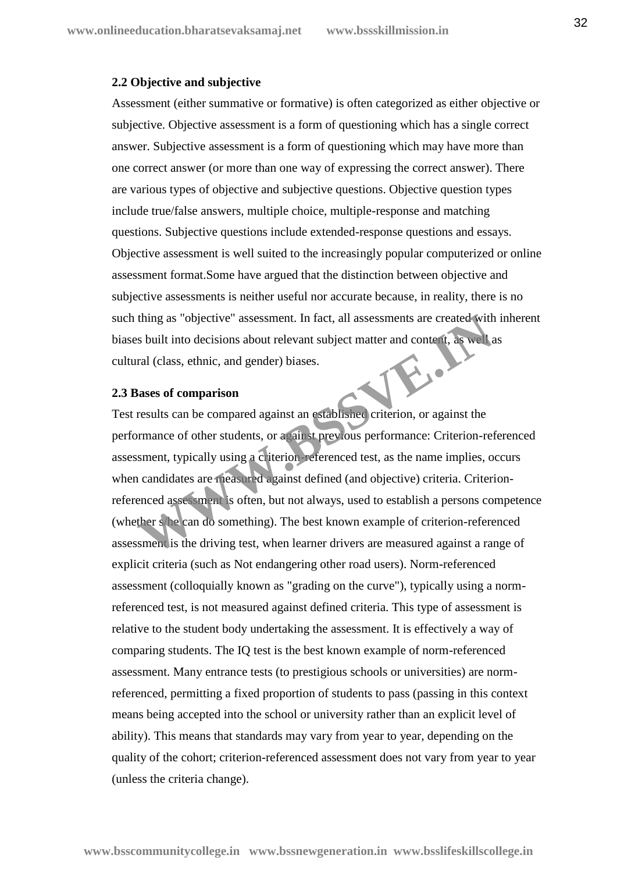#### **2.2 Objective and subjective**

Assessment (either summative or formative) is often categorized as either objective or subjective. Objective assessment is a form of questioning which has a single correct answer. Subjective assessment is a form of questioning which may have more than one correct answer (or more than one way of expressing the correct answer). There are various types of objective and subjective questions. Objective question types include true/false answers, multiple choice, multiple-response and matching questions. Subjective questions include extended-response questions and essays. Objective assessment is well suited to the increasingly popular computerized or online assessment format.Some have argued that the distinction between objective and subjective assessments is neither useful nor accurate because, in reality, there is no such thing as "objective" assessment. In fact, all assessments are created with inherent biases built into decisions about relevant subject matter and content, as well as cultural (class, ethnic, and gender) biases.

#### **2.3 Bases of comparison**

Test results can be compared against an established criterion, or against the performance of other students, or against previous performance: Criterion-referenced assessment, typically using a criterion-referenced test, as the name implies, occurs when candidates are measured against defined (and objective) criteria. Criterionreferenced assessment is often, but not always, used to establish a persons competence (whether s/he can do something). The best known example of criterion-referenced assessment is the driving test, when learner drivers are measured against a range of explicit criteria (such as Not endangering other road users). Norm-referenced assessment (colloquially known as "grading on the curve"), typically using a normreferenced test, is not measured against defined criteria. This type of assessment is relative to the student body undertaking the assessment. It is effectively a way of comparing students. The IQ test is the best known example of norm-referenced assessment. Many entrance tests (to prestigious schools or universities) are normreferenced, permitting a fixed proportion of students to pass (passing in this context means being accepted into the school or university rather than an explicit level of ability). This means that standards may vary from year to year, depending on the quality of the cohort; criterion-referenced assessment does not vary from year to year (unless the criteria change). thing as "objective" assessment. In fact, all assessments are created with<br>the soluit into decisions about relevant subject matter and content, as well<br>as calculates, ethnic, and gender) biases.<br>**Sases of comparison**<br>resul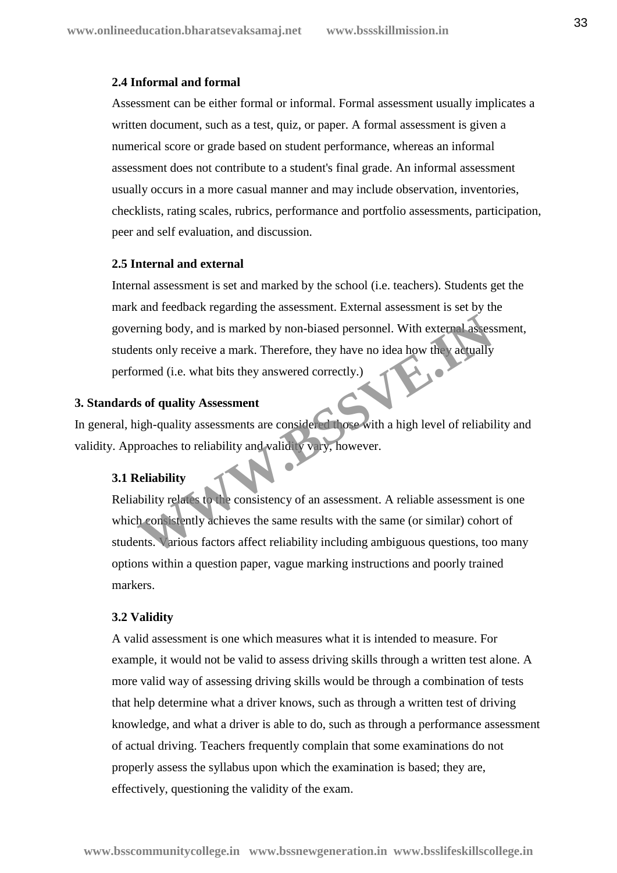#### **2.4 Informal and formal**

Assessment can be either formal or informal. Formal assessment usually implicates a written document, such as a test, quiz, or paper. A formal assessment is given a numerical score or grade based on student performance, whereas an informal assessment does not contribute to a student's final grade. An informal assessment usually occurs in a more casual manner and may include observation, inventories, checklists, rating scales, rubrics, performance and portfolio assessments, participation, peer and self evaluation, and discussion.

## **2.5 Internal and external**

Internal assessment is set and marked by the school (i.e. teachers). Students get the mark and feedback regarding the assessment. External assessment is set by the governing body, and is marked by non-biased personnel. With external assessment, students only receive a mark. Therefore, they have no idea how they actually performed (i.e. what bits they answered correctly.) France book and is marked by non-biased personnel. With external assesses that only receive a mark. Therefore, they have no idea how the vactually brimed (i.e. what bits they answered correctly.)<br> **Solution** of **quality As** 

## **3. Standards of quality Assessment**

In general, high-quality assessments are considered those with a high level of reliability and validity. Approaches to reliability and validity vary, however.

#### **3.1 Reliability**

Reliability relates to the consistency of an assessment. A reliable assessment is one which consistently achieves the same results with the same (or similar) cohort of students. Various factors affect reliability including ambiguous questions, too many options within a question paper, vague marking instructions and poorly trained markers.

#### **3.2 Validity**

A valid assessment is one which measures what it is intended to measure. For example, it would not be valid to assess driving skills through a written test alone. A more valid way of assessing driving skills would be through a combination of tests that help determine what a driver knows, such as through a written test of driving knowledge, and what a driver is able to do, such as through a performance assessment of actual driving. Teachers frequently complain that some examinations do not properly assess the syllabus upon which the examination is based; they are, effectively, questioning the validity of the exam.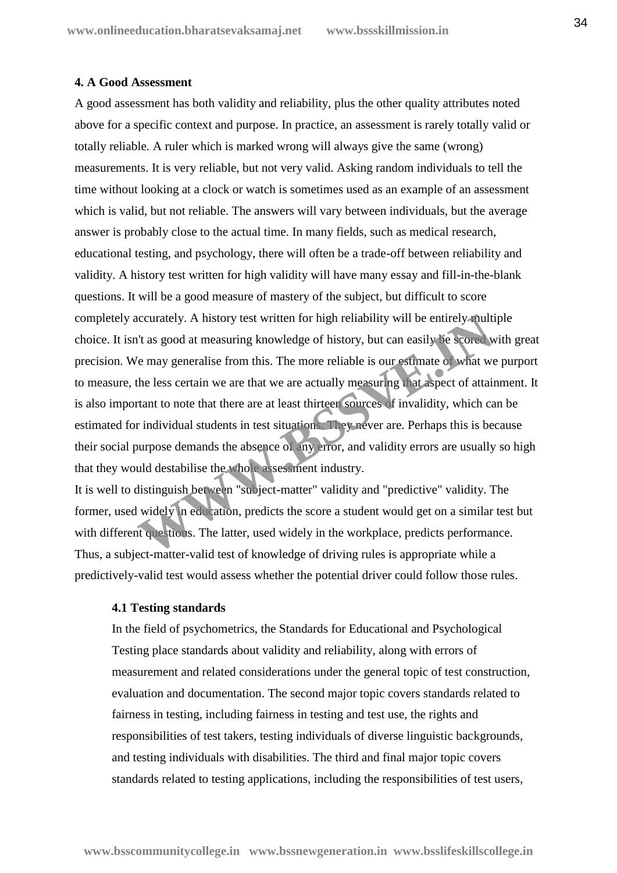#### **4. A Good Assessment**

A good assessment has both validity and reliability, plus the other quality attributes noted above for a specific context and purpose. In practice, an assessment is rarely totally valid or totally reliable. A ruler which is marked wrong will always give the same (wrong) measurements. It is very reliable, but not very valid. Asking random individuals to tell the time without looking at a clock or watch is sometimes used as an example of an assessment which is valid, but not reliable. The answers will vary between individuals, but the average answer is probably close to the actual time. In many fields, such as medical research, educational testing, and psychology, there will often be a trade-off between reliability and validity. A history test written for high validity will have many essay and fill-in-the-blank questions. It will be a good measure of mastery of the subject, but difficult to score completely accurately. A history test written for high reliability will be entirely multiple choice. It isn't as good at measuring knowledge of history, but can easily be scored with great precision. We may generalise from this. The more reliable is our estimate of what we purport to measure, the less certain we are that we are actually measuring that aspect of attainment. It is also important to note that there are at least thirteen sources of invalidity, which can be estimated for individual students in test situations. They never are. Perhaps this is because their social purpose demands the absence of any error, and validity errors are usually so high that they would destabilise the whole assessment industry. it as good at measuring knowledge of history, but can easily be entirely-fully<br>it as good at measuring knowledge of history, but can easily be scored w<br>fe may generalise from this. The more reliable is our estimate of what

It is well to distinguish between "subject-matter" validity and "predictive" validity. The former, used widely in education, predicts the score a student would get on a similar test but with different questions. The latter, used widely in the workplace, predicts performance. Thus, a subject-matter-valid test of knowledge of driving rules is appropriate while a predictively-valid test would assess whether the potential driver could follow those rules.

#### **4.1 Testing standards**

In the field of psychometrics, the Standards for Educational and Psychological Testing place standards about validity and reliability, along with errors of measurement and related considerations under the general topic of test construction, evaluation and documentation. The second major topic covers standards related to fairness in testing, including fairness in testing and test use, the rights and responsibilities of test takers, testing individuals of diverse linguistic backgrounds, and testing individuals with disabilities. The third and final major topic covers standards related to testing applications, including the responsibilities of test users,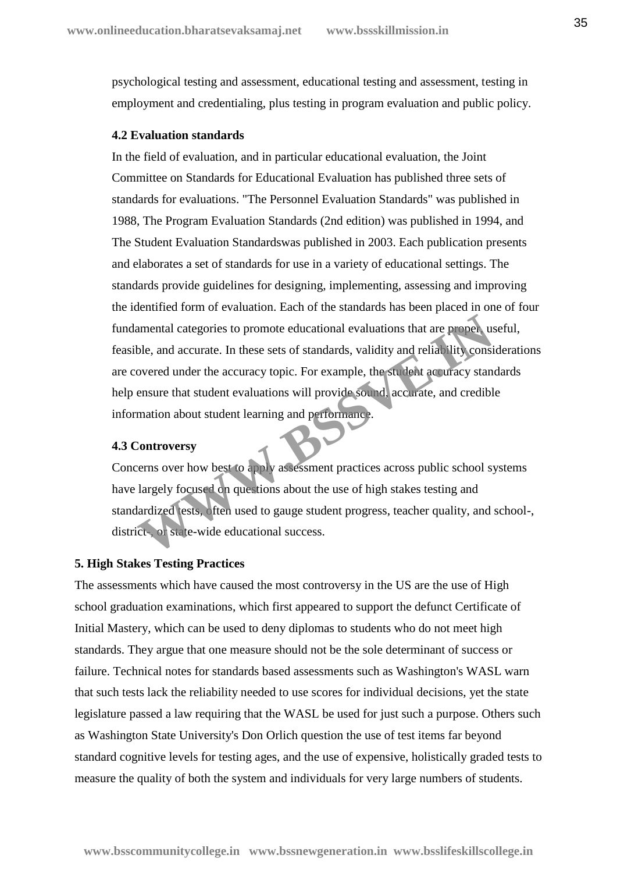psychological testing and assessment, educational testing and assessment, testing in employment and credentialing, plus testing in program evaluation and public policy.

#### **4.2 Evaluation standards**

In the field of evaluation, and in particular educational evaluation, the Joint Committee on Standards for Educational Evaluation has published three sets of standards for evaluations. "The Personnel Evaluation Standards" was published in 1988, The Program Evaluation Standards (2nd edition) was published in 1994, and The Student Evaluation Standardswas published in 2003. Each publication presents and elaborates a set of standards for use in a variety of educational settings. The standards provide guidelines for designing, implementing, assessing and improving the identified form of evaluation. Each of the standards has been placed in one of four fundamental categories to promote educational evaluations that are proper, useful, feasible, and accurate. In these sets of standards, validity and reliability considerations are covered under the accuracy topic. For example, the student accuracy standards help ensure that student evaluations will provide sound, accurate, and credible information about student learning and performance. amental categories to promote educational evaluations that are proper us<br>ble, and accurate. In these sets of standards, validity and reliability consi<br>overed under the accuracy topic. For example, the student accuracy stan

#### **4.3 Controversy**

Concerns over how best to apply assessment practices across public school systems have largely focused on questions about the use of high stakes testing and standardized tests, often used to gauge student progress, teacher quality, and school-, district-, or state-wide educational success.

#### **5. High Stakes Testing Practices**

The assessments which have caused the most controversy in the US are the use of High school graduation examinations, which first appeared to support the defunct Certificate of Initial Mastery, which can be used to deny diplomas to students who do not meet high standards. They argue that one measure should not be the sole determinant of success or failure. Technical notes for standards based assessments such as Washington's WASL warn that such tests lack the reliability needed to use scores for individual decisions, yet the state legislature passed a law requiring that the WASL be used for just such a purpose. Others such as Washington State University's Don Orlich question the use of test items far beyond standard cognitive levels for testing ages, and the use of expensive, holistically graded tests to measure the quality of both the system and individuals for very large numbers of students.

**www.bsscommunitycollege.in www.bssnewgeneration.in www.bsslifeskillscollege.in**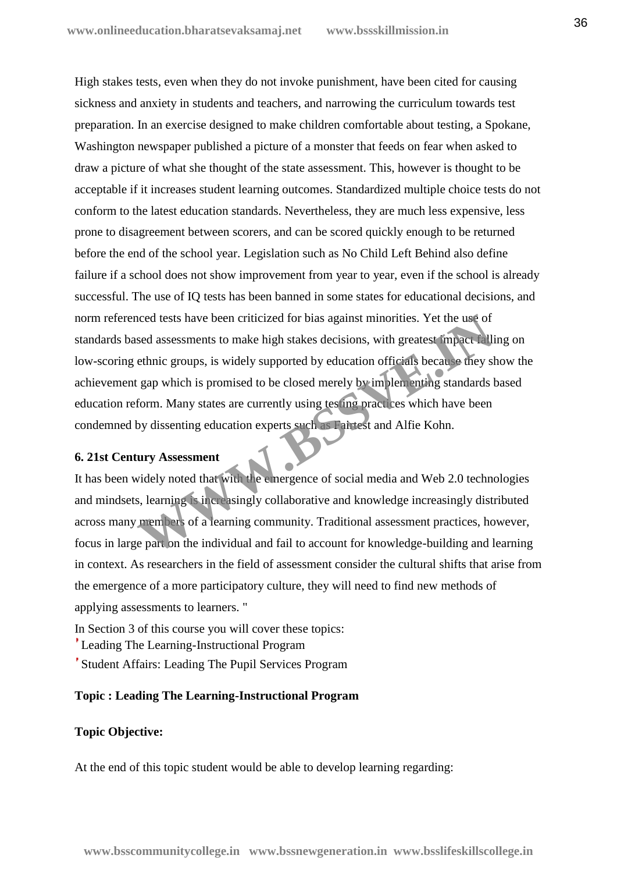High stakes tests, even when they do not invoke punishment, have been cited for causing sickness and anxiety in students and teachers, and narrowing the curriculum towards test preparation. In an exercise designed to make children comfortable about testing, a Spokane, Washington newspaper published a picture of a monster that feeds on fear when asked to draw a picture of what she thought of the state assessment. This, however is thought to be acceptable if it increases student learning outcomes. Standardized multiple choice tests do not conform to the latest education standards. Nevertheless, they are much less expensive, less prone to disagreement between scorers, and can be scored quickly enough to be returned before the end of the school year. Legislation such as No Child Left Behind also define failure if a school does not show improvement from year to year, even if the school is already successful. The use of IQ tests has been banned in some states for educational decisions, and norm referenced tests have been criticized for bias against minorities. Yet the use of standards based assessments to make high stakes decisions, with greatest impact falling on low-scoring ethnic groups, is widely supported by education officials because they show the achievement gap which is promised to be closed merely by implementing standards based education reform. Many states are currently using testing practices which have been condemned by dissenting education experts such as Fairtest and Alfie Kohn. and the methods is paint to make high stakes decisions, with greatest impact Fallington and assessments to make high stakes decisions, with greatest impact Falling ethnic groups, is widely supported by education officials

#### **6. 21st Century Assessment**

It has been widely noted that with the emergence of social media and Web 2.0 technologies and mindsets, learning is increasingly collaborative and knowledge increasingly distributed across many members of a learning community. Traditional assessment practices, however, focus in large part on the individual and fail to account for knowledge-building and learning in context. As researchers in the field of assessment consider the cultural shifts that arise from the emergence of a more participatory culture, they will need to find new methods of applying assessments to learners. "

In Section 3 of this course you will cover these topics:

Leading The Learning-Instructional Program

Student Affairs: Leading The Pupil Services Program

#### **Topic : Leading The Learning-Instructional Program**

## **Topic Objective:**

At the end of this topic student would be able to develop learning regarding: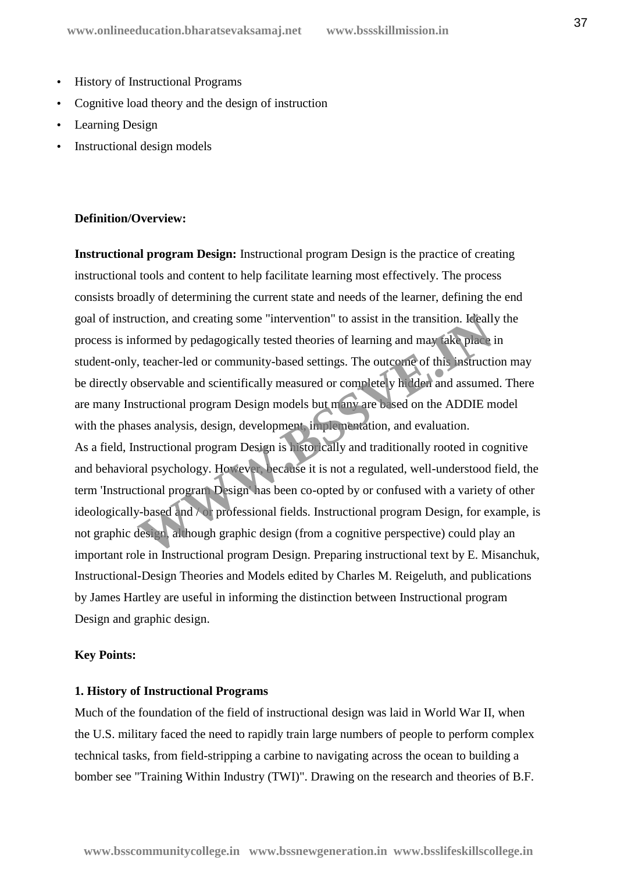- History of Instructional Programs
- Cognitive load theory and the design of instruction
- Learning Design
- Instructional design models

#### **Definition/Overview:**

**Instructional program Design:** Instructional program Design is the practice of creating instructional tools and content to help facilitate learning most effectively. The process consists broadly of determining the current state and needs of the learner, defining the end goal of instruction, and creating some "intervention" to assist in the transition. Ideally the process is informed by pedagogically tested theories of learning and may take place in student-only, teacher-led or community-based settings. The outcome of this instruction may be directly observable and scientifically measured or completely hidden and assumed. There are many Instructional program Design models but many are based on the ADDIE model with the phases analysis, design, development, implementation, and evaluation. As a field, Instructional program Design is historically and traditionally rooted in cognitive and behavioral psychology. However, because it is not a regulated, well-understood field, the term 'Instructional program Design' has been co-opted by or confused with a variety of other ideologically-based and / or professional fields. Instructional program Design, for example, is not graphic design, although graphic design (from a cognitive perspective) could play an important role in Instructional program Design. Preparing instructional text by E. Misanchuk, Instructional-Design Theories and Models edited by Charles M. Reigeluth, and publications by James Hartley are useful in informing the distinction between Instructional program Design and graphic design. uction, and creating some "intervention" to assist in the transition. **Keall**<br>formed by pedagogically tested theories of learning and may take place<br>is, teacher-led or community-based settings. The outcome of this instruct

#### **Key Points:**

#### **1. History of Instructional Programs**

Much of the foundation of the field of instructional design was laid in World War II, when the U.S. military faced the need to rapidly train large numbers of people to perform complex technical tasks, from field-stripping a carbine to navigating across the ocean to building a bomber see "Training Within Industry (TWI)". Drawing on the research and theories of B.F.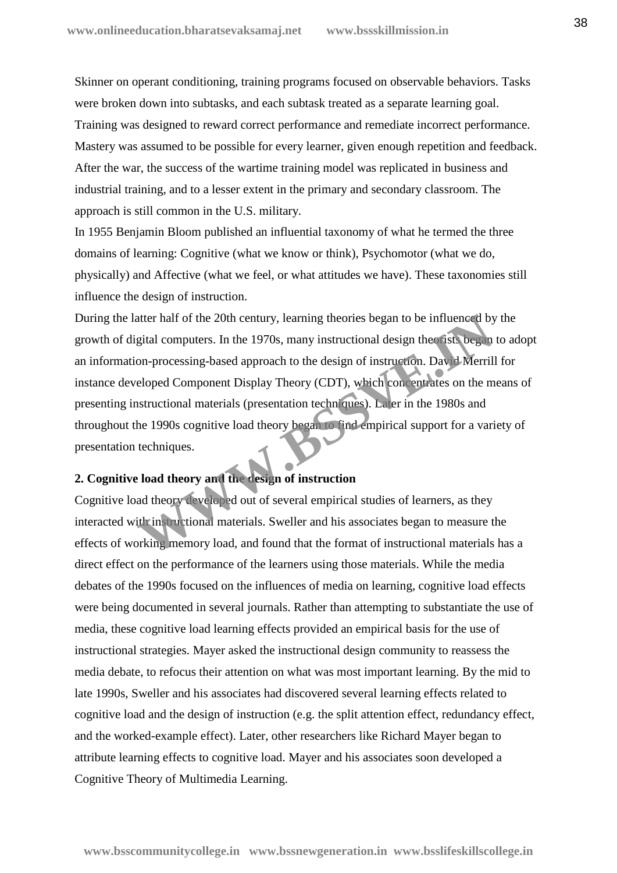Skinner on operant conditioning, training programs focused on observable behaviors. Tasks were broken down into subtasks, and each subtask treated as a separate learning goal. Training was designed to reward correct performance and remediate incorrect performance. Mastery was assumed to be possible for every learner, given enough repetition and feedback. After the war, the success of the wartime training model was replicated in business and industrial training, and to a lesser extent in the primary and secondary classroom. The approach is still common in the U.S. military.

In 1955 Benjamin Bloom published an influential taxonomy of what he termed the three domains of learning: Cognitive (what we know or think), Psychomotor (what we do, physically) and Affective (what we feel, or what attitudes we have). These taxonomies still influence the design of instruction.

During the latter half of the 20th century, learning theories began to be influenced by the growth of digital computers. In the 1970s, many instructional design theorists began to adopt an information-processing-based approach to the design of instruction. David Merrill for instance developed Component Display Theory (CDT), which concentrates on the means of presenting instructional materials (presentation techniques). Later in the 1980s and throughout the 1990s cognitive load theory began to find empirical support for a variety of presentation techniques. The action of the 20th century, learning theories began to be influenced by<br>gital computers. In the 1970s, many instructional design the sist began<br>on-processing-based approach to the design of instruction. David Merril<br>el

## **2. Cognitive load theory and the design of instruction**

Cognitive load theory developed out of several empirical studies of learners, as they interacted with instructional materials. Sweller and his associates began to measure the effects of working memory load, and found that the format of instructional materials has a direct effect on the performance of the learners using those materials. While the media debates of the 1990s focused on the influences of media on learning, cognitive load effects were being documented in several journals. Rather than attempting to substantiate the use of media, these cognitive load learning effects provided an empirical basis for the use of instructional strategies. Mayer asked the instructional design community to reassess the media debate, to refocus their attention on what was most important learning. By the mid to late 1990s, Sweller and his associates had discovered several learning effects related to cognitive load and the design of instruction (e.g. the split attention effect, redundancy effect, and the worked-example effect). Later, other researchers like Richard Mayer began to attribute learning effects to cognitive load. Mayer and his associates soon developed a Cognitive Theory of Multimedia Learning.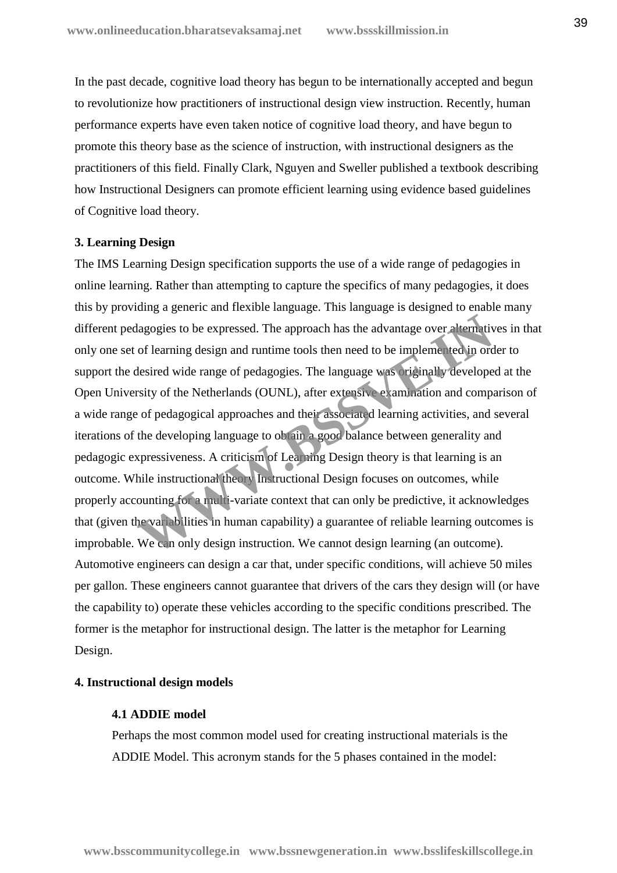In the past decade, cognitive load theory has begun to be internationally accepted and begun to revolutionize how practitioners of instructional design view instruction. Recently, human performance experts have even taken notice of cognitive load theory, and have begun to promote this theory base as the science of instruction, with instructional designers as the practitioners of this field. Finally Clark, Nguyen and Sweller published a textbook describing how Instructional Designers can promote efficient learning using evidence based guidelines of Cognitive load theory.

#### **3. Learning Design**

The IMS Learning Design specification supports the use of a wide range of pedagogies in online learning. Rather than attempting to capture the specifics of many pedagogies, it does this by providing a generic and flexible language. This language is designed to enable many different pedagogies to be expressed. The approach has the advantage over alternatives in that only one set of learning design and runtime tools then need to be implemented in order to support the desired wide range of pedagogies. The language was originally developed at the Open University of the Netherlands (OUNL), after extensive examination and comparison of a wide range of pedagogical approaches and their associated learning activities, and several iterations of the developing language to obtain a good balance between generality and pedagogic expressiveness. A criticism of Learning Design theory is that learning is an outcome. While instructional theory Instructional Design focuses on outcomes, while properly accounting for a multi-variate context that can only be predictive, it acknowledges that (given the variabilities in human capability) a guarantee of reliable learning outcomes is improbable. We can only design instruction. We cannot design learning (an outcome). Automotive engineers can design a car that, under specific conditions, will achieve 50 miles per gallon. These engineers cannot guarantee that drivers of the cars they design will (or have the capability to) operate these vehicles according to the specific conditions prescribed. The former is the metaphor for instructional design. The latter is the metaphor for Learning Design. dagogies to be expressed. The approach has the advantage over alternative of learning design and runtime tools then need to be implemented in ordesired wide range of pedagogies. The language was originally develope resity

#### **4. Instructional design models**

#### **4.1 ADDIE model**

Perhaps the most common model used for creating instructional materials is the ADDIE Model. This acronym stands for the 5 phases contained in the model:

**www.bsscommunitycollege.in www.bssnewgeneration.in www.bsslifeskillscollege.in**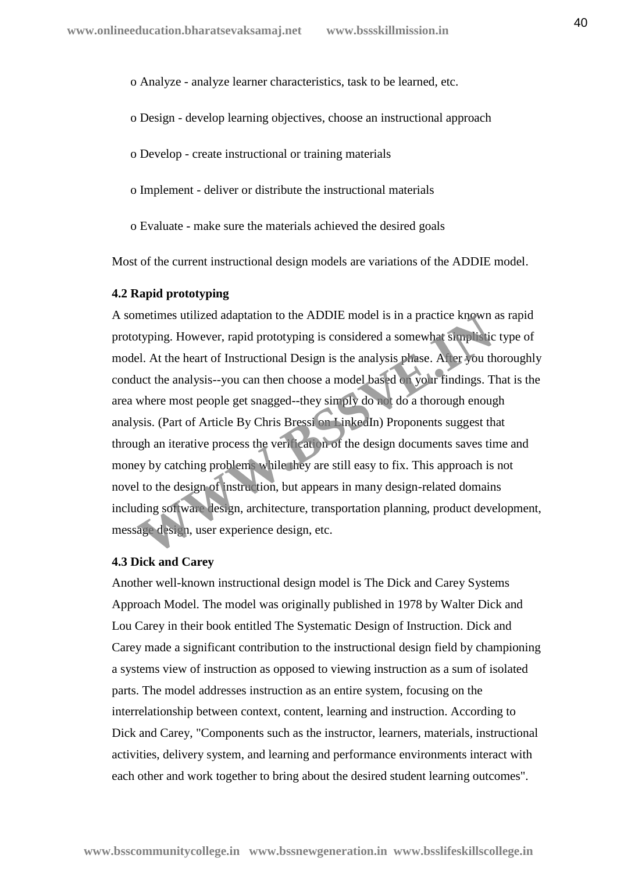o Analyze - analyze learner characteristics, task to be learned, etc.

- o Design develop learning objectives, choose an instructional approach
- o Develop create instructional or training materials
- o Implement deliver or distribute the instructional materials
- o Evaluate make sure the materials achieved the desired goals

Most of the current instructional design models are variations of the ADDIE model.

#### **4.2 Rapid prototyping**

A sometimes utilized adaptation to the ADDIE model is in a practice known as rapid prototyping. However, rapid prototyping is considered a somewhat simplistic type of model. At the heart of Instructional Design is the analysis phase. After you thoroughly conduct the analysis--you can then choose a model based on your findings. That is the area where most people get snagged--they simply do not do a thorough enough analysis. (Part of Article By Chris Bressi on LinkedIn) Proponents suggest that through an iterative process the verification of the design documents saves time and money by catching problems while they are still easy to fix. This approach is not novel to the design of instruction, but appears in many design-related domains including software design, architecture, transportation planning, product development, message design, user experience design, etc. metimes utilized adaptation to the ADDIE model is in a practice known<br>typing. However, rapid prototyping is considered a somewhat simplistic<br>el. At the heart of Instructional Design is the analysis phase. At ler you the<br>uc

#### **4.3 Dick and Carey**

Another well-known instructional design model is The Dick and Carey Systems Approach Model. The model was originally published in 1978 by Walter Dick and Lou Carey in their book entitled The Systematic Design of Instruction. Dick and Carey made a significant contribution to the instructional design field by championing a systems view of instruction as opposed to viewing instruction as a sum of isolated parts. The model addresses instruction as an entire system, focusing on the interrelationship between context, content, learning and instruction. According to Dick and Carey, "Components such as the instructor, learners, materials, instructional activities, delivery system, and learning and performance environments interact with each other and work together to bring about the desired student learning outcomes".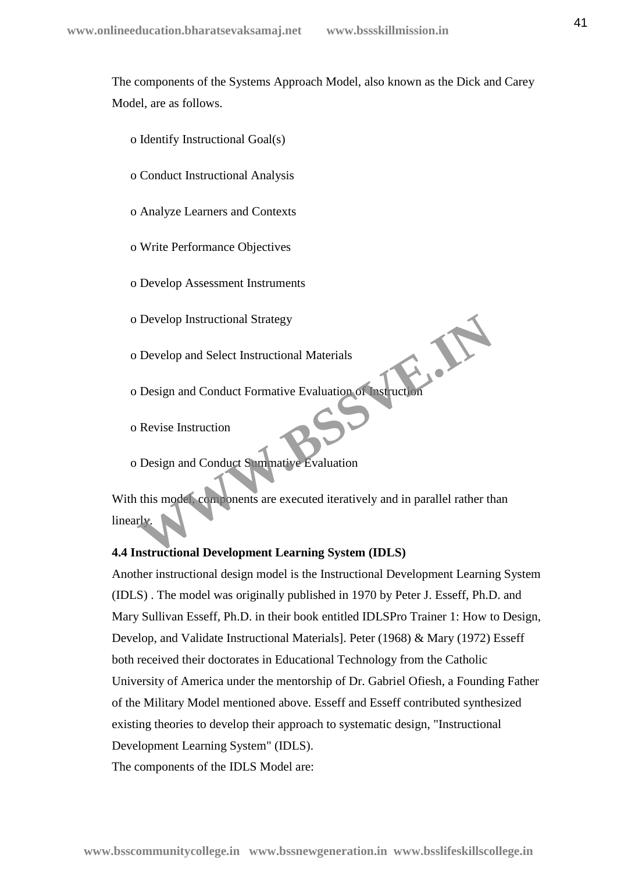The components of the Systems Approach Model, also known as the Dick and Carey Model, are as follows.

- o Identify Instructional Goal(s)
- o Conduct Instructional Analysis
- o Analyze Learners and Contexts
- o Write Performance Objectives
- o Develop Assessment Instruments
- o Develop Instructional Strategy
- o Develop and Select Instructional Materials
- o Develop and Select Instructional Materials<br>
o Design and Conduct Formative Evaluation of Instruction
- o Revise Instruction
- o Design and Conduct Summative Evaluation

With this model, components are executed iteratively and in parallel rather than linearly. Develop Instructional Strategy<br>
Develop and Select Instructional Materials<br>
Design and Conduct Formative Evaluation of Instruction<br>
Revise Instruction<br>
Design and Conduct Summative Evaluation<br>
this model components are exe

## **4.4 Instructional Development Learning System (IDLS)**

Another instructional design model is the Instructional Development Learning System (IDLS) . The model was originally published in 1970 by Peter J. Esseff, Ph.D. and Mary Sullivan Esseff, Ph.D. in their book entitled IDLSPro Trainer 1: How to Design, Develop, and Validate Instructional Materials]. Peter (1968) & Mary (1972) Esseff both received their doctorates in Educational Technology from the Catholic University of America under the mentorship of Dr. Gabriel Ofiesh, a Founding Father of the Military Model mentioned above. Esseff and Esseff contributed synthesized existing theories to develop their approach to systematic design, "Instructional Development Learning System" (IDLS).

The components of the IDLS Model are: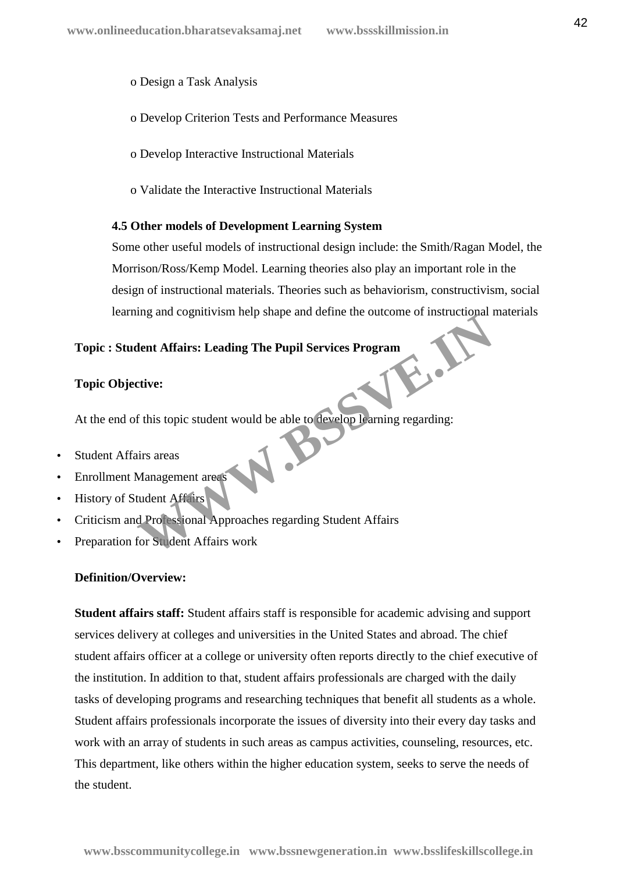o Design a Task Analysis

- o Develop Criterion Tests and Performance Measures
- o Develop Interactive Instructional Materials
- o Validate the Interactive Instructional Materials

#### **4.5 Other models of Development Learning System**

Some other useful models of instructional design include: the Smith/Ragan Model, the Morrison/Ross/Kemp Model. Learning theories also play an important role in the design of instructional materials. Theories such as behaviorism, constructivism, social learning and cognitivism help shape and define the outcome of instructional materials

## **Topic : Student Affairs: Leading The Pupil Services Program**

#### **Topic Objective:**

At the end of this topic student would be able to develop learning regarding: Ment Affairs: Leading The Pupil Services Program<br>
Extive:<br>
f this topic student would be able to develop learning regarding:<br>
Management areas<br>
Management areas<br>
Management areas<br>
Management areas<br>
Management areas<br>
Manage

- Student Affairs areas
- Enrollment Management areas
- History of Student Affairs
- Criticism and Professional Approaches regarding Student Affairs
- Preparation for Student Affairs work

## **Definition/Overview:**

**Student affairs staff:** Student affairs staff is responsible for academic advising and support services delivery at colleges and universities in the United States and abroad. The chief student affairs officer at a college or university often reports directly to the chief executive of the institution. In addition to that, student affairs professionals are charged with the daily tasks of developing programs and researching techniques that benefit all students as a whole. Student affairs professionals incorporate the issues of diversity into their every day tasks and work with an array of students in such areas as campus activities, counseling, resources, etc. This department, like others within the higher education system, seeks to serve the needs of the student.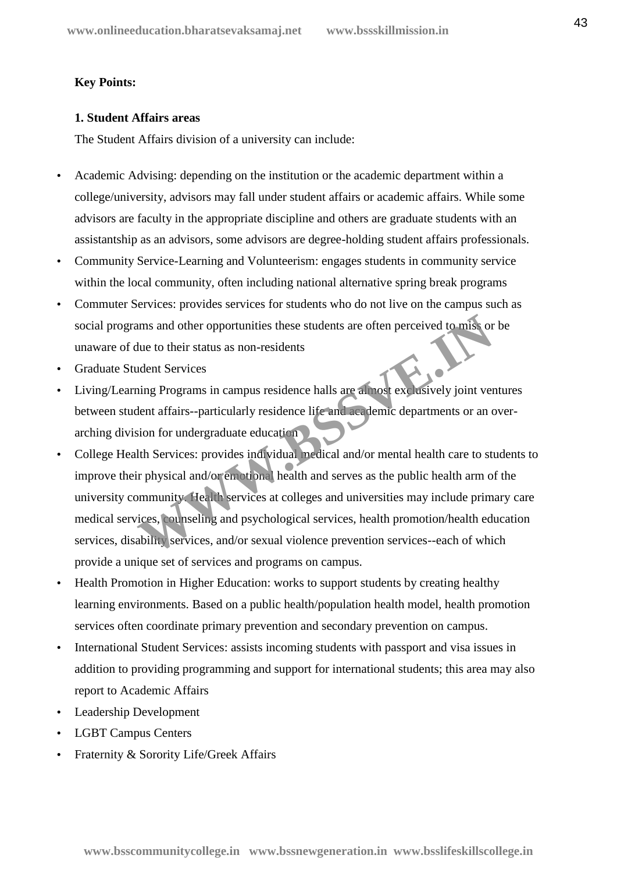## **Key Points:**

## **1. Student Affairs areas**

The Student Affairs division of a university can include:

- Academic Advising: depending on the institution or the academic department within a college/university, advisors may fall under student affairs or academic affairs. While some advisors are faculty in the appropriate discipline and others are graduate students with an assistantship as an advisors, some advisors are degree-holding student affairs professionals.
- Community Service-Learning and Volunteerism: engages students in community service within the local community, often including national alternative spring break programs
- Commuter Services: provides services for students who do not live on the campus such as social programs and other opportunities these students are often perceived to miss or be unaware of due to their status as non-residents
- Graduate Student Services
- Living/Learning Programs in campus residence halls are almost exclusively joint ventures between student affairs--particularly residence life and academic departments or an over arching division for undergraduate education
- College Health Services: provides individual medical and/or mental health care to students to improve their physical and/or emotional health and serves as the public health arm of the university community. Health services at colleges and universities may include primary care medical services, counseling and psychological services, health promotion/health education services, disability services, and/or sexual violence prevention services--each of which provide a unique set of services and programs on campus. ams and other opportunities these students are often perceived to miss or<br>the to their status as non-residents<br>adent Services<br>ing Programs in campus residence halls are almost exclusively joint ver<br>lent affairs--particular
- Health Promotion in Higher Education: works to support students by creating healthy learning environments. Based on a public health/population health model, health promotion services often coordinate primary prevention and secondary prevention on campus.
- International Student Services: assists incoming students with passport and visa issues in addition to providing programming and support for international students; this area may also report to Academic Affairs
- Leadership Development
- LGBT Campus Centers
- Fraternity & Sorority Life/Greek Affairs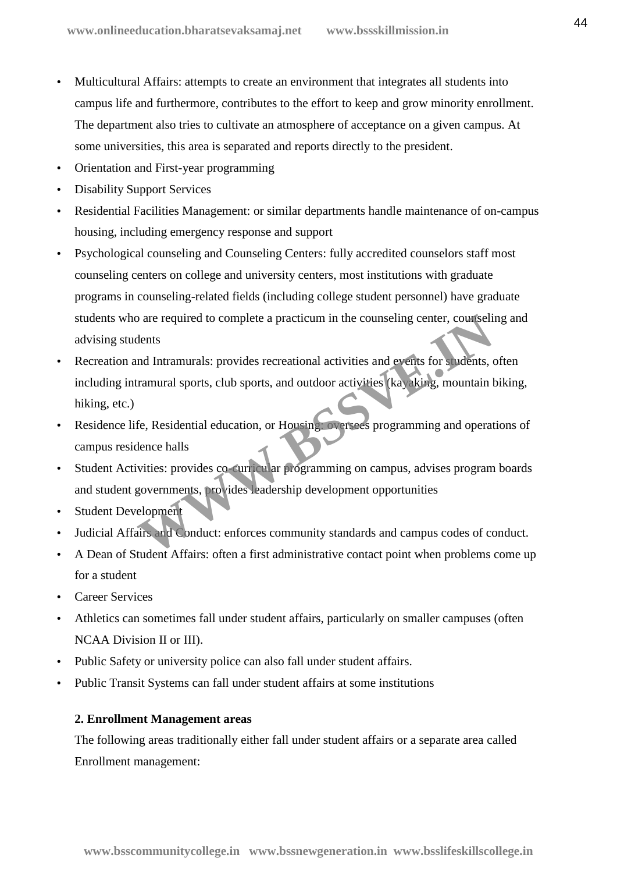- Multicultural Affairs: attempts to create an environment that integrates all students into campus life and furthermore, contributes to the effort to keep and grow minority enrollment. The department also tries to cultivate an atmosphere of acceptance on a given campus. At some universities, this area is separated and reports directly to the president.
- Orientation and First-year programming
- Disability Support Services
- Residential Facilities Management: or similar departments handle maintenance of on-campus housing, including emergency response and support
- Psychological counseling and Counseling Centers: fully accredited counselors staff most counseling centers on college and university centers, most institutions with graduate programs in counseling-related fields (including college student personnel) have graduate students who are required to complete a practicum in the counseling center, counseling and advising students
- Recreation and Intramurals: provides recreational activities and events for students, often including intramural sports, club sports, and outdoor activities (kayaking, mountain biking, hiking, etc.) Framural sports, club sports, and outdoor activities and events for sludents, and Intramurals: provides recreational activities and events for sludents, and intramural sports, club sports, and outdoor activities (ka) king,
- Residence life, Residential education, or Housing: oversees programming and operations of campus residence halls
- Student Activities: provides co-curricular programming on campus, advises program boards and student governments, provides leadership development opportunities
- Student Development
- Judicial Affairs and Conduct: enforces community standards and campus codes of conduct.
- A Dean of Student Affairs: often a first administrative contact point when problems come up for a student
- Career Services
- Athletics can sometimes fall under student affairs, particularly on smaller campuses (often NCAA Division II or III).
- Public Safety or university police can also fall under student affairs.
- Public Transit Systems can fall under student affairs at some institutions

## **2. Enrollment Management areas**

The following areas traditionally either fall under student affairs or a separate area called Enrollment management: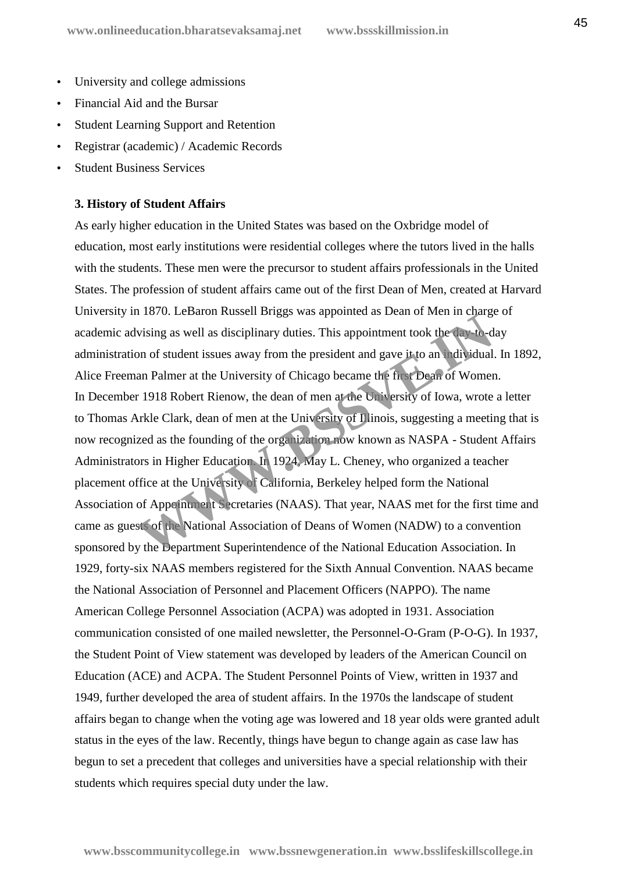- University and college admissions
- Financial Aid and the Bursar
- Student Learning Support and Retention
- Registrar (academic) / Academic Records
- Student Business Services

#### **3. History of Student Affairs**

As early higher education in the United States was based on the Oxbridge model of education, most early institutions were residential colleges where the tutors lived in the halls with the students. These men were the precursor to student affairs professionals in the United States. The profession of student affairs came out of the first Dean of Men, created at Harvard University in 1870. LeBaron Russell Briggs was appointed as Dean of Men in charge of academic advising as well as disciplinary duties. This appointment took the day-to-day administration of student issues away from the president and gave it to an individual. In 1892, Alice Freeman Palmer at the University of Chicago became the first Dean of Women. In December 1918 Robert Rienow, the dean of men at the University of Iowa, wrote a letter to Thomas Arkle Clark, dean of men at the University of Illinois, suggesting a meeting that is now recognized as the founding of the organization now known as NASPA - Student Affairs Administrators in Higher Education. In 1924, May L. Cheney, who organized a teacher placement office at the University of California, Berkeley helped form the National Association of Appointment Secretaries (NAAS). That year, NAAS met for the first time and came as guests of the National Association of Deans of Women (NADW) to a convention sponsored by the Department Superintendence of the National Education Association. In 1929, forty-six NAAS members registered for the Sixth Annual Convention. NAAS became the National Association of Personnel and Placement Officers (NAPPO). The name American College Personnel Association (ACPA) was adopted in 1931. Association communication consisted of one mailed newsletter, the Personnel-O-Gram (P-O-G). In 1937, the Student Point of View statement was developed by leaders of the American Council on Education (ACE) and ACPA. The Student Personnel Points of View, written in 1937 and 1949, further developed the area of student affairs. In the 1970s the landscape of student affairs began to change when the voting age was lowered and 18 year olds were granted adult status in the eyes of the law. Recently, things have begun to change again as case law has begun to set a precedent that colleges and universities have a special relationship with their students which requires special duty under the law. The Construction of student is set all as disciplinary duties. This appointment took the day-to-dom of student issues away from the president and gave it to an adividual an Palmer at the University of Chicago became the fi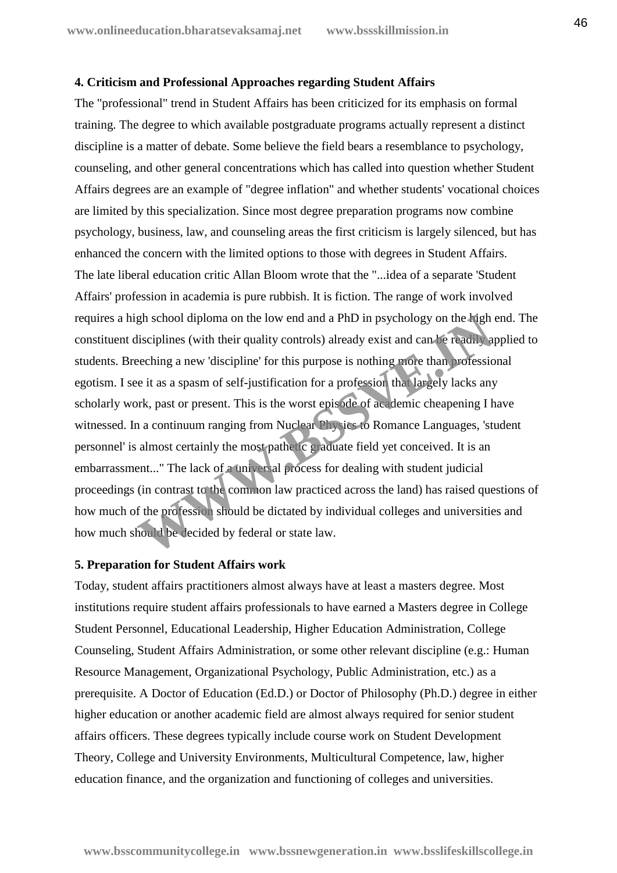#### **4. Criticism and Professional Approaches regarding Student Affairs**

The "professional" trend in Student Affairs has been criticized for its emphasis on formal training. The degree to which available postgraduate programs actually represent a distinct discipline is a matter of debate. Some believe the field bears a resemblance to psychology, counseling, and other general concentrations which has called into question whether Student Affairs degrees are an example of "degree inflation" and whether students' vocational choices are limited by this specialization. Since most degree preparation programs now combine psychology, business, law, and counseling areas the first criticism is largely silenced, but has enhanced the concern with the limited options to those with degrees in Student Affairs. The late liberal education critic Allan Bloom wrote that the "...idea of a separate 'Student Affairs' profession in academia is pure rubbish. It is fiction. The range of work involved requires a high school diploma on the low end and a PhD in psychology on the high end. The constituent disciplines (with their quality controls) already exist and can be readily applied to students. Breeching a new 'discipline' for this purpose is nothing more than professional egotism. I see it as a spasm of self-justification for a profession that largely lacks any scholarly work, past or present. This is the worst episode of academic cheapening I have witnessed. In a continuum ranging from Nuclear Physics to Romance Languages, 'student personnel' is almost certainly the most pathetic graduate field yet conceived. It is an embarrassment..." The lack of a universal process for dealing with student judicial proceedings (in contrast to the common law practiced across the land) has raised questions of how much of the profession should be dictated by individual colleges and universities and how much should be decided by federal or state law. gh school diploma on the low end and a PhD in psychology on the **Figh** lisciplines (with their quality controls) already exist and can be readily a eleching a new 'discipline' for this purpose is nothing more than professi

#### **5. Preparation for Student Affairs work**

Today, student affairs practitioners almost always have at least a masters degree. Most institutions require student affairs professionals to have earned a Masters degree in College Student Personnel, Educational Leadership, Higher Education Administration, College Counseling, Student Affairs Administration, or some other relevant discipline (e.g.: Human Resource Management, Organizational Psychology, Public Administration, etc.) as a prerequisite. A Doctor of Education (Ed.D.) or Doctor of Philosophy (Ph.D.) degree in either higher education or another academic field are almost always required for senior student affairs officers. These degrees typically include course work on Student Development Theory, College and University Environments, Multicultural Competence, law, higher education finance, and the organization and functioning of colleges and universities.

**www.bsscommunitycollege.in www.bssnewgeneration.in www.bsslifeskillscollege.in**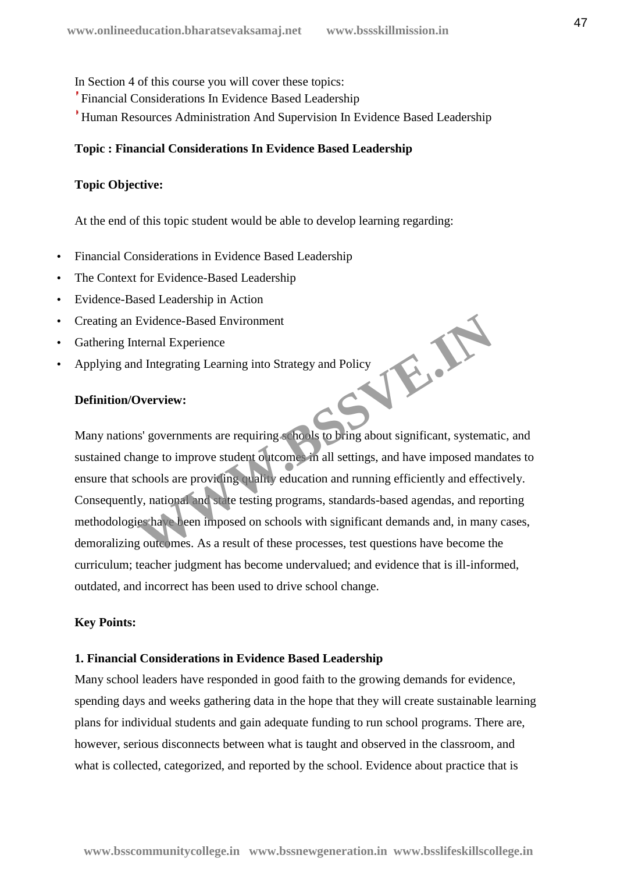In Section 4 of this course you will cover these topics:

- Financial Considerations In Evidence Based Leadership
- Human Resources Administration And Supervision In Evidence Based Leadership

#### **Topic : Financial Considerations In Evidence Based Leadership**

#### **Topic Objective:**

At the end of this topic student would be able to develop learning regarding:

- Financial Considerations in Evidence Based Leadership
- The Context for Evidence-Based Leadership
- Evidence-Based Leadership in Action
- Creating an Evidence-Based Environment
- Gathering Internal Experience
- Applying and Integrating Learning into Strategy and Policy WE.A.

## **Definition/Overview:**

Many nations' governments are requiring schools to bring about significant, systematic, and sustained change to improve student outcomes in all settings, and have imposed mandates to ensure that schools are providing quality education and running efficiently and effectively. Consequently, national and state testing programs, standards-based agendas, and reporting methodologies have been imposed on schools with significant demands and, in many cases, demoralizing outcomes. As a result of these processes, test questions have become the curriculum; teacher judgment has become undervalued; and evidence that is ill-informed, outdated, and incorrect has been used to drive school change.

#### **Key Points:**

#### **1. Financial Considerations in Evidence Based Leadership**

Many school leaders have responded in good faith to the growing demands for evidence, spending days and weeks gathering data in the hope that they will create sustainable learning plans for individual students and gain adequate funding to run school programs. There are, however, serious disconnects between what is taught and observed in the classroom, and what is collected, categorized, and reported by the school. Evidence about practice that is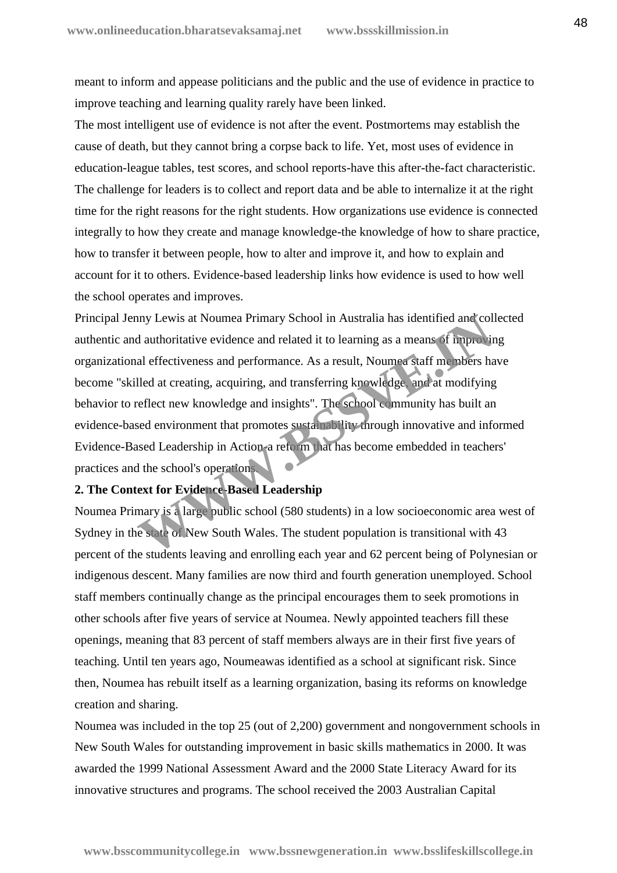meant to inform and appease politicians and the public and the use of evidence in practice to improve teaching and learning quality rarely have been linked.

The most intelligent use of evidence is not after the event. Postmortems may establish the cause of death, but they cannot bring a corpse back to life. Yet, most uses of evidence in education-league tables, test scores, and school reports-have this after-the-fact characteristic. The challenge for leaders is to collect and report data and be able to internalize it at the right time for the right reasons for the right students. How organizations use evidence is connected integrally to how they create and manage knowledge-the knowledge of how to share practice, how to transfer it between people, how to alter and improve it, and how to explain and account for it to others. Evidence-based leadership links how evidence is used to how well the school operates and improves.

Principal Jenny Lewis at Noumea Primary School in Australia has identified and collected authentic and authoritative evidence and related it to learning as a means of improving organizational effectiveness and performance. As a result, Noumea staff members have become "skilled at creating, acquiring, and transferring knowledge, and at modifying behavior to reflect new knowledge and insights". The school community has built an evidence-based environment that promotes sustainability through innovative and informed Evidence-Based Leadership in Action-a reform that has become embedded in teachers' practices and the school's operations. In Lewis at Noumea Primary School in Australia has identified and cold authoritative evidence and related it to learning as a means of improvinent and effectiveness and performance. As a result, Noumea staff members halled

## **2. The Context for Evidence-Based Leadership**

Noumea Primary is a large public school (580 students) in a low socioeconomic area west of Sydney in the state of New South Wales. The student population is transitional with 43 percent of the students leaving and enrolling each year and 62 percent being of Polynesian or indigenous descent. Many families are now third and fourth generation unemployed. School staff members continually change as the principal encourages them to seek promotions in other schools after five years of service at Noumea. Newly appointed teachers fill these openings, meaning that 83 percent of staff members always are in their first five years of teaching. Until ten years ago, Noumeawas identified as a school at significant risk. Since then, Noumea has rebuilt itself as a learning organization, basing its reforms on knowledge creation and sharing.

Noumea was included in the top 25 (out of 2,200) government and nongovernment schools in New South Wales for outstanding improvement in basic skills mathematics in 2000. It was awarded the 1999 National Assessment Award and the 2000 State Literacy Award for its innovative structures and programs. The school received the 2003 Australian Capital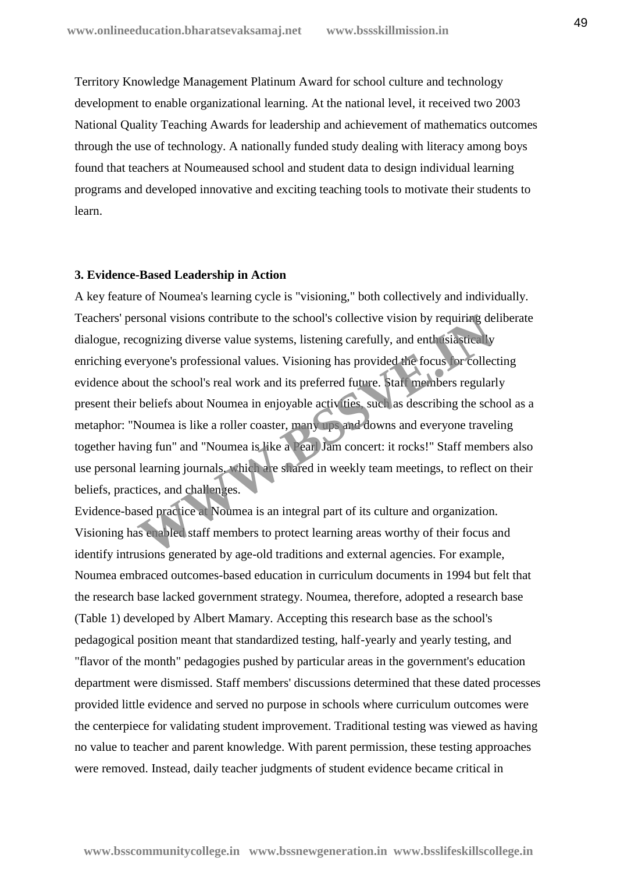Territory Knowledge Management Platinum Award for school culture and technology development to enable organizational learning. At the national level, it received two 2003 National Quality Teaching Awards for leadership and achievement of mathematics outcomes through the use of technology. A nationally funded study dealing with literacy among boys found that teachers at Noumeaused school and student data to design individual learning programs and developed innovative and exciting teaching tools to motivate their students to learn.

#### **3. Evidence-Based Leadership in Action**

A key feature of Noumea's learning cycle is "visioning," both collectively and individually. Teachers' personal visions contribute to the school's collective vision by requiring deliberate dialogue, recognizing diverse value systems, listening carefully, and enthusiastically enriching everyone's professional values. Visioning has provided the focus for collecting evidence about the school's real work and its preferred future. Staff members regularly present their beliefs about Noumea in enjoyable activities, such as describing the school as a metaphor: "Noumea is like a roller coaster, many ups and downs and everyone traveling together having fun" and "Noumea is like a Pearl Jam concert: it rocks!" Staff members also use personal learning journals, which are shared in weekly team meetings, to reflect on their beliefs, practices, and challenges. rsonal visions contribute to the school's collective vision by requiring decognizing diverse value systems, listening carefully, and enth is assumed veryone's professional values. Visioning has provided the focus for colle

Evidence-based practice at Noumea is an integral part of its culture and organization. Visioning has enabled staff members to protect learning areas worthy of their focus and identify intrusions generated by age-old traditions and external agencies. For example, Noumea embraced outcomes-based education in curriculum documents in 1994 but felt that the research base lacked government strategy. Noumea, therefore, adopted a research base (Table 1) developed by Albert Mamary. Accepting this research base as the school's pedagogical position meant that standardized testing, half-yearly and yearly testing, and "flavor of the month" pedagogies pushed by particular areas in the government's education department were dismissed. Staff members' discussions determined that these dated processes provided little evidence and served no purpose in schools where curriculum outcomes were the centerpiece for validating student improvement. Traditional testing was viewed as having no value to teacher and parent knowledge. With parent permission, these testing approaches were removed. Instead, daily teacher judgments of student evidence became critical in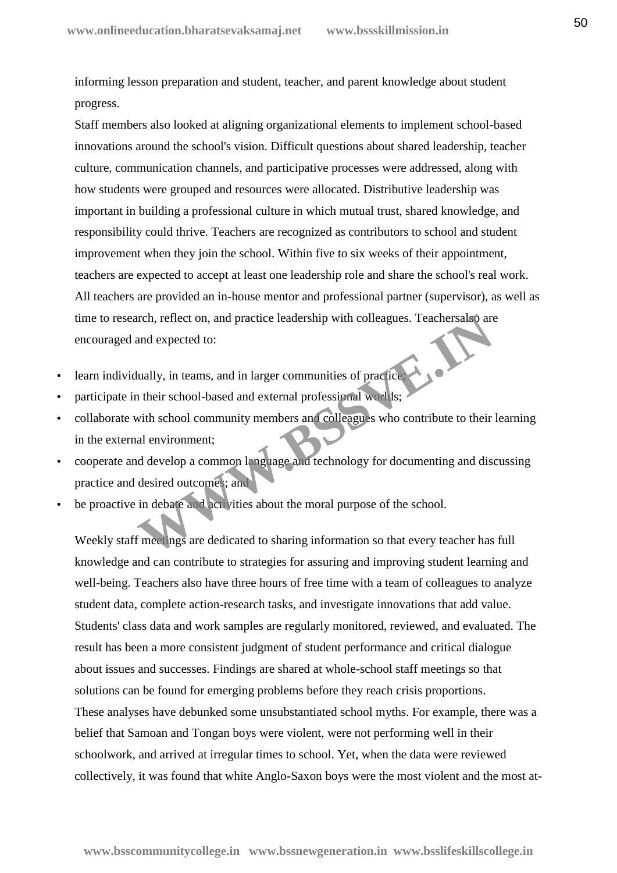informing lesson preparation and student, teacher, and parent knowledge about student progress.

Staff members also looked at aligning organizational elements to implement school-based innovations around the school's vision. Difficult questions about shared leadership, teacher culture, communication channels, and participative processes were addressed, along with how students were grouped and resources were allocated. Distributive leadership was important in building a professional culture in which mutual trust, shared knowledge, and responsibility could thrive. Teachers are recognized as contributors to school and student improvement when they join the school. Within five to six weeks of their appointment, teachers are expected to accept at least one leadership role and share the school's real work. All teachers are provided an in-house mentor and professional partner (supervisor), as well as time to research, reflect on, and practice leadership with colleagues. Teachersalso are encouraged and expected to:

- learn individually, in teams, and in larger communities of practice;
- participate in their school-based and external professional worlds;
- collaborate with school community members and colleagues who contribute to their learning in the external environment; Franch, reflect on, and practice leadership with colleagues. Teachersals are<br>and expected to:<br>tually, in teams, and in larger communities of practice<br>their school-based and external professional worlds;<br>with school communi
- cooperate and develop a common language and technology for documenting and discussing practice and desired outcomes; and
- be proactive in debate and activities about the moral purpose of the school.

Weekly staff meetings are dedicated to sharing information so that every teacher has full knowledge and can contribute to strategies for assuring and improving student learning and well-being. Teachers also have three hours of free time with a team of colleagues to analyze student data, complete action-research tasks, and investigate innovations that add value. Students' class data and work samples are regularly monitored, reviewed, and evaluated. The result has been a more consistent judgment of student performance and critical dialogue about issues and successes. Findings are shared at whole-school staff meetings so that solutions can be found for emerging problems before they reach crisis proportions. These analyses have debunked some unsubstantiated school myths. For example, there was a belief that Samoan and Tongan boys were violent, were not performing well in their schoolwork, and arrived at irregular times to school. Yet, when the data were reviewed collectively, it was found that white Anglo-Saxon boys were the most violent and the most at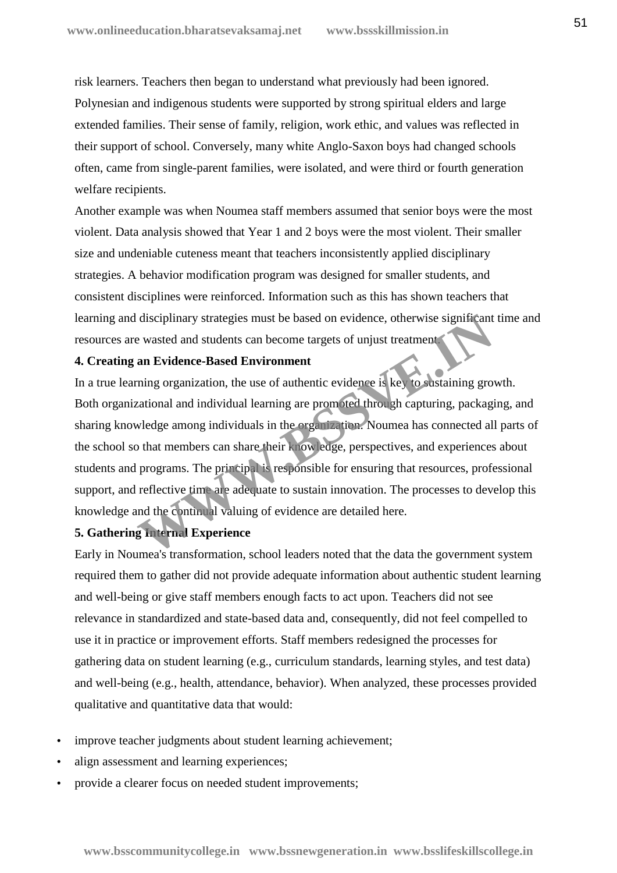risk learners. Teachers then began to understand what previously had been ignored. Polynesian and indigenous students were supported by strong spiritual elders and large extended families. Their sense of family, religion, work ethic, and values was reflected in their support of school. Conversely, many white Anglo-Saxon boys had changed schools often, came from single-parent families, were isolated, and were third or fourth generation welfare recipients.

Another example was when Noumea staff members assumed that senior boys were the most violent. Data analysis showed that Year 1 and 2 boys were the most violent. Their smaller size and undeniable cuteness meant that teachers inconsistently applied disciplinary strategies. A behavior modification program was designed for smaller students, and consistent disciplines were reinforced. Information such as this has shown teachers that learning and disciplinary strategies must be based on evidence, otherwise significant time and resources are wasted and students can become targets of unjust treatment.

#### **4. Creating an Evidence-Based Environment**

In a true learning organization, the use of authentic evidence is key to sustaining growth. Both organizational and individual learning are promoted through capturing, packaging, and sharing knowledge among individuals in the organization. Noumea has connected all parts of the school so that members can share their knowledge, perspectives, and experiences about students and programs. The principal is responsible for ensuring that resources, professional support, and reflective time are adequate to sustain innovation. The processes to develop this knowledge and the continual valuing of evidence are detailed here. disciplinary strategies must be based on evidence, otherwise significant<br> **Example 18 and students can become targets of unjust treatment**<br> **An Evidence-Based Environment**<br>
ming organization, the use of authentic evidence

## **5. Gathering Internal Experience**

Early in Noumea's transformation, school leaders noted that the data the government system required them to gather did not provide adequate information about authentic student learning and well-being or give staff members enough facts to act upon. Teachers did not see relevance in standardized and state-based data and, consequently, did not feel compelled to use it in practice or improvement efforts. Staff members redesigned the processes for gathering data on student learning (e.g., curriculum standards, learning styles, and test data) and well-being (e.g., health, attendance, behavior). When analyzed, these processes provided qualitative and quantitative data that would:

- improve teacher judgments about student learning achievement;
- align assessment and learning experiences;
- provide a clearer focus on needed student improvements;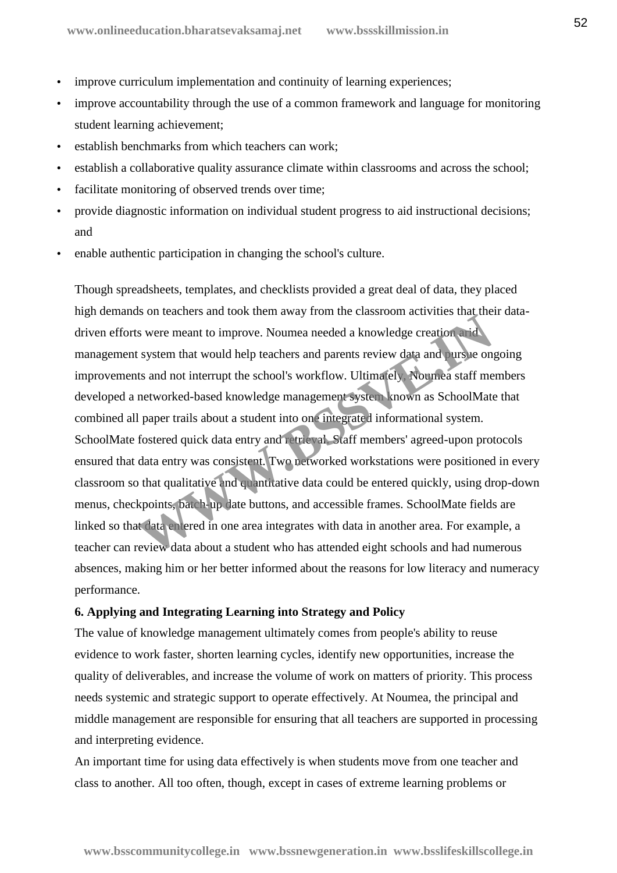- improve curriculum implementation and continuity of learning experiences;
- improve accountability through the use of a common framework and language for monitoring student learning achievement;
- establish benchmarks from which teachers can work;
- establish a collaborative quality assurance climate within classrooms and across the school;
- facilitate monitoring of observed trends over time;
- provide diagnostic information on individual student progress to aid instructional decisions; and
- enable authentic participation in changing the school's culture.

Though spreadsheets, templates, and checklists provided a great deal of data, they placed high demands on teachers and took them away from the classroom activities that their data driven efforts were meant to improve. Noumea needed a knowledge creation arid management system that would help teachers and parents review data and pursue ongoing improvements and not interrupt the school's workflow. Ultimately, Noumea staff members developed a networked-based knowledge management system known as SchoolMate that combined all paper trails about a student into one integrated informational system. SchoolMate fostered quick data entry and retrieval. Staff members' agreed-upon protocols ensured that data entry was consistent. Two networked workstations were positioned in every classroom so that qualitative and quantitative data could be entered quickly, using drop-down menus, checkpoints, batch-up date buttons, and accessible frames. SchoolMate fields are linked so that data entered in one area integrates with data in another area. For example, a teacher can review data about a student who has attended eight schools and had numerous absences, making him or her better informed about the reasons for low literacy and numeracy performance. Is on detention and took them away from the classroom detention and the system that would help teachers and parents review data and *sursue* on the start and not interrupt the school's workflow. Ultimately **Notified** staff

#### **6. Applying and Integrating Learning into Strategy and Policy**

The value of knowledge management ultimately comes from people's ability to reuse evidence to work faster, shorten learning cycles, identify new opportunities, increase the quality of deliverables, and increase the volume of work on matters of priority. This process needs systemic and strategic support to operate effectively. At Noumea, the principal and middle management are responsible for ensuring that all teachers are supported in processing and interpreting evidence.

An important time for using data effectively is when students move from one teacher and class to another. All too often, though, except in cases of extreme learning problems or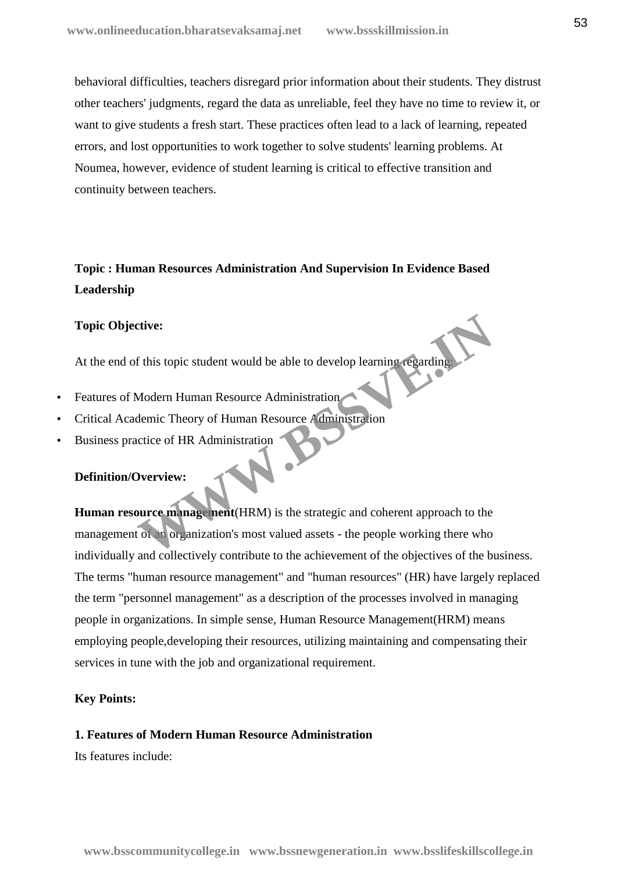behavioral difficulties, teachers disregard prior information about their students. They distrust other teachers' judgments, regard the data as unreliable, feel they have no time to review it, or want to give students a fresh start. These practices often lead to a lack of learning, repeated errors, and lost opportunities to work together to solve students' learning problems. At Noumea, however, evidence of student learning is critical to effective transition and continuity between teachers.

# **Topic : Human Resources Administration And Supervision In Evidence Based Leadership**

#### **Topic Objective:**

At the end of this topic student would be able to develop learning regarding:

- Features of Modern Human Resource Administration
- Critical Academic Theory of Human Resource Administration
- Business practice of HR Administration

#### **Definition/Overview:**

**Human resource management**(HRM) is the strategic and coherent approach to the management of an organization's most valued assets - the people working there who individually and collectively contribute to the achievement of the objectives of the business. The terms "human resource management" and "human resources" (HR) have largely replaced the term "personnel management" as a description of the processes involved in managing people in organizations. In simple sense, Human Resource Management(HRM) means employing people,developing their resources, utilizing maintaining and compensating their services in tune with the job and organizational requirement. The State of Histopic student would be able to develop learning regarding<br>
Modern Human Resource Administration<br>
Modern Human Resource Administration<br>
Dverview:<br>
Survey manage nent (HRM) is the strategic and coherent appro

#### **Key Points:**

## **1. Features of Modern Human Resource Administration**

Its features include: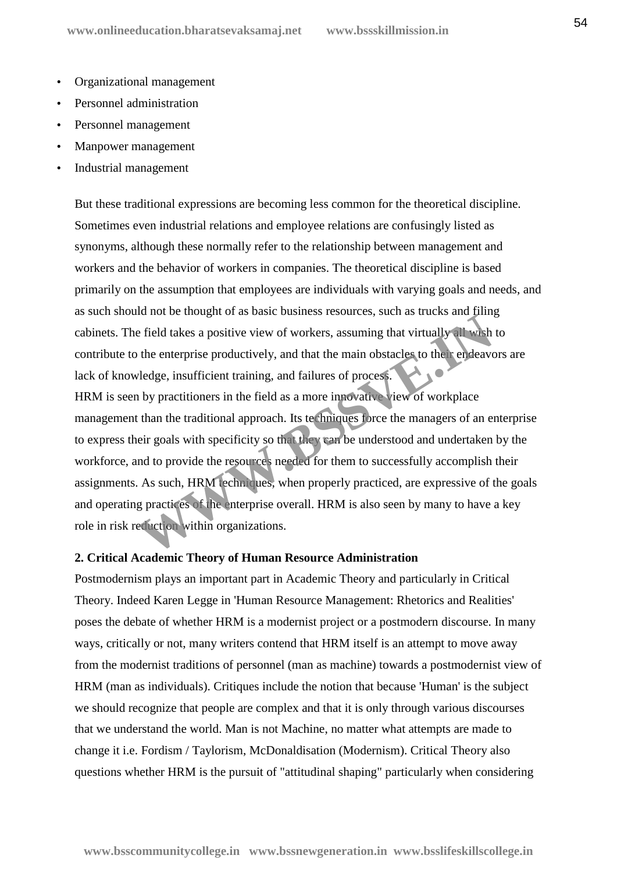- Organizational management
- Personnel administration
- Personnel management
- Manpower management
- Industrial management

But these traditional expressions are becoming less common for the theoretical discipline. Sometimes even industrial relations and employee relations are confusingly listed as synonyms, although these normally refer to the relationship between management and workers and the behavior of workers in companies. The theoretical discipline is based primarily on the assumption that employees are individuals with varying goals and needs, and as such should not be thought of as basic business resources, such as trucks and filing cabinets. The field takes a positive view of workers, assuming that virtually all wish to contribute to the enterprise productively, and that the main obstacles to their endeavors are lack of knowledge, insufficient training, and failures of process. HRM is seen by practitioners in the field as a more innovative view of workplace management than the traditional approach. Its techniques force the managers of an enterprise to express their goals with specificity so that they can be understood and undertaken by the workforce, and to provide the resources needed for them to successfully accomplish their assignments. As such, HRM techniques, when properly practiced, are expressive of the goals and operating practices of the enterprise overall. HRM is also seen by many to have a key role in risk reduction within organizations. The set of the enterprise view of workers, assuming that virtually all wish<br>the enterprise productively, and that the main obstacles to the rendeaver<br>vledge, insufficient training, and failures of process.<br>In by practition

#### **2. Critical Academic Theory of Human Resource Administration**

Postmodernism plays an important part in Academic Theory and particularly in Critical Theory. Indeed Karen Legge in 'Human Resource Management: Rhetorics and Realities' poses the debate of whether HRM is a modernist project or a postmodern discourse. In many ways, critically or not, many writers contend that HRM itself is an attempt to move away from the modernist traditions of personnel (man as machine) towards a postmodernist view of HRM (man as individuals). Critiques include the notion that because 'Human' is the subject we should recognize that people are complex and that it is only through various discourses that we understand the world. Man is not Machine, no matter what attempts are made to change it i.e. Fordism / Taylorism, McDonaldisation (Modernism). Critical Theory also questions whether HRM is the pursuit of "attitudinal shaping" particularly when considering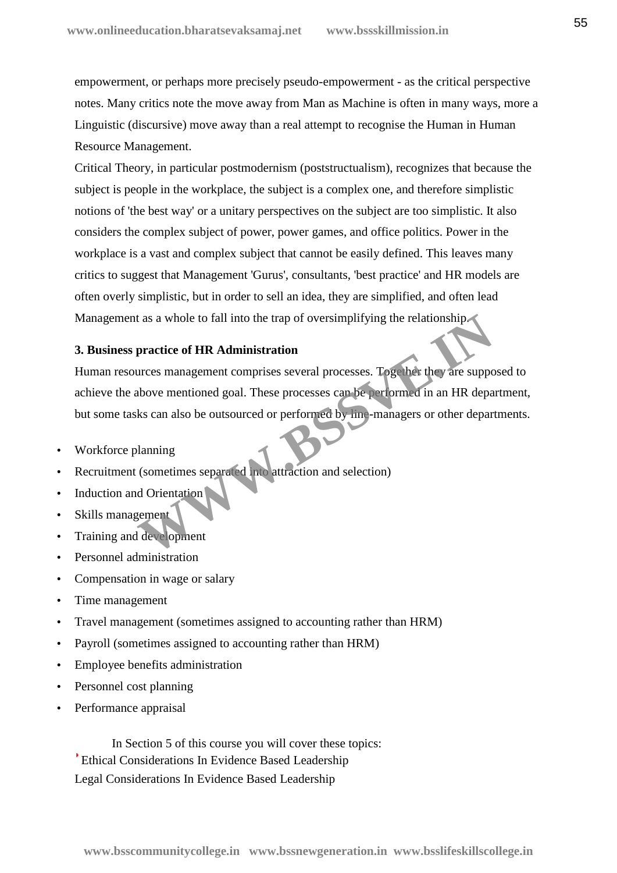empowerment, or perhaps more precisely pseudo-empowerment - as the critical perspective notes. Many critics note the move away from Man as Machine is often in many ways, more a Linguistic (discursive) move away than a real attempt to recognise the Human in Human Resource Management.

Critical Theory, in particular postmodernism (poststructualism), recognizes that because the subject is people in the workplace, the subject is a complex one, and therefore simplistic notions of 'the best way' or a unitary perspectives on the subject are too simplistic. It also considers the complex subject of power, power games, and office politics. Power in the workplace is a vast and complex subject that cannot be easily defined. This leaves many critics to suggest that Management 'Gurus', consultants, 'best practice' and HR models are often overly simplistic, but in order to sell an idea, they are simplified, and often lead Management as a whole to fall into the trap of oversimplifying the relationship.

## **3. Business practice of HR Administration**

Human resources management comprises several processes. Together they are supposed to achieve the above mentioned goal. These processes can be performed in an HR department, but some tasks can also be outsourced or performed by line-managers or other departments. t as a whole to fall into the trap of oversimplifying the relationship-<br>
practice of HR Administration<br>
urces management comprises several processes. Together they are suppo<br>
above mentioned goal. These processes can be pe

- Workforce planning
- Recruitment (sometimes separated into attraction and selection)
- Induction and Orientation
- Skills management
- Training and development
- Personnel administration
- Compensation in wage or salary
- Time management
- Travel management (sometimes assigned to accounting rather than HRM)
- Payroll (sometimes assigned to accounting rather than HRM)
- Employee benefits administration
- Personnel cost planning
- Performance appraisal

In Section 5 of this course you will cover these topics: Ethical Considerations In Evidence Based Leadership Legal Considerations In Evidence Based Leadership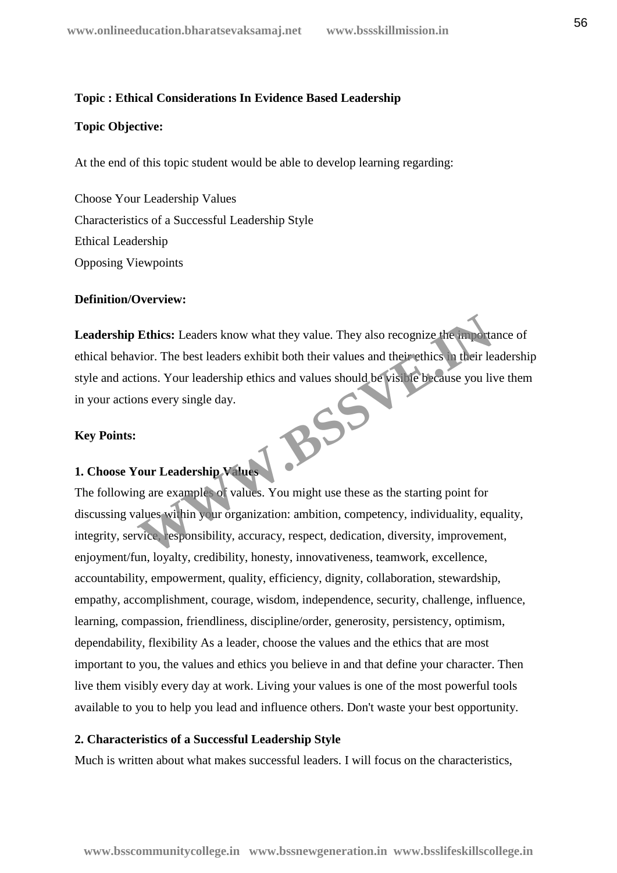## **Topic : Ethical Considerations In Evidence Based Leadership**

#### **Topic Objective:**

At the end of this topic student would be able to develop learning regarding:

 Choose Your Leadership Values Characteristics of a Successful Leadership Style Ethical Leadership Opposing Viewpoints

#### **Definition/Overview:**

**Leadership Ethics:** Leaders know what they value. They also recognize the importance of ethical behavior. The best leaders exhibit both their values and their ethics in their leadership style and actions. Your leadership ethics and values should be visible because you live them<br>in your actions every single day.<br><br>**Key Points:** in your actions every single day. Ethics: Leaders know what they value. They also recognize the importation.<br>The best leaders exhibit both their values and their ethics in their leaders.<br>Your Leadership ethics and values should be visible because you live<br>

#### **Key Points:**

## **1. Choose Your Leadership Values**

The following are examples of values. You might use these as the starting point for discussing values within your organization: ambition, competency, individuality, equality, integrity, service, responsibility, accuracy, respect, dedication, diversity, improvement, enjoyment/fun, loyalty, credibility, honesty, innovativeness, teamwork, excellence, accountability, empowerment, quality, efficiency, dignity, collaboration, stewardship, empathy, accomplishment, courage, wisdom, independence, security, challenge, influence, learning, compassion, friendliness, discipline/order, generosity, persistency, optimism, dependability, flexibility As a leader, choose the values and the ethics that are most important to you, the values and ethics you believe in and that define your character. Then live them visibly every day at work. Living your values is one of the most powerful tools available to you to help you lead and influence others. Don't waste your best opportunity.

#### **2. Characteristics of a Successful Leadership Style**

Much is written about what makes successful leaders. I will focus on the characteristics,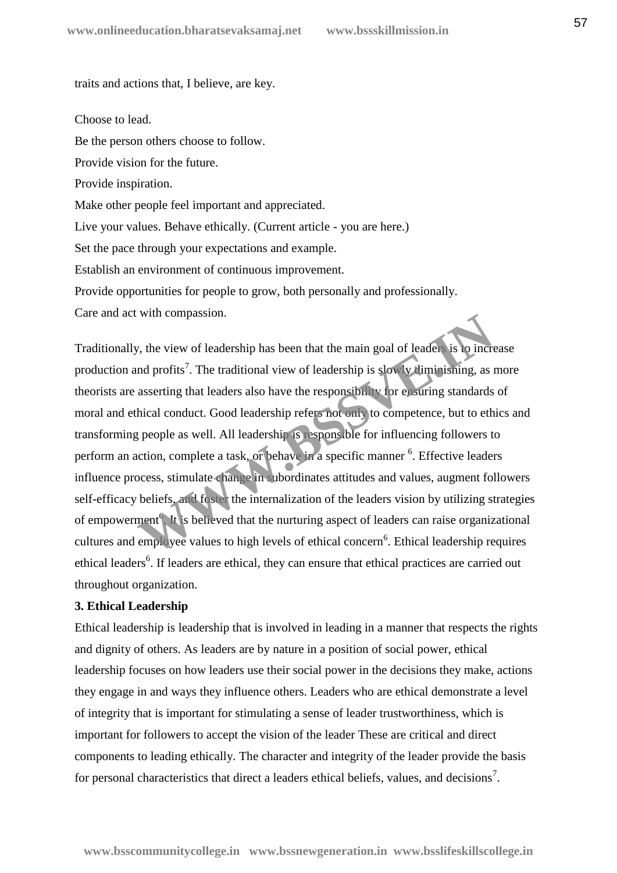traits and actions that, I believe, are key.

Choose to lead.

Be the person others choose to follow.

Provide vision for the future.

Provide inspiration.

Make other people feel important and appreciated.

Live your values. Behave ethically. (Current article - you are here.)

Set the pace through your expectations and example.

Establish an environment of continuous improvement.

Provide opportunities for people to grow, both personally and professionally.

Care and act with compassion.

Traditionally, the view of leadership has been that the main goal of leaders is to increase production and profits<sup>7</sup>. The traditional view of leadership is slowly diminishing, as more theorists are asserting that leaders also have the responsibility for ensuring standards of moral and ethical conduct. Good leadership refers not only to competence, but to ethics and transforming people as well. All leadership is responsible for influencing followers to perform an action, complete a task, or behave in a specific manner <sup>6</sup>. Effective leaders influence process, stimulate change in subordinates attitudes and values, augment followers self-efficacy beliefs, and foster the internalization of the leaders vision by utilizing strategies of empowerment<sup>6</sup>. It is believed that the nurturing aspect of leaders can raise organizational cultures and employee values to high levels of ethical concern<sup>6</sup>. Ethical leadership requires ethical leaders<sup>6</sup>. If leaders are ethical, they can ensure that ethical practices are carried out throughout organization. with compassion.<br>
W, the view of leadership has been that the main goal of leadership is low increduced and profits<sup>7</sup>. The traditional view of leadership is slow **W** diminishing, as a asserting that leaders also have the

## **3. Ethical Leadership**

Ethical leadership is leadership that is involved in leading in a manner that respects the rights and dignity of others. As leaders are by nature in a position of social power, ethical leadership focuses on how leaders use their social power in the decisions they make, actions they engage in and ways they influence others. Leaders who are ethical demonstrate a level of integrity that is important for stimulating a sense of leader trustworthiness, which is important for followers to accept the vision of the leader These are critical and direct components to leading ethically. The character and integrity of the leader provide the basis for personal characteristics that direct a leaders ethical beliefs, values, and decisions<sup>7</sup>.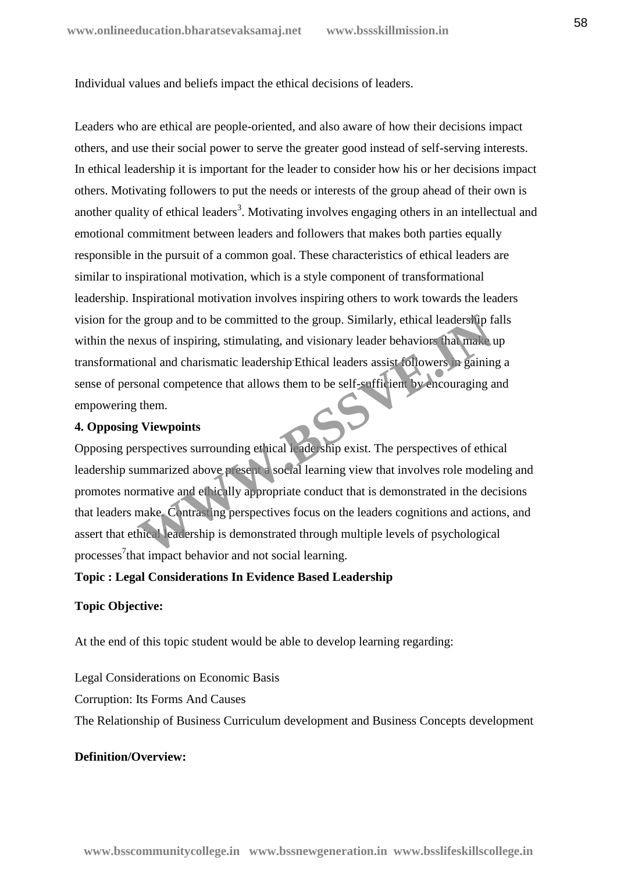Individual values and beliefs impact the ethical decisions of leaders.

Leaders who are ethical are people-oriented, and also aware of how their decisions impact others, and use their social power to serve the greater good instead of self-serving interests. In ethical leadership it is important for the leader to consider how his or her decisions impact others. Motivating followers to put the needs or interests of the group ahead of their own is another quality of ethical leaders<sup>3</sup>. Motivating involves engaging others in an intellectual and emotional commitment between leaders and followers that makes both parties equally responsible in the pursuit of a common goal. These characteristics of ethical leaders are similar to inspirational motivation, which is a style component of transformational leadership. Inspirational motivation involves inspiring others to work towards the leaders vision for the group and to be committed to the group. Similarly, ethical leadership falls within the nexus of inspiring, stimulating, and visionary leader behaviors that make up transformational and charismatic leadership.Ethical leaders assist followers in gaining a sense of personal competence that allows them to be self-sufficient by encouraging and empowering them.

### **4. Opposing Viewpoints**

Opposing perspectives surrounding ethical leadership exist. The perspectives of ethical leadership summarized above present a social learning view that involves role modeling and promotes normative and ethically appropriate conduct that is demonstrated in the decisions that leaders make. Contrasting perspectives focus on the leaders cognitions and actions, and assert that ethical leadership is demonstrated through multiple levels of psychological processes 7 that impact behavior and not social learning. Extra order to be committed to the group. Similarly, ethical leadership finds a leadership finds and and charismatic leadership Ethical leaders assist followers in gainin sonal and charismatic leadership Ethical leaders as

## **Topic : Legal Considerations In Evidence Based Leadership**

## **Topic Objective:**

At the end of this topic student would be able to develop learning regarding:

Legal Considerations on Economic Basis

Corruption: Its Forms And Causes

The Relationship of Business Curriculum development and Business Concepts development

## **Definition/Overview:**

**www.bsscommunitycollege.in www.bssnewgeneration.in www.bsslifeskillscollege.in**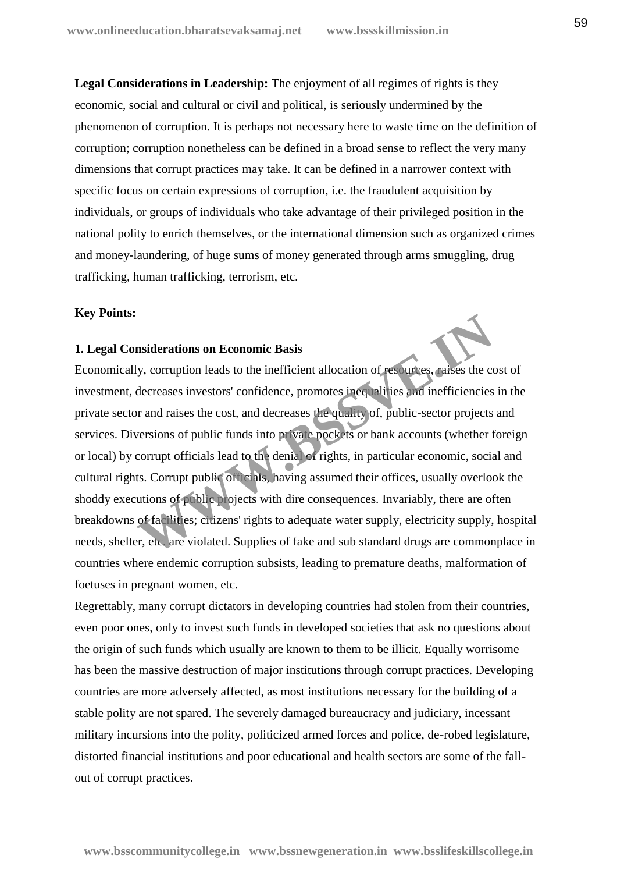**Legal Considerations in Leadership:** The enjoyment of all regimes of rights is they economic, social and cultural or civil and political, is seriously undermined by the phenomenon of corruption. It is perhaps not necessary here to waste time on the definition of corruption; corruption nonetheless can be defined in a broad sense to reflect the very many dimensions that corrupt practices may take. It can be defined in a narrower context with specific focus on certain expressions of corruption, i.e. the fraudulent acquisition by individuals, or groups of individuals who take advantage of their privileged position in the national polity to enrich themselves, or the international dimension such as organized crimes and money-laundering, of huge sums of money generated through arms smuggling, drug trafficking, human trafficking, terrorism, etc.

#### **Key Points:**

## **1. Legal Considerations on Economic Basis**

Economically, corruption leads to the inefficient allocation of resources, raises the cost of investment, decreases investors' confidence, promotes inequalities and inefficiencies in the private sector and raises the cost, and decreases the quality of, public-sector projects and services. Diversions of public funds into private pockets or bank accounts (whether foreign or local) by corrupt officials lead to the denial of rights, in particular economic, social and cultural rights. Corrupt public officials, having assumed their offices, usually overlook the shoddy executions of public projects with dire consequences. Invariably, there are often breakdowns of facilities; citizens' rights to adequate water supply, electricity supply, hospital needs, shelter, etc. are violated. Supplies of fake and sub standard drugs are commonplace in countries where endemic corruption subsists, leading to premature deaths, malformation of foetuses in pregnant women, etc. **Insiderations on Economic Basis**<br>
W. corruption leads to the inefficient allocation of resources, raises the concernance interactions in the inefficiencies<br>
of decreases investors' confidence, promotes inequalities and in

Regrettably, many corrupt dictators in developing countries had stolen from their countries, even poor ones, only to invest such funds in developed societies that ask no questions about the origin of such funds which usually are known to them to be illicit. Equally worrisome has been the massive destruction of major institutions through corrupt practices. Developing countries are more adversely affected, as most institutions necessary for the building of a stable polity are not spared. The severely damaged bureaucracy and judiciary, incessant military incursions into the polity, politicized armed forces and police, de-robed legislature, distorted financial institutions and poor educational and health sectors are some of the fall out of corrupt practices.

**www.bsscommunitycollege.in www.bssnewgeneration.in www.bsslifeskillscollege.in**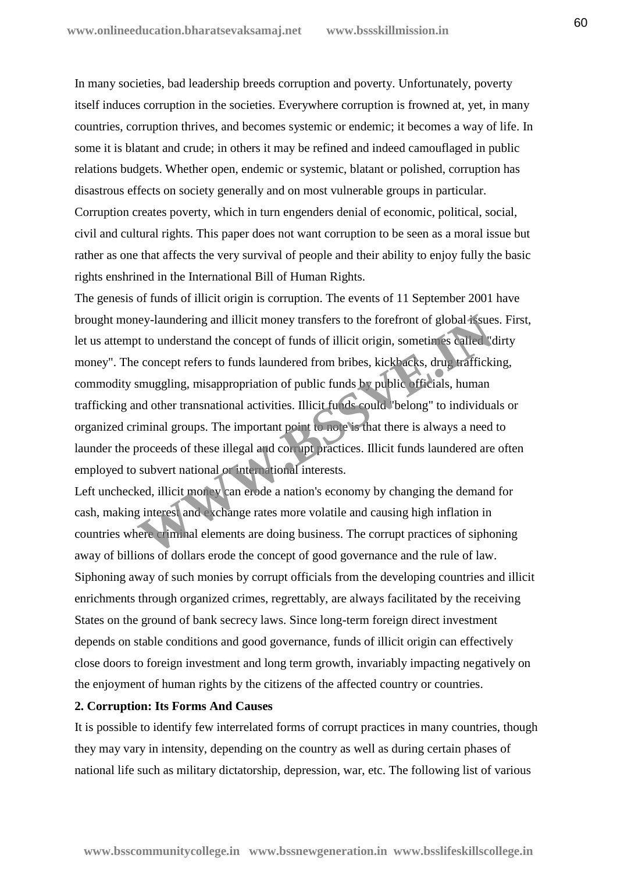In many societies, bad leadership breeds corruption and poverty. Unfortunately, poverty itself induces corruption in the societies. Everywhere corruption is frowned at, yet, in many countries, corruption thrives, and becomes systemic or endemic; it becomes a way of life. In some it is blatant and crude; in others it may be refined and indeed camouflaged in public relations budgets. Whether open, endemic or systemic, blatant or polished, corruption has disastrous effects on society generally and on most vulnerable groups in particular. Corruption creates poverty, which in turn engenders denial of economic, political, social, civil and cultural rights. This paper does not want corruption to be seen as a moral issue but rather as one that affects the very survival of people and their ability to enjoy fully the basic rights enshrined in the International Bill of Human Rights.

The genesis of funds of illicit origin is corruption. The events of 11 September 2001 have brought money-laundering and illicit money transfers to the forefront of global issues. First, let us attempt to understand the concept of funds of illicit origin, sometimes called "dirty money". The concept refers to funds laundered from bribes, kickbacks, drug trafficking, commodity smuggling, misappropriation of public funds by public officials, human trafficking and other transnational activities. Illicit funds could "belong" to individuals or organized criminal groups. The important point to note is that there is always a need to launder the proceeds of these illegal and corrupt practices. Illicit funds laundered are often employed to subvert national or international interests. **Example 18 and interest in the concept of funds of illicit origin, sometimes called "concept refers to funds laundered from bribes, kick<sup>1</sup> acks, drug traffickismuggling, misappropriation of public funds <b>b** public origin

Left unchecked, illicit money can erode a nation's economy by changing the demand for cash, making interest and exchange rates more volatile and causing high inflation in countries where criminal elements are doing business. The corrupt practices of siphoning away of billions of dollars erode the concept of good governance and the rule of law. Siphoning away of such monies by corrupt officials from the developing countries and illicit enrichments through organized crimes, regrettably, are always facilitated by the receiving States on the ground of bank secrecy laws. Since long-term foreign direct investment depends on stable conditions and good governance, funds of illicit origin can effectively close doors to foreign investment and long term growth, invariably impacting negatively on the enjoyment of human rights by the citizens of the affected country or countries.

#### **2. Corruption: Its Forms And Causes**

It is possible to identify few interrelated forms of corrupt practices in many countries, though they may vary in intensity, depending on the country as well as during certain phases of national life such as military dictatorship, depression, war, etc. The following list of various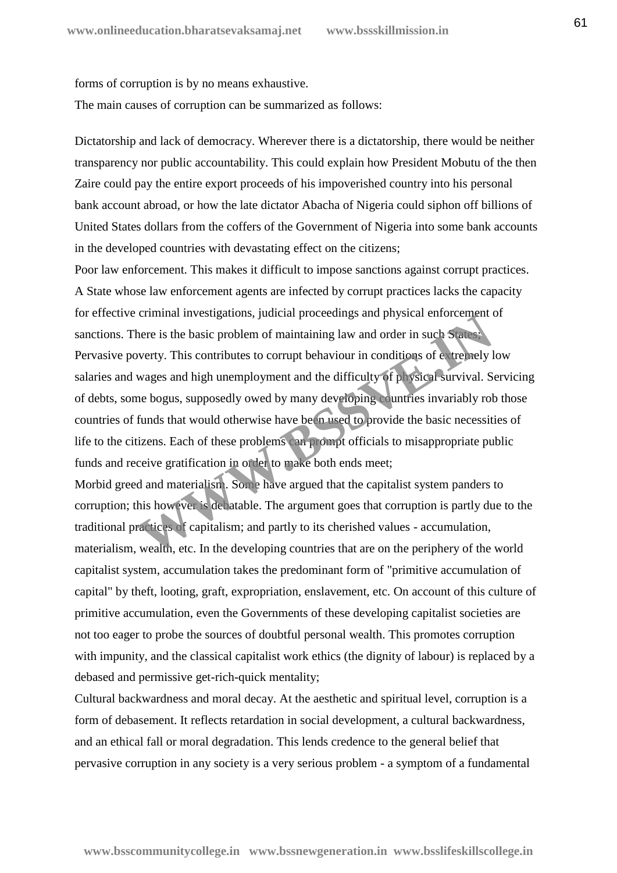forms of corruption is by no means exhaustive. The main causes of corruption can be summarized as follows:

 Dictatorship and lack of democracy. Wherever there is a dictatorship, there would be neither transparency nor public accountability. This could explain how President Mobutu of the then Zaire could pay the entire export proceeds of his impoverished country into his personal bank account abroad, or how the late dictator Abacha of Nigeria could siphon off billions of United States dollars from the coffers of the Government of Nigeria into some bank accounts in the developed countries with devastating effect on the citizens;

 Poor law enforcement. This makes it difficult to impose sanctions against corrupt practices. A State whose law enforcement agents are infected by corrupt practices lacks the capacity for effective criminal investigations, judicial proceedings and physical enforcement of sanctions. There is the basic problem of maintaining law and order in such States; Pervasive poverty. This contributes to corrupt behaviour in conditions of extremely low salaries and wages and high unemployment and the difficulty of physical survival. Servicing of debts, some bogus, supposedly owed by many developing countries invariably rob those countries of funds that would otherwise have been used to provide the basic necessities of life to the citizens. Each of these problems can prompt officials to misappropriate public funds and receive gratification in order to make both ends meet; Ethinar investigations, juticial proceedings and physical emorement where is the basic problem of maintaining law and order in such States.<br>
Werty. This contributes to corrupt behaviour in conditions of extremely l<br>
wages

 Morbid greed and materialism. Some have argued that the capitalist system panders to corruption; this however is debatable. The argument goes that corruption is partly due to the traditional practices of capitalism; and partly to its cherished values - accumulation, materialism, wealth, etc. In the developing countries that are on the periphery of the world capitalist system, accumulation takes the predominant form of "primitive accumulation of capital" by theft, looting, graft, expropriation, enslavement, etc. On account of this culture of primitive accumulation, even the Governments of these developing capitalist societies are not too eager to probe the sources of doubtful personal wealth. This promotes corruption with impunity, and the classical capitalist work ethics (the dignity of labour) is replaced by a debased and permissive get-rich-quick mentality;

 Cultural backwardness and moral decay. At the aesthetic and spiritual level, corruption is a form of debasement. It reflects retardation in social development, a cultural backwardness, and an ethical fall or moral degradation. This lends credence to the general belief that pervasive corruption in any society is a very serious problem - a symptom of a fundamental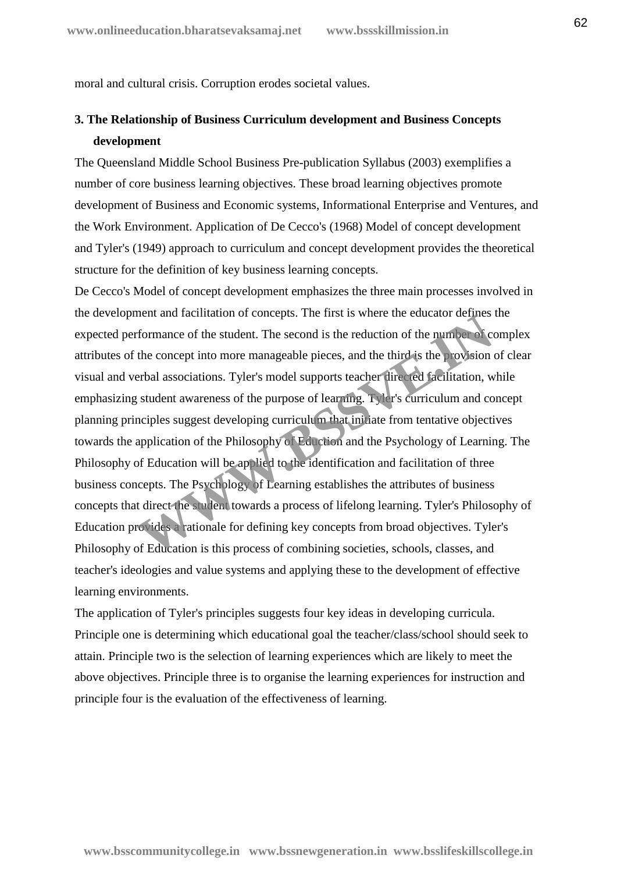moral and cultural crisis. Corruption erodes societal values.

# **3. The Relationship of Business Curriculum development and Business Concepts development**

The Queensland Middle School Business Pre-publication Syllabus (2003) exemplifies a number of core business learning objectives. These broad learning objectives promote development of Business and Economic systems, Informational Enterprise and Ventures, and the Work Environment. Application of De Cecco's (1968) Model of concept development and Tyler's (1949) approach to curriculum and concept development provides the theoretical structure for the definition of key business learning concepts.

De Cecco's Model of concept development emphasizes the three main processes involved in the development and facilitation of concepts. The first is where the educator defines the expected performance of the student. The second is the reduction of the number of complex attributes of the concept into more manageable pieces, and the third is the provision of clear visual and verbal associations. Tyler's model supports teacher directed facilitation, while emphasizing student awareness of the purpose of learning. Tyler's curriculum and concept planning principles suggest developing curriculum that initiate from tentative objectives towards the application of the Philosophy of Eduction and the Psychology of Learning. The Philosophy of Education will be applied to the identification and facilitation of three business concepts. The Psychology of Learning establishes the attributes of business concepts that direct the student towards a process of lifelong learning. Tyler's Philosophy of Education provides a rationale for defining key concepts from broad objectives. Tyler's Philosophy of Education is this process of combining societies, schools, classes, and teacher's ideologies and value systems and applying these to the development of effective learning environments. Formance of the student. The second is the reduction of the pumber of concepts.<br>
formance of the student. The second is the reduction of the pumber of correct the concept into more manageable pieces, and the third is the p

The application of Tyler's principles suggests four key ideas in developing curricula. Principle one is determining which educational goal the teacher/class/school should seek to attain. Principle two is the selection of learning experiences which are likely to meet the above objectives. Principle three is to organise the learning experiences for instruction and principle four is the evaluation of the effectiveness of learning.